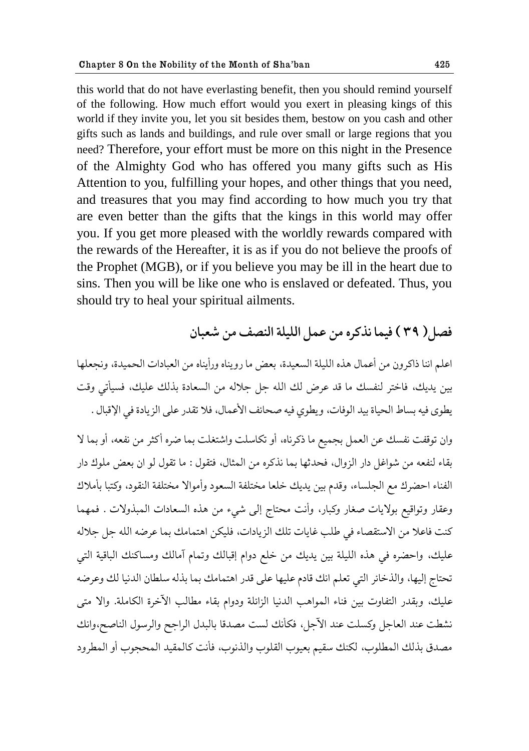this world that do not have everlasting benefit, then you should remind yourself of the following. How much effort would you exert in pleasing kings of this world if they invite you, let you sit besides them, bestow on you cash and other gifts such as lands and buildings, and rule over small or large regions that you need? Therefore, your effort must be more on this night in the Presence of the Almighty God who has offered you many gifts such as His Attention to you, fulfilling your hopes, and other things that you need, and treasures that you may find according to how much you try that are even better than the gifts that the kings in this world may offer you. If you get more pleased with the worldly rewards compared with the rewards of the Hereafter, it is as if you do not believe the proofs of the Prophet (MGB), or if you believe you may be ill in the heart due to sins. Then you will be like one who is enslaved or defeated. Thus, you should try to heal your spiritual ailments.

# فصل ( ٣٩ ) فيما نذكره من عمل الليلة النصف من شعبان

اعلم اننا ذاكرون من أعمال هذه الليلة السعيدة، بعض ما رويناه ورأيناه من العبادات الحميدة، ونجعلها بين يديك، فاختر لنفسك ما قد عرض لك الله جل جلاله من السعادة بذلك عليك، فسيأتي وقت يطوى فيه بساط الحياة بيد الوفات، ويطوى فيه صحائف الأعمال، فلا تقدر على الزيادة في الإقبال .

وان توقفت نفسك عن العمل بجميع ما ذكرناه، أو تكاسلت واشتغلت بما ضره أكثر من نفعه، أو بما لا بقاء لنفعه من شواغل دار الزوال، فحدثها بما نذكره من المثال، فتقول : ما تقول لو ان بعض ملوك دار الفناء احضرك مع الجلساء، وقدم بين يديك خلعا مختلفة السعود وأموالا مختلفة النقود، وكتبا بأملاك وعقار وتواقيع بولايات صغار وكبار، وأنت محتاج إلى شيء من هذه السعادات المبذولات . فمهما كنت فاعلا من الاستقصاء في طلب غايات تلك الزيادات، فليكن اهتمامك بما عرضه الله جل جلاله عليك، واحضره في هذه الليلة بين يديك من خلع دوام إقبالك وتمام آمالك ومساكنك الباقية التي تحتاج إليها، والذخائر التي تعلم انك قادم عليها على قدر اهتمامك بما بذله سلطان الدنيا لك وعرضه عليك، وبقدر التفاوت بين فناء المواهب الدنيا الزائلة ودوام بقاء مطالب الآخرة الكاملة. والا متى نشطت عند العاجل وكسلت عند الآجل، فكأنك لست مصدقا بالبدل الراجح والرسول الناصح،وانك مصدق بذلك المطلوب، لكنك سقيم بعيوب القلوب والذنوب، فأنت كالمقيد المحجوب أو المطرود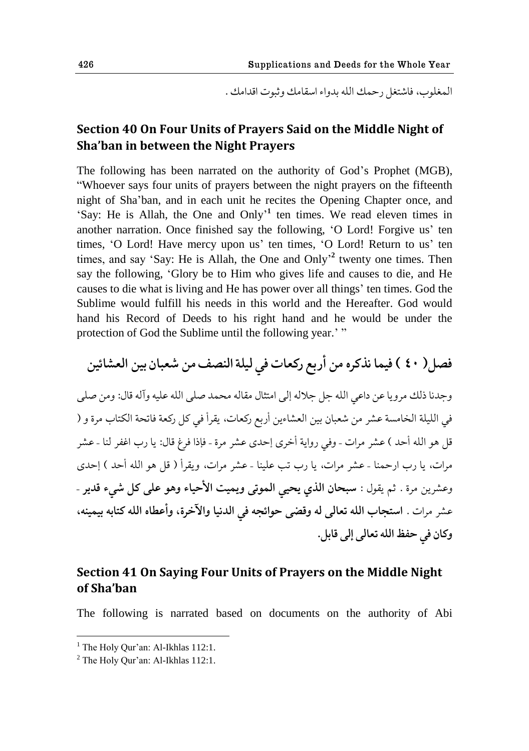المغلوب، فاشتغل رحمك الله بدواء اسقامك و ثبوت اقدامك .

# **Section 40 On Four Units of Prayers Said on the Middle Night of Sha'ban in between the Night Prayers**

The following has been narrated on the authority of God"s Prophet (MGB), "Whoever says four units of prayers between the night prayers on the fifteenth night of Sha"ban, and in each unit he recites the Opening Chapter once, and 'Say: He is Allah, the One and Only<sup>'1</sup> ten times. We read eleven times in another narration. Once finished say the following, 'O Lord! Forgive us' ten times, 'O Lord! Have mercy upon us' ten times, 'O Lord! Return to us' ten times, and say 'Say: He is Allah, the One and Only<sup>2</sup> twenty one times. Then say the following, "Glory be to Him who gives life and causes to die, and He causes to die what is living and He has power over all things" ten times. God the Sublime would fulfill his needs in this world and the Hereafter. God would hand his Record of Deeds to his right hand and he would be under the protection of God the Sublime until the following year."

فصل( ٤٠ ) فيما نذكره من أربع ركعات في ليلة النصف من شعبان بين العشائين وجدنا ذلك مرويا عن داعي الله جل جلاله إلى امتثال مقاله محمد صلى الله عليه وآله قال: ومن صلى في الليلة الخامسة عشر من شعبان بين العشاءين أربع ركعات، يقرأ في كل ركعة فاتحة الكتاب مرة و ( قل هو الله أحد ) عشر مرات - وفي رواية أخرى إحدى عشر مرة - فإذا فرغ قال: يا رب اغفر لنا - عشر مرات، يا رب ارحمنا - عشر مرات، يا رب تب علينا - عشر مرات، ويقرأ ( قل هو الله أحد ) إحدى وعشرين مرة . ثم يقول : **سبحان الذي يحيي الموتي ويميت الأحياء وهو على كل شيء قدير** -عشر مرات . استجاب الله تعالى له وقضى حوائجه في الدنيا والآخرة، وأعطاه الله كتابه بيمينه، **وکاو ٨ي ظٛ٩ حلله ج١الى الى ٬ابل.** 

## **Section 41 On Saying Four Units of Prayers on the Middle Night of Sha'ban**

The following is narrated based on documents on the authority of Abi

 $<sup>1</sup>$  The Holy Qur'an: Al-Ikhlas 112:1.</sup>

<sup>&</sup>lt;sup>2</sup> The Holy Our'an: Al-Ikhlas 112:1.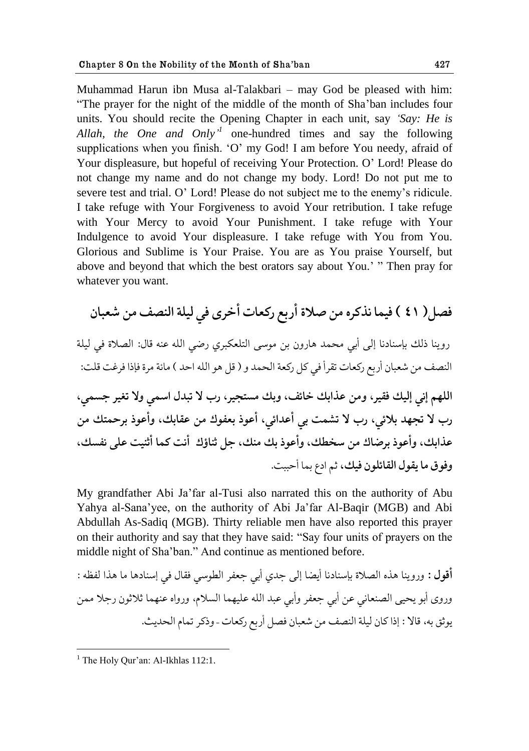Muhammad Harun ibn Musa al-Talakbari – may God be pleased with him: "The prayer for the night of the middle of the month of Sha"ban includes four units. You should recite the Opening Chapter in each unit, say *"Say: He is*  Allah, the One and Only<sup>'</sup> one-hundred times and say the following supplications when you finish. "O" my God! I am before You needy, afraid of Your displeasure, but hopeful of receiving Your Protection. O" Lord! Please do not change my name and do not change my body. Lord! Do not put me to severe test and trial. O" Lord! Please do not subject me to the enemy"s ridicule. I take refuge with Your Forgiveness to avoid Your retribution. I take refuge with Your Mercy to avoid Your Punishment. I take refuge with Your Indulgence to avoid Your displeasure. I take refuge with You from You. Glorious and Sublime is Your Praise. You are as You praise Yourself, but above and beyond that which the best orators say about You." " Then pray for whatever you want.

**ّ٨ل) 41 ( ٨يما يفکكه هى ِالة أقبٟ قک١ات أؼكى ٨ي ليلة حل٧ًّ هى ١ٌباو**

قويًا ـلٯ ببوًاؾيا الى أبي هعمؿ هاقوو بى هىوى حلحل١كبكي قٔي حلله ً٠ه ٬ال: حلّالة ٨ي ليلة حل٧ًّ هى ١ٌباو أقبٟ قك١ات ج٭كأ ٨ي كل قك١ة حلعمؿ و ) ٬ل هى حلله حظؿ ( هاثة هكة ٨بـح ٨ك٤ث ٬لث: **حللهن ايي اليٯ ٨٭يك، وهى ٠فحبٯ ؼاث،٧ وبٯ هىحصيك، قب ال جبؿل حومي وال ج٥يك شىمي، قب ال جصهؿ بالثي، قب ال جٍمث بي أ٠ؿحثي، أ٠ىـ ب٩١ىٮ هى ٠٭ابٯ، وأ٠ىـ بكظمحٯ هى ٠فحبٯ، وأ٠ىـ بكٔاٮ هى وؽٙٯ، وأ٠ىـ بٯ هًٯ، شل ذًاإٮ أيث کما أذًيث ٠لى ي٩ىٯ، و٨ى٪ ها ی٭ىل حل٭اثلىو ٨يٯ،** ذن حؾٞ بما أظببث.

My grandfather Abi Ja"far al-Tusi also narrated this on the authority of Abu Yahya al-Sana"yee, on the authority of Abi Ja"far Al-Baqir (MGB) and Abi Abdullah As-Sadiq (MGB). Thirty reliable men have also reported this prayer on their authority and say that they have said: "Say four units of prayers on the middle night of Sha"ban." And continue as mentioned before.

أقول : وروينا هذه الصلاة بإسنادنا أيضا إلى جدى أبي جعفر الطوسي فقال في إسنادها ما هذا لفظه : وروى أبو يحيى الصنعاني عن أبي جعفر وأبي عبد الله عليهما السلام، ورواه عنهما ثلاثون رجلا ممن يوثق به، قالا : إذا كان ليلة النصف من شعبان فصل أربع ركعات - وذكر تمام الحديث.

<sup>&</sup>lt;sup>1</sup> The Holy Qur'an: Al-Ikhlas  $112:1$ .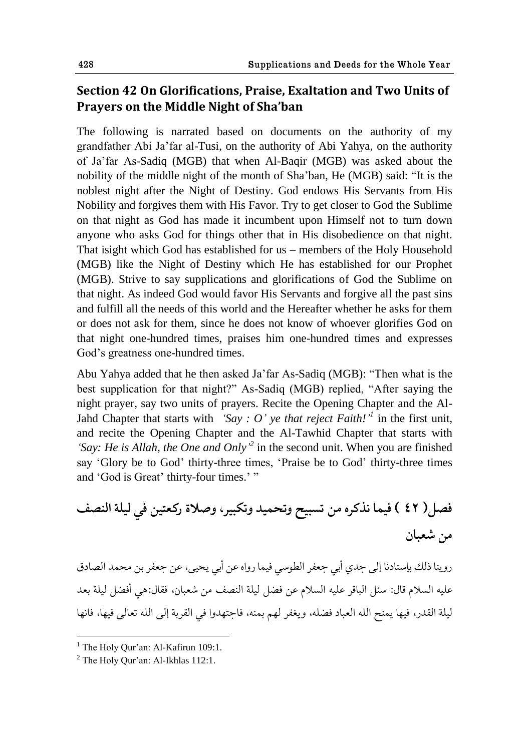# **Section 42 On Glorifications, Praise, Exaltation and Two Units of Prayers on the Middle Night of Sha'ban**

The following is narrated based on documents on the authority of my grandfather Abi Ja"far al-Tusi, on the authority of Abi Yahya, on the authority of Ja"far As-Sadiq (MGB) that when Al-Baqir (MGB) was asked about the nobility of the middle night of the month of Sha"ban, He (MGB) said: "It is the noblest night after the Night of Destiny. God endows His Servants from His Nobility and forgives them with His Favor. Try to get closer to God the Sublime on that night as God has made it incumbent upon Himself not to turn down anyone who asks God for things other that in His disobedience on that night. That isight which God has established for us – members of the Holy Household (MGB) like the Night of Destiny which He has established for our Prophet (MGB). Strive to say supplications and glorifications of God the Sublime on that night. As indeed God would favor His Servants and forgive all the past sins and fulfill all the needs of this world and the Hereafter whether he asks for them or does not ask for them, since he does not know of whoever glorifies God on that night one-hundred times, praises him one-hundred times and expresses God"s greatness one-hundred times.

Abu Yahya added that he then asked Ja"far As-Sadiq (MGB): "Then what is the best supplication for that night?" As-Sadiq (MGB) replied, "After saying the night prayer, say two units of prayers. Recite the Opening Chapter and the Al-Jahd Chapter that starts with *'Say : O' ye that reject Faith!'*<sup>1</sup> in the first unit, and recite the Opening Chapter and the Al-Tawhid Chapter that starts with *'Say: He is Allah, the One and Only*<sup>2</sup> in the second unit. When you are finished say 'Glory be to God' thirty-three times, 'Praise be to God' thirty-three times and 'God is Great' thirty-four times.'"

**ّ٨ل) 42 ( ٨يما يفکكه هى جىبيط وجعميؿ وجكبيك،وِالة قک١حيى ٨ي ليلة حل٧ًّ هى ١ٌباو**

روينا ذلك بإسنادنا إلى جدي أبي جعفر الطوسي فيما رواه عن أبي يحيى، عن جعفر بن محمد الصادق عليه السلام قال: سئل الباقر عليه السلام عن فضل ليلة النصف من شعبان، فقال:هي أفضل ليلة بعد ليلة القدر، فيها يمنح الله العباد فضله، ويغفر لهم بمنه، فاجتهدوا في القربة إلى الله تعالى فيها، فانها

 $1$  The Holy Qur'an: Al-Kafirun 109:1.

 $2$  The Holy Qur'an: Al-Ikhlas 112:1.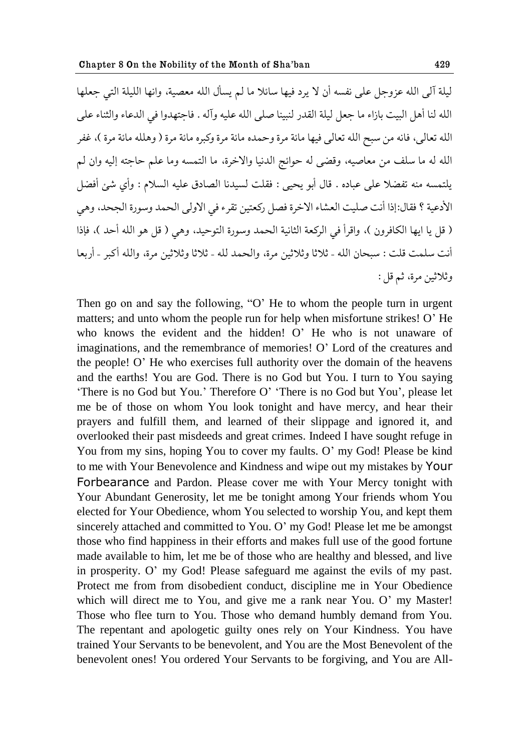ليلة آلى الله عزوجل على نفسه أن لا يرد فيها سائلا ما لم يسأل الله معصية، وإنها الليلة التي حعلها الله لنا أهل البيت بازاء ما جعل ليلة القدر لنبينا صلى الله عليه وآله . فاجتهدوا في الدعاء والثناء على الله تعالى، فانه من سبح الله تعالى فيها مائة مرة وحمده مائة مرة وكبره مائة مرة ( وهلله مائة مرة )، غفر الله له ما سلف من معاصيه، وقضى له حوائج الدنيا والاخرة، ما التمسه وما علم حاجته إليه وان لم يلتمسه منه تفضلا على عباده . قال أبو يحيى : فقلت لسيدنا الصادق عليه السلام : وأي شئ أفضل الأدعية ؟ فقال:إذا أنت صليت العشاء الاخرة فصل ركعتين تقرء في الاولى الحمد وسورة الجحد، وهي ( قل يا ايها الكافرون )، واقرأ في الركعة الثانية الحمد وسورة التوحيد، وهي ( قل هو الله أحد )، فإذا أنت سلمت قلت : سبحان الله - ثلاثا وثلاثين مرة، والحمد لله - ثلاثا وثلاثين مرة، والله أكبر - أربعا وثلاثين مرة، ثم قل :

Then go on and say the following, "O' He to whom the people turn in urgent matters; and unto whom the people run for help when misfortune strikes! O'He who knows the evident and the hidden! O' He who is not unaware of imaginations, and the remembrance of memories! O' Lord of the creatures and the people! O" He who exercises full authority over the domain of the heavens and the earths! You are God. There is no God but You. I turn to You saying "There is no God but You." Therefore O" "There is no God but You", please let me be of those on whom You look tonight and have mercy, and hear their prayers and fulfill them, and learned of their slippage and ignored it, and overlooked their past misdeeds and great crimes. Indeed I have sought refuge in You from my sins, hoping You to cover my faults. O' my God! Please be kind to me with Your Benevolence and Kindness and wipe out my mistakes by Your Forbearance and Pardon. Please cover me with Your Mercy tonight with Your Abundant Generosity, let me be tonight among Your friends whom You elected for Your Obedience, whom You selected to worship You, and kept them sincerely attached and committed to You. O' my God! Please let me be amongst those who find happiness in their efforts and makes full use of the good fortune made available to him, let me be of those who are healthy and blessed, and live in prosperity. O" my God! Please safeguard me against the evils of my past. Protect me from from disobedient conduct, discipline me in Your Obedience which will direct me to You, and give me a rank near You. O' my Master! Those who flee turn to You. Those who demand humbly demand from You. The repentant and apologetic guilty ones rely on Your Kindness. You have trained Your Servants to be benevolent, and You are the Most Benevolent of the benevolent ones! You ordered Your Servants to be forgiving, and You are All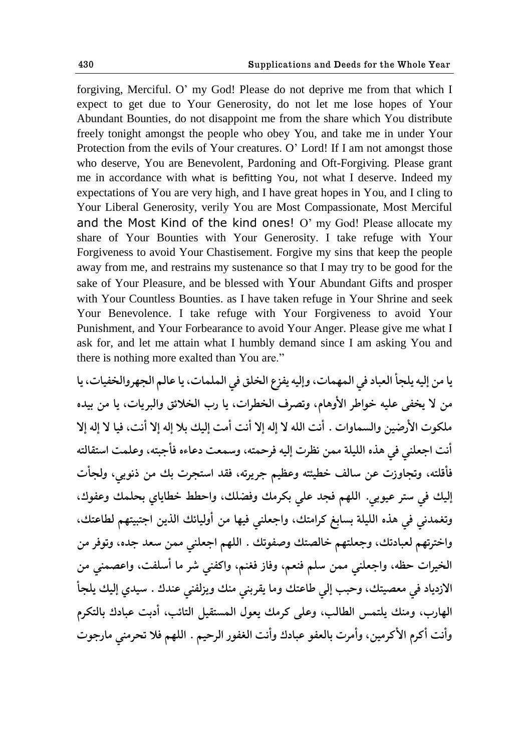forgiving, Merciful. O" my God! Please do not deprive me from that which I expect to get due to Your Generosity, do not let me lose hopes of Your Abundant Bounties, do not disappoint me from the share which You distribute freely tonight amongst the people who obey You, and take me in under Your Protection from the evils of Your creatures. O" Lord! If I am not amongst those who deserve, You are Benevolent, Pardoning and Oft-Forgiving. Please grant me in accordance with what is befitting You, not what I deserve. Indeed my expectations of You are very high, and I have great hopes in You, and I cling to Your Liberal Generosity, verily You are Most Compassionate, Most Merciful and the Most Kind of the kind ones! O' my God! Please allocate my share of Your Bounties with Your Generosity. I take refuge with Your Forgiveness to avoid Your Chastisement. Forgive my sins that keep the people away from me, and restrains my sustenance so that I may try to be good for the sake of Your Pleasure, and be blessed with Your Abundant Gifts and prosper with Your Countless Bounties. as I have taken refuge in Your Shrine and seek Your Benevolence. I take refuge with Your Forgiveness to avoid Your Punishment, and Your Forbearance to avoid Your Anger. Please give me what I ask for, and let me attain what I humbly demand since I am asking You and there is nothing more exalted than You are."

يا من إليه يلجأ العباد في المهمات، وإليه يفزع الخلق في الملمات، يا عالم الجهروالخفيات، يا من لا يخفي عليه خواطر الأوهام، وتصرف الخطرات، يا رب الخلائق والبريات، يا من بيده ملكوت الأرضين والسماوات . أنت الله لا إله إلا أنت أمت إليك بلا إله إلا أنت، فيا لا إله إلا أنت اجعلني في هذه الليلة ممن نظرت إليه فرحمته، وسمعت دعاءه فأجبته، وعلمت استقالته فأقلته، وتجاوزت عن سالف خطيئته وعظيم جريرته، فقد استجرت بك من ذنوبي، ولجأت إليك في ستر عيوبي. اللهم فجد علي بكرمك وفضلك، واحطط خطاياي بحلمك وعفوك، وتغمدني في هذه الليلة بسابغ كرامتك، واجعلني فيها من أوليائك الذين اجتبيتهم لطاعتك، واخترتهم لعبادتك، وجعلتهم خالصتك وصفوتك . اللهم اجعلني ممن سعد جده، وتوفر من الخيرات حظه، واجعلني ممن سلم فنعم، وفاز فغنم، واكفنى شر ما أسلفت، واعصمنى من الازدياد في معصيتك، وحبب إلي طاعتك وما يقربني منك ويزلفني عندك . سيدي إليك يلجأ الهارب، ومنك يلتمس الطالب، وعلى كرمك يعول المستقيل التائب، أدبت عبادك بالتكرم وأنت أكرم الأكرمين، وأمرت بالعفو عبادك وأنت الغفور الرحيم . اللهم فلا تحرمني مارجوت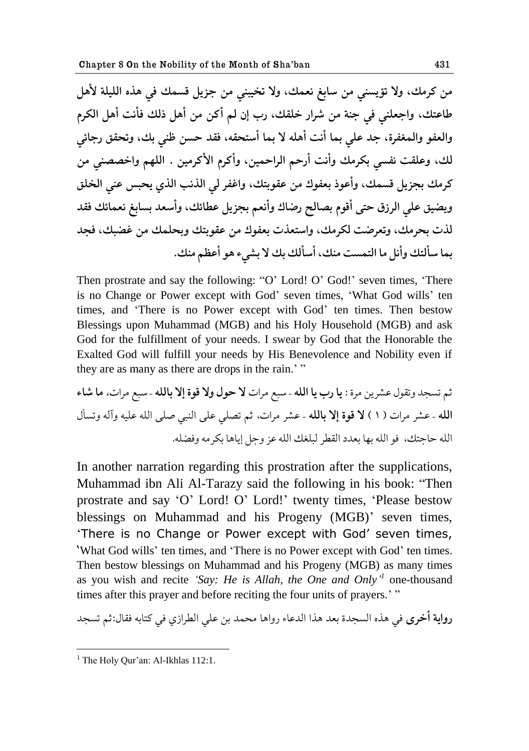من كرمك، ولا تؤيسنى من سابغ نعمك، ولا تخيبنى من جزيل قسمك في هذه الليلة لأهل طاعتك، واجعلني في جنة من شرار خلقك، رب إن لم أكن من أهل ذلك فأنت أهل الكرم والعفو والمغفرة، جد على بما أنت أهله لا بما أستحقه، فقد حسن ظني بك، وتحقق رجائي لك، وعلقت نفسي بكرمك وأنت أرحم الراحمين، وأكرم الأكرمين . اللهم واخصصني من كرمك بجزيل قسمك، وأعوذ بعفوك من عقوبتك، واغفر لي الذنب الذي يحبس عني الخلق ويضيق على الرزق حتى أقوم بصالح رضاك وأنعم بجزيل عطائك، وأسعد بسابغ نعمائك فقد لذت بحرمك، وتعرضت لكرمك، واستعذت بعفوك من عقوبتك وبحلمك من غضبك، فجد بما سألتك وأنل ما التمست منك، أسألك بك لا بشيء هو أعظم منك.

Then prostrate and say the following: "O' Lord! O' God!' seven times, 'There is no Change or Power except with God" seven times, "What God wills" ten times, and "There is no Power except with God" ten times. Then bestow Blessings upon Muhammad (MGB) and his Holy Household (MGB) and ask God for the fulfillment of your needs. I swear by God that the Honorable the Exalted God will fulfill your needs by His Benevolence and Nobility even if they are as many as there are drops in the rain." "

ذن جىصؿ وج٭ىل ٍ٠كيى هكة : **یا قب یا حلله** – وبٟ هكحت **ال ظىل وال ٬ىة اال بالله** – وبٟ هكحت، **ها ٌاء حلله** – ٍ٠ك هكحت ) 1 ( **ال ٬ىة اال بالله** – ٍ٠ك هكحت، ذن جّلي ٠لى حلًبي ِلى حلله ٠ليه وآله وجىؤل حلله ظاشحٯ، ٨ى حلله بها ب١ؿؾ حل٭ٙك لبل٥ٯ حلله ٠م وشل اياها بككهه وٕ٨له.

In another narration regarding this prostration after the supplications, Muhammad ibn Ali Al-Tarazy said the following in his book: "Then prostrate and say "O" Lord! O" Lord!" twenty times, "Please bestow blessings on Muhammad and his Progeny (MGB)' seven times, "There is no Change or Power except with God" seven times, 'What God wills' ten times, and 'There is no Power except with God' ten times. Then bestow blessings on Muhammad and his Progeny (MGB) as many times as you wish and recite 'Say: He is Allah, the One and Only<sup>'</sup> one-thousand times after this prayer and before reciting the four units of prayers."

**رواية أخرى** في هذه السجدة بعد هذا الدعاء رواها محمد بن على الطرازي في كتابه فقال:ثم تسجد

<sup>1</sup> <sup>1</sup> The Holy Qur'an: Al-Ikhlas  $112:1$ .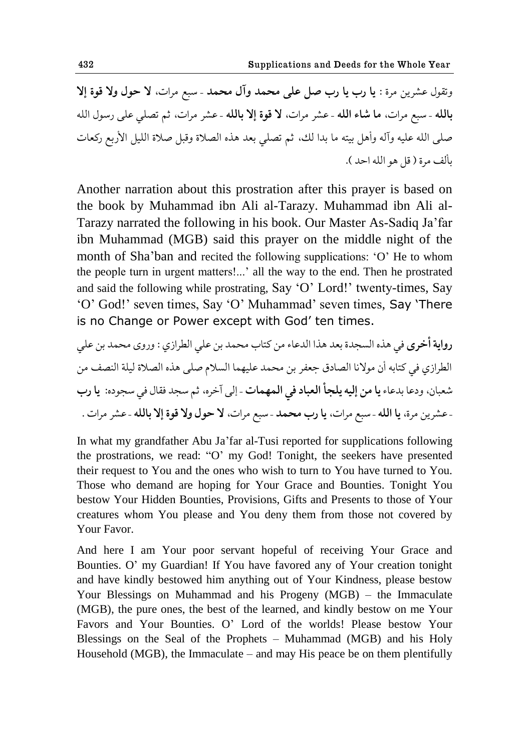وتقول عشرين مرة : **یا رب یا رب ص**ل على محمد وآل محمد - سبع مرات، لا حول ولا قوة إلا **بالله** - سبع مرات، ما شاء الله - عشر مرات، لا قوة إلا بالله - عشر مرات، ثم تصلى على رسول الله صلَّى الله عليه وآله وأهل بيته ما بدا لك، ثم تصلَّى بعد هذه الصلاة وقبل صلاة الليل الأربع ركعات بألف مرة ( قل هو الله احد ).

Another narration about this prostration after this prayer is based on the book by Muhammad ibn Ali al-Tarazy. Muhammad ibn Ali al-Tarazy narrated the following in his book. Our Master As-Sadiq Ja"far ibn Muhammad (MGB) said this prayer on the middle night of the month of Sha"ban and recited the following supplications: "O" He to whom the people turn in urgent matters!..." all the way to the end. Then he prostrated and said the following while prostrating, Say "O" Lord!" twenty-times, Say "O" God!" seven times, Say "O" Muhammad" seven times, Say "There is no Change or Power except with God' ten times.

**قوحیة أؼكى** ٨ي هفه حلىصؿة ب١ؿ هفح حلؿ٠اء هى كحاب هعمؿ بى ٠لي حلٙكحلي : وقوى هعمؿ بى ٠لي حلٙكحلي ٨ي كحابه أو هىاليا حلّاؾ٪ ش٩١ك بى هعمؿ ٠ليهما حلىالم ِلى هفه حلّالة ليلة حل٧ًّ هى ١ٌباو، وؾ٠ا بؿ٠اء **یا هى اليه یلصؤ حل١باؾ ٨ي حلمهمات** – الى آؼكه، ذن وصؿ ٨٭ال ٨ي وصىؾه: **یا قب**  –ٍ٠كيى هكة، **یا حلله** – وبٟ هكحت، **یا قب هعمؿ** – وبٟ هكحت، **ال ظىل وال ٬ىة اال بالله** –ٍ٠ك هكحت .

In what my grandfather Abu Ja"far al-Tusi reported for supplications following the prostrations, we read: "O" my God! Tonight, the seekers have presented their request to You and the ones who wish to turn to You have turned to You. Those who demand are hoping for Your Grace and Bounties. Tonight You bestow Your Hidden Bounties, Provisions, Gifts and Presents to those of Your creatures whom You please and You deny them from those not covered by Your Favor.

And here I am Your poor servant hopeful of receiving Your Grace and Bounties. O" my Guardian! If You have favored any of Your creation tonight and have kindly bestowed him anything out of Your Kindness, please bestow Your Blessings on Muhammad and his Progeny (MGB) – the Immaculate (MGB), the pure ones, the best of the learned, and kindly bestow on me Your Favors and Your Bounties. O" Lord of the worlds! Please bestow Your Blessings on the Seal of the Prophets – Muhammad (MGB) and his Holy Household (MGB), the Immaculate – and may His peace be on them plentifully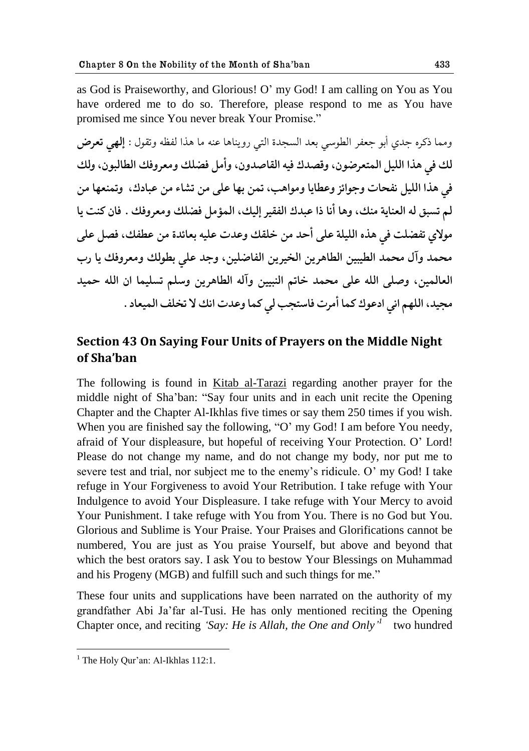as God is Praiseworthy, and Glorious! O" my God! I am calling on You as You have ordered me to do so. Therefore, please respond to me as You have promised me since You never break Your Promise."

ومما ذكره جدى أبو جعفر الطوسي بعد السجدة التي رويناها عنه ما هذا لفظه وتقول : **إلهي تعرض** لك في هذا الليل المتعرضون، وقصدك فيه القاصدون، وأمل فضلك ومعروفك الطالبون، ولك في هذا الليل نفحات وجوائز وعطايا ومواهب، تمن بها على من تشاء من عبادك، وتمنعها من لم تسبق له العناية منك، وها أنا ذا عبدك الفقير إليك، المؤمل فضلك ومعروفك . فان كنت يا مولاي تفضلت في هذه الليلة على أحد من خلقك وعدت عليه بعائدة من عطفك، فصل على محمد وآل محمد الطيبين الطاهرين الخيرين الفاضلين، وجد على بطولك ومعروفك يا رب العالمين، وصلى الله على محمد خاتم النبيين وآله الطاهرين وسلم تسليما ان الله حميد مجيد، اللهم اني ادعوك كما أمرت فاستجب لي كما وعدت انك لا تخلف الميعاد .

## **Section 43 On Saying Four Units of Prayers on the Middle Night of Sha'ban**

The following is found in Kitab al-Tarazi regarding another prayer for the middle night of Sha"ban: "Say four units and in each unit recite the Opening Chapter and the Chapter Al-Ikhlas five times or say them 250 times if you wish. When you are finished say the following, "O' my God! I am before You needy, afraid of Your displeasure, but hopeful of receiving Your Protection. O" Lord! Please do not change my name, and do not change my body, nor put me to severe test and trial, nor subject me to the enemy's ridicule. O' my God! I take refuge in Your Forgiveness to avoid Your Retribution. I take refuge with Your Indulgence to avoid Your Displeasure. I take refuge with Your Mercy to avoid Your Punishment. I take refuge with You from You. There is no God but You. Glorious and Sublime is Your Praise. Your Praises and Glorifications cannot be numbered, You are just as You praise Yourself, but above and beyond that which the best orators say. I ask You to bestow Your Blessings on Muhammad and his Progeny (MGB) and fulfill such and such things for me."

These four units and supplications have been narrated on the authority of my grandfather Abi Ja"far al-Tusi. He has only mentioned reciting the Opening Chapter once, and reciting *'Say: He is Allah, the One and Only*<sup>*'*</sup> two hundred

<sup>&</sup>lt;sup>1</sup> The Holy Qur'an: Al-Ikhlas  $112:1$ .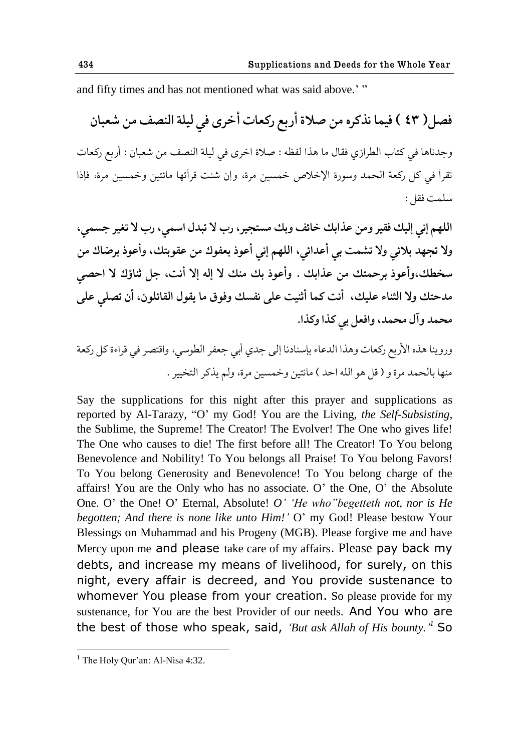and fifty times and has not mentioned what was said above." "

فصل( ٤٣ ) فيما نذكره من صلاة أربع ركعات أخرى في ليلة النصف من شعبان وجدناها في كتاب الطرازي فقال ما هذا لفظه : صلاة اخرى في ليلة النصف من شعبان : أربع ركعات تقرأ في كل ركعة الحمد وسورة الإخلاص خمسين مرة، وإن شئت قرأتها مائتين وخمسين مرة، فإذا سلمت فقل:

اللهم إني إليك فقير ومن عذابك خائف وبك مستجير، رب لا تبدل اسمي، رب لا تغير جسمي، ولا تجهد بلائي ولا تشمت بي أعدائي، اللهم إني أعوذ بعفوك من عقوبتك، وأعوذ برضاك من سخطك،وأعوذ برحمتك من عذابك . وأعوذ بك منك لا إله إلا أنت، جل ثناؤك لا احص<sub>ّى</sub> مدحتك ولا الثناء عليك، أنت كما أثنيت على نفسك وفوق ما يقول القائلون، أن تصلى على **هعمؿ وآل هعمؿ،وح١٨ل بي کفح وکفح.** 

وروينا هذه الأربع ركعات وهذا الدعاء بإسنادنا إلى جدى أبي جعفر الطوسي، واقتصر في قراءة كل ركعة منها بالحمد مرة و ( قل هو الله احد ) مائتين وخمسين مرة، ولم يذكر التخيير .

Say the supplications for this night after this prayer and supplications as reported by Al-Tarazy, "O" my God! You are the Living, *the Self-Subsisting*, the Sublime, the Supreme! The Creator! The Evolver! The One who gives life! The One who causes to die! The first before all! The Creator! To You belong Benevolence and Nobility! To You belongs all Praise! To You belong Favors! To You belong Generosity and Benevolence! To You belong charge of the affairs! You are the Only who has no associate. O" the One, O" the Absolute One. O" the One! O" Eternal, Absolute! *O" "He who"begetteth not, nor is He begotten; And there is none like unto Him!"* O" my God! Please bestow Your Blessings on Muhammad and his Progeny (MGB). Please forgive me and have Mercy upon me and please take care of my affairs. Please pay back my debts, and increase my means of livelihood, for surely, on this night, every affair is decreed, and You provide sustenance to whomever You please from your creation. So please provide for my sustenance, for You are the best Provider of our needs. And You who are the best of those who speak, said, *"But ask Allah of His bounty." <sup>1</sup>* So

 $<sup>1</sup>$  The Holy Qur'an: Al-Nisa 4:32.</sup>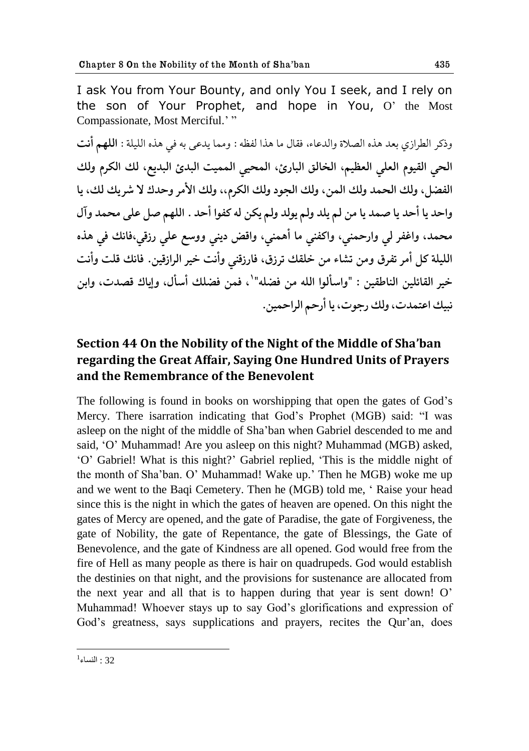I ask You from Your Bounty, and only You I seek, and I rely on the son of Your Prophet, and hope in You, O' the Most Compassionate, Most Merciful.'"

وذكر الطرازي بعد هذه الصلاة والدعاء، فقال ما هذا لفظه : ومما يدع<sub>ّى</sub> به في هذه الليلة : **اللهم أنت** الحي القيوم العلي العظيم، الخالق البارئ، المحيي المميت البدئ البديع، لك الكرم ولك الفضل، ولك الحمد ولك المن، ولك الجود ولك الكرم،، ولك الأمر وحدك لا شريك لك، يا واحد يا أحد يا صمد يا من لم يلد ولم يولد ولم يكن له كفوا أحد . اللهم صل على محمد وآل محمد، واغفر لي وارحمني، واكفني ما أهمني، واقض ديني ووسع علي رزقي،فانك في هذه الليلة كل أمر تفرق ومن تشاء من خلقك ترزق، فارزقن<sub>ى</sub> وأنت خير الرازقين. فانك قلت وأنت خير القائلين الناطقين : "واسألوا الله من فضله"<sup>י</sup>، فمن فضلك أسأل، وإياك قصدت، وابن نبيك اعتمدت، ولك رجوت، يا أرحم الراحمين.

# **Section 44 On the Nobility of the Night of the Middle of Sha'ban regarding the Great Affair, Saying One Hundred Units of Prayers and the Remembrance of the Benevolent**

The following is found in books on worshipping that open the gates of God"s Mercy. There isarration indicating that God"s Prophet (MGB) said: "I was asleep on the night of the middle of Sha"ban when Gabriel descended to me and said, "O" Muhammad! Are you asleep on this night? Muhammad (MGB) asked, "O" Gabriel! What is this night?" Gabriel replied, "This is the middle night of the month of Sha'ban. O' Muhammad! Wake up.' Then he MGB) woke me up and we went to the Baqi Cemetery. Then he (MGB) told me, " Raise your head since this is the night in which the gates of heaven are opened. On this night the gates of Mercy are opened, and the gate of Paradise, the gate of Forgiveness, the gate of Nobility, the gate of Repentance, the gate of Blessings, the Gate of Benevolence, and the gate of Kindness are all opened. God would free from the fire of Hell as many people as there is hair on quadrupeds. God would establish the destinies on that night, and the provisions for sustenance are allocated from the next year and all that is to happen during that year is sent down! O" Muhammad! Whoever stays up to say God"s glorifications and expression of God's greatness, says supplications and prayers, recites the Qur'an, does

<sup>1</sup>  $^{1}$ : النساء  $32$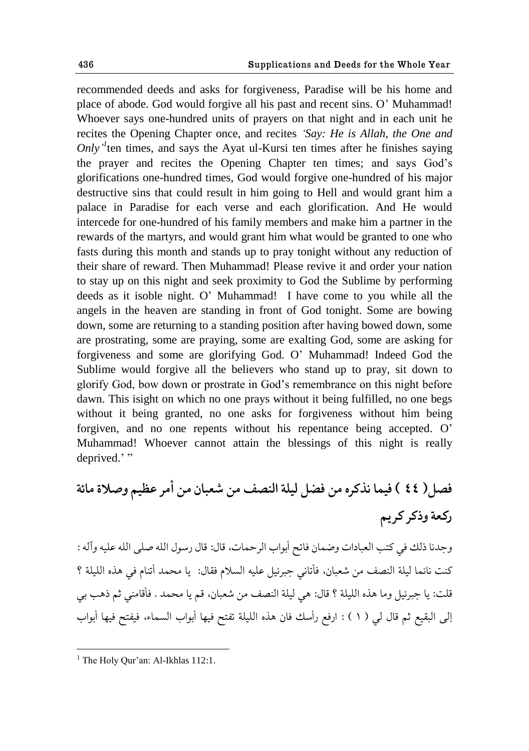recommended deeds and asks for forgiveness, Paradise will be his home and place of abode. God would forgive all his past and recent sins. O" Muhammad! Whoever says one-hundred units of prayers on that night and in each unit he recites the Opening Chapter once, and recites *"Say: He is Allah, the One and Only*<sup> $1$ </sup> ten times, and says the Ayat ul-Kursi ten times after he finishes saying the prayer and recites the Opening Chapter ten times; and says God"s glorifications one-hundred times, God would forgive one-hundred of his major destructive sins that could result in him going to Hell and would grant him a palace in Paradise for each verse and each glorification. And He would intercede for one-hundred of his family members and make him a partner in the rewards of the martyrs, and would grant him what would be granted to one who fasts during this month and stands up to pray tonight without any reduction of their share of reward. Then Muhammad! Please revive it and order your nation to stay up on this night and seek proximity to God the Sublime by performing deeds as it isoble night. O" Muhammad! I have come to you while all the angels in the heaven are standing in front of God tonight. Some are bowing down, some are returning to a standing position after having bowed down, some are prostrating, some are praying, some are exalting God, some are asking for forgiveness and some are glorifying God. O" Muhammad! Indeed God the Sublime would forgive all the believers who stand up to pray, sit down to glorify God, bow down or prostrate in God"s remembrance on this night before dawn. This isight on which no one prays without it being fulfilled, no one begs without it being granted, no one asks for forgiveness without him being forgiven, and no one repents without his repentance being accepted. O" Muhammad! Whoever cannot attain the blessings of this night is really deprived."

**ّ٨ل) 44 ( ٨يما يفکكه هى ٕ٨ل ليلة حل٧ًّ هى ١ٌباو هى أهك ٝ٠ين وِالة هاثة قک١ة وـکك کك ین** 

وجدنا ذلك في كتب العبادات وضمان فاتح أبواب الرحمات، قال: قال رسول الله صلى الله عليه وآله : كنت نائما ليلة النصف من شعبان، فأتاني جبرئيل عليه السلام فقال: يا محمد أتنام في هذه الليلة ؟ قلت: يا جبرئيل وما هذه الليلة ؟ قال: هي ليلة النصف من شعبان، قم يا محمد . فأقامني ثم ذهب بي إلى البقيع ثم قال لي ( ١ ) : ارفع رأسك فان هذه الليلة تفتح فيها أبواب السماء، فيفتح فيها أبواب

<sup>&</sup>lt;sup>1</sup> The Holy Qur'an: Al-Ikhlas  $112:1$ .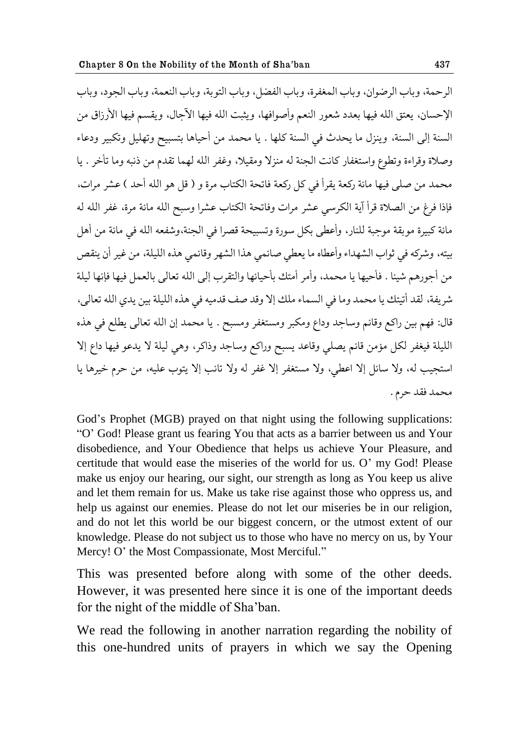الرحمة، وباب الرضوان، وباب المغفرة، وباب الفضل، وباب التوبة، وباب النعمة، وباب الحود، وباب الإحسان، يعتق الله فيها بعدد شعور النعم وأصوافها، ويثبت الله فيها الآحال، ويقسم فيها الأرزاق من السنة إلى السنة، وينزل ما يحدث في السنة كلها . يا محمد من أحياها بتسبيح وتهليل وتكبير ودعاء وصلاة وقراءة وتطوع واستغفار كانت الجنة له منزلا ومقيلا، وغفر الله لهما تقدم من ذنبه وما تأخر . يا محمد من صلى فيها مائة ركعة يقرأ في كل ركعة فاتحة الكتاب مرة و ( قل هو الله أحد ) عشر مرات، فإذا فرغ من الصلاة قرأ آية الكرسي عشر مرات وفاتحة الكتاب عشرا وسبح الله مائة مرة، غفر الله له مائة كبيرة موبقة موجبة للنار، وأعطى بكل سورة وتسبيحة قصرا في الجنة،وشفعه الله في مائة من أهل بيته، وشركه في ثواب الشهداء وأعطاه ما يعطي صائمي هذا الشهر وقائمي هذه الليلة، من غير أن ينقص من أجورهم شيئا . فأحيها يا محمد، وأمر أمتك بأحيائها والتقرب إلى الله تعالى بالعمل فيها فإنها ليلة شريفة، لقد أتيتك يا محمد وما في السماء ملك إلا وقد صف قدميه في هذه الليلة بين يدي الله تعالى، قال: فهم بين راكع وقائم وساجد وداع ومكبر ومستغفر ومسبح . يا محمد إن الله تعالى يطلع في هذه الليلة فيغفر لكل مؤمن قائم يصلبي وقاعد يسبح وراكع وساجد وذاكر، وهي ليلة لا يدعو فيها داع إلا استجيب له، ولا سائل إلا اعطى، ولا مستغفر إلا غفر له ولا تائب إلا يتوب عليه، من حرم خيرها يا محمد فقد حرم .

God's Prophet (MGB) prayed on that night using the following supplications: "O" God! Please grant us fearing You that acts as a barrier between us and Your disobedience, and Your Obedience that helps us achieve Your Pleasure, and certitude that would ease the miseries of the world for us. O" my God! Please make us enjoy our hearing, our sight, our strength as long as You keep us alive and let them remain for us. Make us take rise against those who oppress us, and help us against our enemies. Please do not let our miseries be in our religion, and do not let this world be our biggest concern, or the utmost extent of our knowledge. Please do not subject us to those who have no mercy on us, by Your Mercy! O' the Most Compassionate, Most Merciful."

This was presented before along with some of the other deeds. However, it was presented here since it is one of the important deeds for the night of the middle of Sha"ban.

We read the following in another narration regarding the nobility of this one-hundred units of prayers in which we say the Opening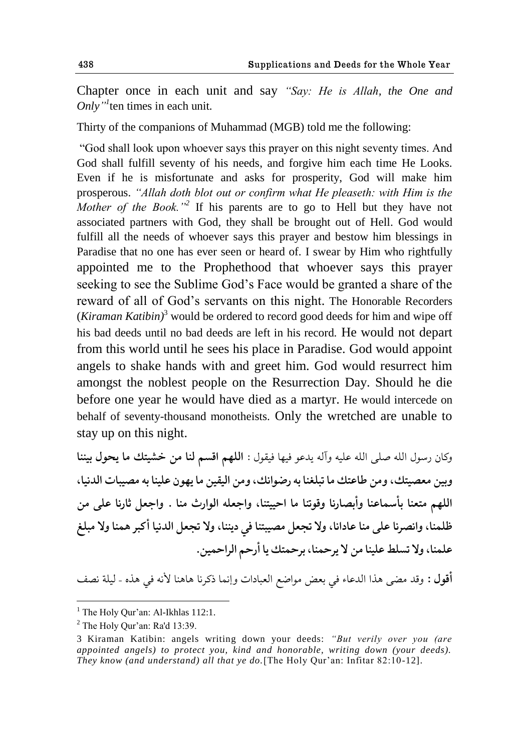Chapter once in each unit and say *"Say: He is Allah, the One and Only*<sup>"*I*</sup> ten times in each unit.

Thirty of the companions of Muhammad (MGB) told me the following:

"God shall look upon whoever says this prayer on this night seventy times. And God shall fulfill seventy of his needs, and forgive him each time He Looks. Even if he is misfortunate and asks for prosperity, God will make him prosperous. *"Allah doth blot out or confirm what He pleaseth: with Him is the Mother of the Book."<sup>2</sup>* If his parents are to go to Hell but they have not associated partners with God, they shall be brought out of Hell. God would fulfill all the needs of whoever says this prayer and bestow him blessings in Paradise that no one has ever seen or heard of. I swear by Him who rightfully appointed me to the Prophethood that whoever says this prayer seeking to see the Sublime God"s Face would be granted a share of the reward of all of God"s servants on this night. The Honorable Recorders  $(Kiraman Katibin)^3$  would be ordered to record good deeds for him and wipe off his bad deeds until no bad deeds are left in his record. He would not depart from this world until he sees his place in Paradise. God would appoint angels to shake hands with and greet him. God would resurrect him amongst the noblest people on the Resurrection Day. Should he die before one year he would have died as a martyr. He would intercede on behalf of seventy-thousand monotheists. Only the wretched are unable to stay up on this night.

وكان رسول الله صلى الله عليه وآله يدعو فيها فيقول : **اللهم اقسم لنا من خشيتك ما يحول بيننا** وبين معصيتك، ومن طاعتك ما تبلغنا به رضوانك، ومن اليقين ما يهون علينا به مصيبات الدنيا، اللهم متعنا بأسماعنا وأبصارنا وقوتنا ما احييتنا، واجعله الوارث منا . واجعل ثارنا على من ظلمنا، وانصرنا على منا عادانا، ولا تجعل مصيبتنا في ديننا، ولا تجعل الدنيا أكبر همنا ولا مبلغ علمنا، ولا تسلط علينا من لا يرحمنا، برحمتك يا أرحم الراحمين.

أقول : وقد مضى هذا الدعاء في بعض مواضع العبادات وإنما ذكرنا هاهنا لأنه في هذه - ليلة نصف

 $<sup>1</sup>$  The Holy Qur'an: Al-Ikhlas 112:1.</sup>

 $<sup>2</sup>$  The Holy Our'an: Ra'd 13:39.</sup>

<sup>3</sup> Kiraman Katibin: angels writing down your deeds: *"But verily over you (are appointed angels) to protect you, kind and honorable, writing down (your deeds). They know (and understand) all that ye do.*[The Holy Qur"an: Infitar 82:10-12].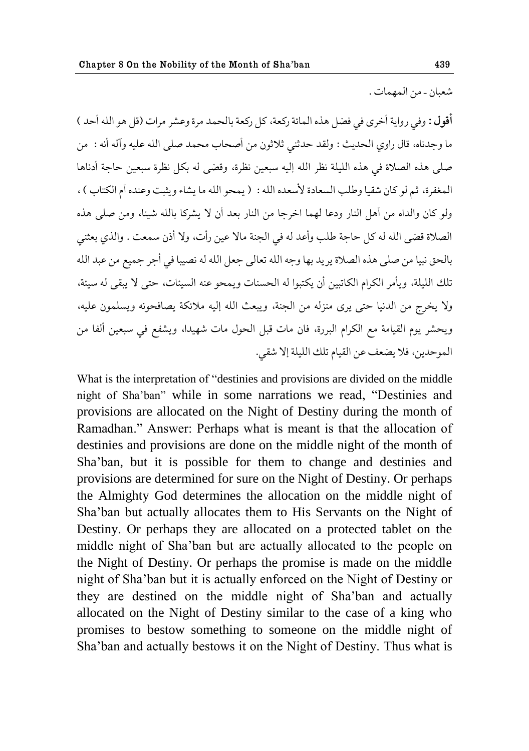شعبان - من المهمات .

أقول : وفي رواية أخرى في فضل هذه المائة ركعة، كل ركعة بالحمد مرة وعشر مرات (قل هو الله أحد ) ما وجدناه، قال راوي الحديث : ولقد حدثني ثلاثون من أصحاب محمد صلى الله عليه وآله أنه : ً من صلّى هذه الصلاة في هذه الليلة نظر الله إليه سبعين نظرة، وقضى له بكل نظرة سبعين حاجة أدناها المغفرة، ثم لو كان شقيا وطلب السعادة لأسعده الله : ( يمحو الله ما يشاء ويثبت وعنده أم الكتاب ) ، ولو كان والداه من أهل النار ودعا لهما اخرجًا من النار بعد أن لا يشركًا بالله شيئًا، ومن صلى هذه الصلاة قضى الله له كل حاجة طلب وأعد له في الجنة مالا عين رأت، ولا أذن سمعت . والذي بعثني بالحق نبيا من صلى هذه الصلاة يريد بها وجه الله تعالى جعل الله له نصيبا في أجر جميع من عبد الله تلك الليلة، ويأمر الكرام الكاتبين أن يكتبوا له الحسنات ويمحو عنه السيئات، حتى لا يبقى له سيئة، ولا يخرج من الدنيا حتى يرى منزله من الجنة، ويبعث الله إليه ملائكة يصافحونه ويسلمون عليه، ويحشر يوم القيامة مع الكرام البررة، فان مات قبل الحول مات شهيدا، ويشفع في سبعين ألفا من الموحدين، فلا يضعف عن القيام تلك الليلة إلا شقى.

What is the interpretation of "destinies and provisions are divided on the middle night of Sha"ban" while in some narrations we read, "Destinies and provisions are allocated on the Night of Destiny during the month of Ramadhan." Answer: Perhaps what is meant is that the allocation of destinies and provisions are done on the middle night of the month of Sha"ban, but it is possible for them to change and destinies and provisions are determined for sure on the Night of Destiny. Or perhaps the Almighty God determines the allocation on the middle night of Sha"ban but actually allocates them to His Servants on the Night of Destiny. Or perhaps they are allocated on a protected tablet on the middle night of Sha"ban but are actually allocated to the people on the Night of Destiny. Or perhaps the promise is made on the middle night of Sha"ban but it is actually enforced on the Night of Destiny or they are destined on the middle night of Sha"ban and actually allocated on the Night of Destiny similar to the case of a king who promises to bestow something to someone on the middle night of Sha"ban and actually bestows it on the Night of Destiny. Thus what is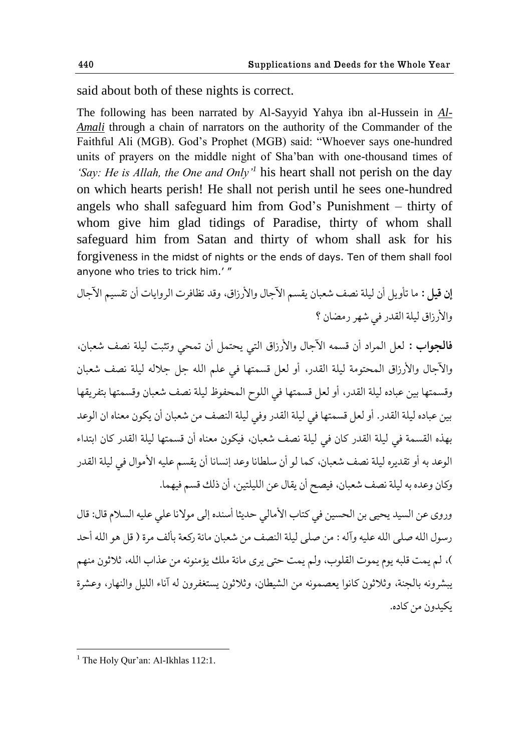said about both of these nights is correct.

The following has been narrated by Al-Sayyid Yahya ibn al-Hussein in *Al-Amali* through a chain of narrators on the authority of the Commander of the Faithful Ali (MGB). God"s Prophet (MGB) said: "Whoever says one-hundred units of prayers on the middle night of Sha"ban with one-thousand times of *"Say: He is Allah, the One and Only"<sup>1</sup>* his heart shall not perish on the day on which hearts perish! He shall not perish until he sees one-hundred angels who shall safeguard him from God"s Punishment – thirty of whom give him glad tidings of Paradise, thirty of whom shall safeguard him from Satan and thirty of whom shall ask for his forgiveness in the midst of nights or the ends of days. Ten of them shall fool anyone who tries to trick him.'"

إ**ن قيل :** ما تأويل أن ليلة نصف شعبان يقسم الآجال والأرزاق، وقد تظافرت الروايات أن تقسيم الآجال والأرزاق ليلة القدر في شهر رمضان ؟

فالجواب : لعل المراد أن قسمه الآجال والأرزاق التي يحتمل أن تمحى وتثبت ليلة نصف شعبان، والآجال والأرزاق المحتومة ليلة القدر، أو لعل قسمتها في علم الله جل جلاله ليلة نصف شعبان وقسمتها بين عباده ليلة القدر، أو لعل قسمتها في اللوح المحفوظ ليلة نصف شعبان وقسمتها بتفريقها بين عباده ليلة القدر. أو لعل قسمتها في ليلة القدر وفي ليلة النصف من شعبان أن يكون معناه ان الوعد بهذه القسمة في ليلة القدر كان في ليلة نصف شعبان، فيكون معناه أن قسمتها ليلة القدر كان ابتداء الوعد به أو تقديره ليلة نصف شعبان، كما لو أن سلطانا وعد إنسانا أن يقسم عليه الأموال في ليلة القدر وكان وعده به ليلة نصف شعبان، فيصح أن يقال عن الليلتين، أن ذلك قسم فيهما.

وروى عن السيد يحيى بن الحسين في كتاب الأمالي حديثا أسنده إلى مولانا على عليه السلام قال: قال رسول الله صلى الله عليه وآله : من صلى ليلة النصف من شعبان مائة ركعة بألف مرة ( قل هو الله أحد )، لم يمت قلبه يوم يموت القلوب، ولم يمت حتى يرى مائة ملك يؤمنونه من عذاب الله، ثلاثون منهم يبشرونه بالجنة، وثلاثون كانوا يعصمونه من الشيطان، وثلاثون يستغفرون له آناء الليل والنهار، وعشرة يكيدون من كاده.

 $<sup>1</sup>$  The Holy Our'an: Al-Ikhlas 112:1.</sup>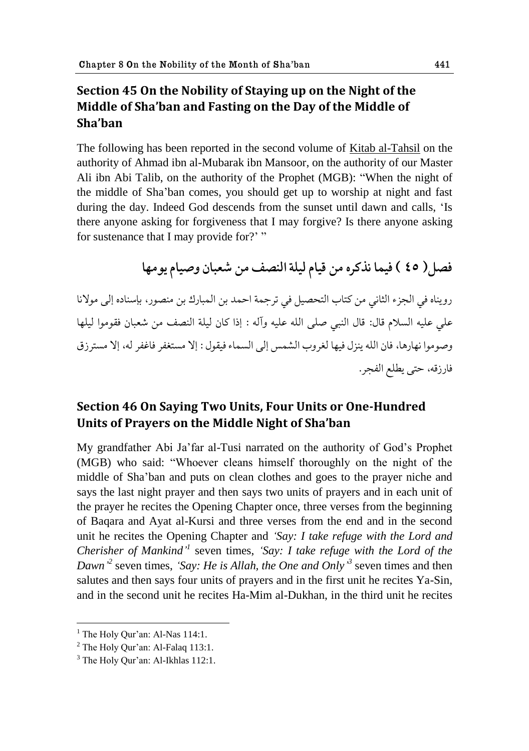# **Section 45 On the Nobility of Staying up on the Night of the Middle of Sha'ban and Fasting on the Day of the Middle of Sha'ban**

The following has been reported in the second volume of Kitab al-Tahsil on the authority of Ahmad ibn al-Mubarak ibn Mansoor, on the authority of our Master Ali ibn Abi Talib, on the authority of the Prophet (MGB): "When the night of the middle of Sha"ban comes, you should get up to worship at night and fast during the day. Indeed God descends from the sunset until dawn and calls, "Is there anyone asking for forgiveness that I may forgive? Is there anyone asking for sustenance that I may provide for?"

فصل( ٤٥ ) فيما نذكره من قيام ليلة النصف من شعبان وصيام يومها رويناه في الجزء الثاني من كتاب التحصيل في ترجمة احمد بن المبارك بن منصور، بإسناده إلى مولانا على عليه السلام قال: قال النبي صلى الله عليه وآله : إذا كان ليلة النصف من شعبان فقوموا ليلها وصوموا نهارها، فان الله ينزل فيها لغروب الشمس إلى السماء فيقول : إلا مستغفر فاغفر له، إلا مسترزق فارزقه، حتى يطلع الفجر.

# **Section 46 On Saying Two Units, Four Units or One-Hundred Units of Prayers on the Middle Night of Sha'ban**

My grandfather Abi Ja"far al-Tusi narrated on the authority of God"s Prophet (MGB) who said: "Whoever cleans himself thoroughly on the night of the middle of Sha"ban and puts on clean clothes and goes to the prayer niche and says the last night prayer and then says two units of prayers and in each unit of the prayer he recites the Opening Chapter once, three verses from the beginning of Baqara and Ayat al-Kursi and three verses from the end and in the second unit he recites the Opening Chapter and *"Say: I take refuge with the Lord and Cherisher of Mankind*<sup>1</sup> seven times, 'Say: I take refuge with the Lord of the *Dawn*<sup>2</sup> seven times, *'Say: He is Allah, the One and Only*<sup>3</sup> seven times and then salutes and then says four units of prayers and in the first unit he recites Ya-Sin, and in the second unit he recites Ha-Mim al-Dukhan, in the third unit he recites

 $<sup>1</sup>$  The Holy Our'an: Al-Nas 114:1.</sup>

 $<sup>2</sup>$  The Holy Qur'an: Al-Falaq 113:1.</sup>

 $3$  The Holy Our'an: Al-Ikhlas 112:1.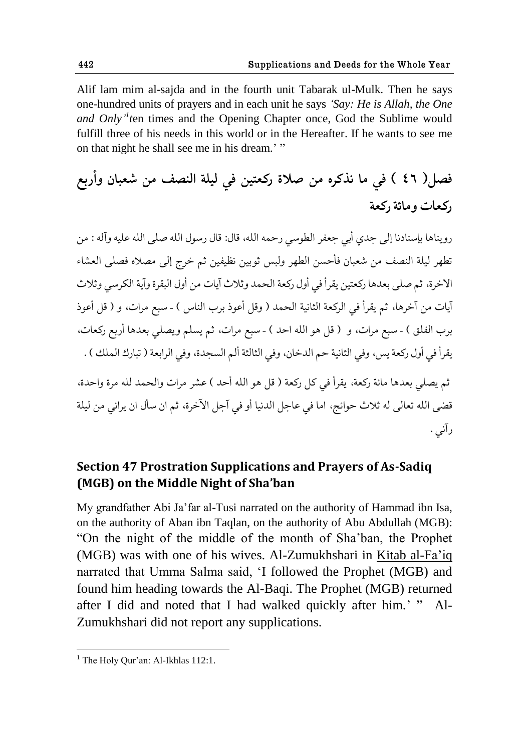Alif lam mim al-sajda and in the fourth unit Tabarak ul-Mulk. Then he says one-hundred units of prayers and in each unit he says *"Say: He is Allah, the One and Only*<sup>'</sup>*t*en times and the Opening Chapter once, God the Sublime would fulfill three of his needs in this world or in the Hereafter. If he wants to see me on that night he shall see me in his dream." "

# فصل( ٤٦ ) في ما نذكره من صلاة ركعتين في ليلة النصف من شعبان وأربع **قک١ات وهاثة قک١ة**

رويناها بإسنادنا إلى جدى أبي جعفر الطوسي رحمه الله، قال: قال رسول الله صلى الله عليه وآله : من تطهر ليلة النصف من شعبان فأحسن الطهر ولبس ثوبين نظيفين ثم خرج إلى مصلاه فصلى العشاء الإخرة، ثم صلى بعدها ركعتين يقرأ في أول ركعة الحمد وثلاث آيات من أول البقرة وآية الكرسي وثلاث آيات من آخرها، ثم يقرأ في الركعة الثانية الحمد ( وقل أعوذ برب الناس ) - سبع مرات، و ( قل أعوذ برب الفلق ) - سبع مرات، و ( قل هو الله احد ) - سبع مرات، ثم يسلم ويصلي بعدها أربع ركعات، يقرأ في أول ركعة يس، وفي الثانية حم الدخان، وفي الثالثة ألم السجدة، وفي الرابعة ( تبارك الملك ) . ثم يصلي بعدها مائة ركعة، يقرأ في كل ركعة ( قل هو الله أحد ) عشر مرات والحمد لله مرة واحدة، قضي الله تعالى له ثلاث حوائج، اما في عاجل الدنيا أو في آجل الآخرة، ثم ان سأل ان يراني من ليلة رآني .

# **Section 47 Prostration Supplications and Prayers of As-Sadiq (MGB) on the Middle Night of Sha'ban**

My grandfather Abi Ja"far al-Tusi narrated on the authority of Hammad ibn Isa, on the authority of Aban ibn Taqlan, on the authority of Abu Abdullah (MGB): "On the night of the middle of the month of Sha"ban, the Prophet (MGB) was with one of his wives. Al-Zumukhshari in Kitab al-Fa"iq narrated that Umma Salma said, "I followed the Prophet (MGB) and found him heading towards the Al-Baqi. The Prophet (MGB) returned after I did and noted that I had walked quickly after him." " Al-Zumukhshari did not report any supplications.

 $<sup>1</sup>$  The Holy Our'an: Al-Ikhlas 112:1.</sup>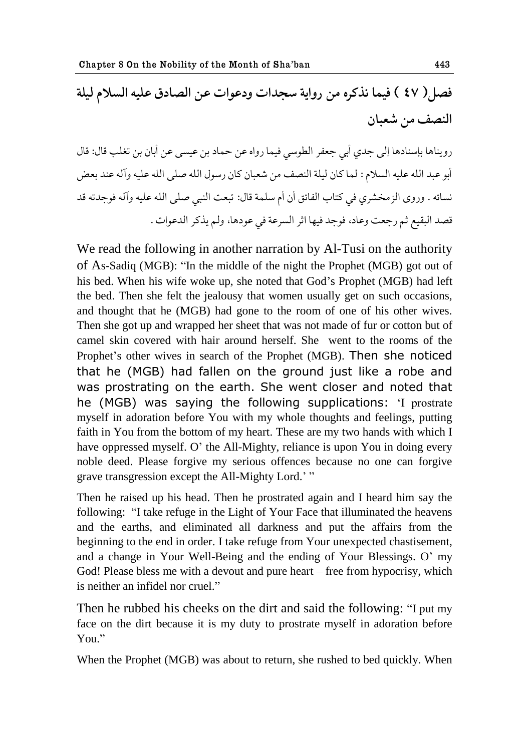# فصل( ٤٧ ) فيما نذكره من رواية سجدات ودعوات عن الصادق عليه السلام ليلة النصف من شعبان

رويناها بإسنادها إلى جدي أبي جعفر الطوسي فيما رواه عن حماد بن عيسى عن أبان بن تغلب قال: قال أبو عبد الله عليه السلام : لما كان ليلة النصف من شعبان كان رسول الله صلى الله عليه وآله عند بعض نسائه . وروى الزمخشري في كتاب الفائق أن أم سلمة قال: تبعت النبي صلى الله عليه وآله فوجدته قد قصد البقيع ثم رجعت وعاد، فوجد فيها اثر السرعة في عودها، ولم يذكر الدعوات .

We read the following in another narration by Al-Tusi on the authority of As-Sadiq (MGB): "In the middle of the night the Prophet (MGB) got out of his bed. When his wife woke up, she noted that God"s Prophet (MGB) had left the bed. Then she felt the jealousy that women usually get on such occasions, and thought that he (MGB) had gone to the room of one of his other wives. Then she got up and wrapped her sheet that was not made of fur or cotton but of camel skin covered with hair around herself. She went to the rooms of the Prophet's other wives in search of the Prophet (MGB). Then she noticed that he (MGB) had fallen on the ground just like a robe and was prostrating on the earth. She went closer and noted that he (MGB) was saying the following supplications: 'I prostrate myself in adoration before You with my whole thoughts and feelings, putting faith in You from the bottom of my heart. These are my two hands with which I have oppressed myself. O' the All-Mighty, reliance is upon You in doing every noble deed. Please forgive my serious offences because no one can forgive grave transgression except the All-Mighty Lord." "

Then he raised up his head. Then he prostrated again and I heard him say the following: "I take refuge in the Light of Your Face that illuminated the heavens and the earths, and eliminated all darkness and put the affairs from the beginning to the end in order. I take refuge from Your unexpected chastisement, and a change in Your Well-Being and the ending of Your Blessings. O" my God! Please bless me with a devout and pure heart – free from hypocrisy, which is neither an infidel nor cruel."

Then he rubbed his cheeks on the dirt and said the following: "I put my face on the dirt because it is my duty to prostrate myself in adoration before Y<sub>ou</sub>"

When the Prophet (MGB) was about to return, she rushed to bed quickly. When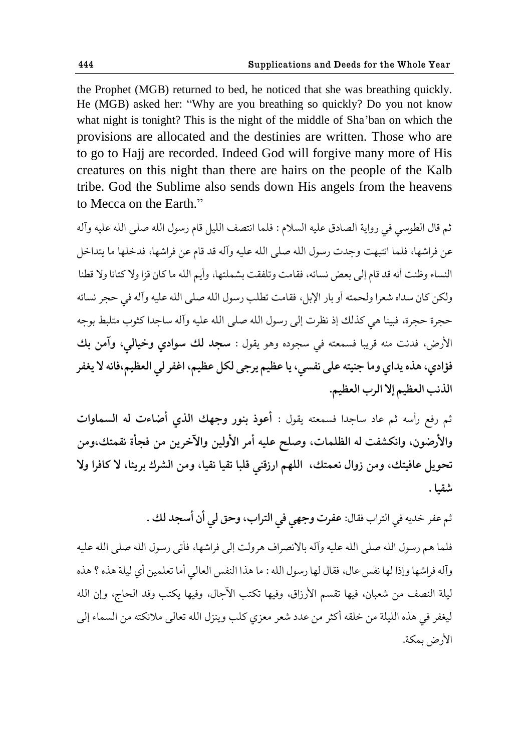the Prophet (MGB) returned to bed, he noticed that she was breathing quickly. He (MGB) asked her: "Why are you breathing so quickly? Do you not know what night is tonight? This is the night of the middle of Sha"ban on which the provisions are allocated and the destinies are written. Those who are to go to Hajj are recorded. Indeed God will forgive many more of His creatures on this night than there are hairs on the people of the Kalb tribe. God the Sublime also sends down His angels from the heavens to Mecca on the Earth."

ثم قال الطوسي في رواية الصادق عليه السلام : فلما انتصف الليل قام رسول الله صلى الله عليه وآله عن فراشها، فلما انتبهت وجدت رسول الله صلى الله عليه وآله قد قام عن فراشها، فدخلها ما يتداخل النساء وظنت أنه قد قام إلى بعض نسائه، فقامت وتلفقت بشملتها، وأيم الله ما كان قزا ولا كتانا ولا قطنا ولكن كان سداه شعرا ولحمته أو بار الإبل، فقامت تطلب رسول الله صلى الله عليه وآله في حجر نسائه حجرة حجرة، فبينا هي كذلك إذ نظرت إلى رسول الله صلى الله عليه وآله ساجدا كثوب متلبط بوجه الأرض، فدنت منه قريبا فسمعته في سجوده وهو يقول : **سجد لك سوادي وخيالي، وآمن بك** فؤادي، هذه يداي وما جنيته على نفسي، يا عظيم يرجى لكل عظيم، اغفر لي العظيم،فانه لا يغفر الذنب العظيم إلا الرب العظيم.

ثم رفع رأسه ثم عاد ساجدا فسمعته يقول : أ**عوذ بنور وجهك الذي أضاءت له السماوات** والأرضون، وانكشفت له الظلمات، وصلح عليه أمر الأولين والآخرين من فجأة نقمتك،ومن تحويل عافيتك، ومن زوال نعمتك، اللهم ارزقني قلبا تقيا نقيا، ومن الشرك بريئا، لا كافرا ولا **ٌ٭يا .**

ثم عفر خديه في التراب فقال: **عفرت وجهي في التراب، وحق لي أن أسجد لك** .

فلما هم رسول الله صلى الله عليه وآله بالانصراف هرولت إلى فراشها، فأتى رسول الله صلى الله عليه وآله فراشها وإذا لها نفس عال، فقال لها رسول الله : ما هذا النفس العالي أما تعلمين أي ليلة هذه ؟ هذه ليلة النصف من شعبان، فيها تقسم الأرزاق، وفيها تكتب الآجال، وفيها يكتب وفد الحاج، وإن الله ليغفر في هذه الليلة من خلقه أكثر من عدد شعر معزى كلب وينزل الله تعالى ملائكته من السماء إلى الأرض بمكة.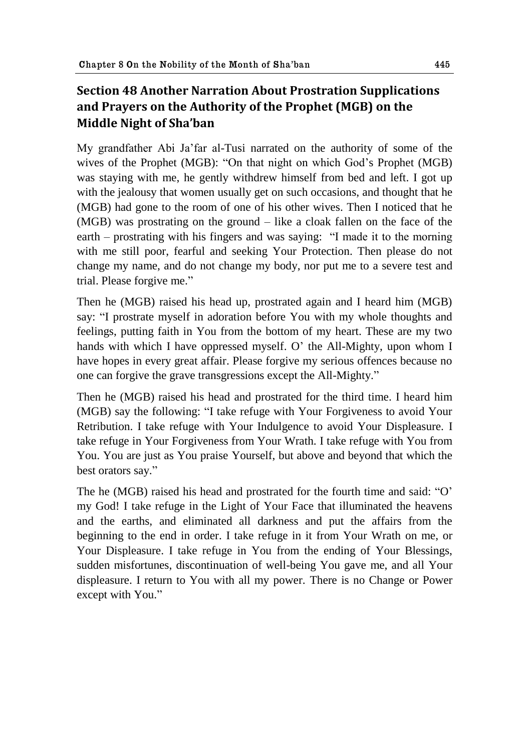# **Section 48 Another Narration About Prostration Supplications and Prayers on the Authority of the Prophet (MGB) on the Middle Night of Sha'ban**

My grandfather Abi Ja"far al-Tusi narrated on the authority of some of the wives of the Prophet (MGB): "On that night on which God's Prophet (MGB) was staying with me, he gently withdrew himself from bed and left. I got up with the jealousy that women usually get on such occasions, and thought that he (MGB) had gone to the room of one of his other wives. Then I noticed that he (MGB) was prostrating on the ground – like a cloak fallen on the face of the earth – prostrating with his fingers and was saying: "I made it to the morning with me still poor, fearful and seeking Your Protection. Then please do not change my name, and do not change my body, nor put me to a severe test and trial. Please forgive me."

Then he (MGB) raised his head up, prostrated again and I heard him (MGB) say: "I prostrate myself in adoration before You with my whole thoughts and feelings, putting faith in You from the bottom of my heart. These are my two hands with which I have oppressed myself. O' the All-Mighty, upon whom I have hopes in every great affair. Please forgive my serious offences because no one can forgive the grave transgressions except the All-Mighty."

Then he (MGB) raised his head and prostrated for the third time. I heard him (MGB) say the following: "I take refuge with Your Forgiveness to avoid Your Retribution. I take refuge with Your Indulgence to avoid Your Displeasure. I take refuge in Your Forgiveness from Your Wrath. I take refuge with You from You. You are just as You praise Yourself, but above and beyond that which the best orators say."

The he (MGB) raised his head and prostrated for the fourth time and said: "O" my God! I take refuge in the Light of Your Face that illuminated the heavens and the earths, and eliminated all darkness and put the affairs from the beginning to the end in order. I take refuge in it from Your Wrath on me, or Your Displeasure. I take refuge in You from the ending of Your Blessings, sudden misfortunes, discontinuation of well-being You gave me, and all Your displeasure. I return to You with all my power. There is no Change or Power except with You."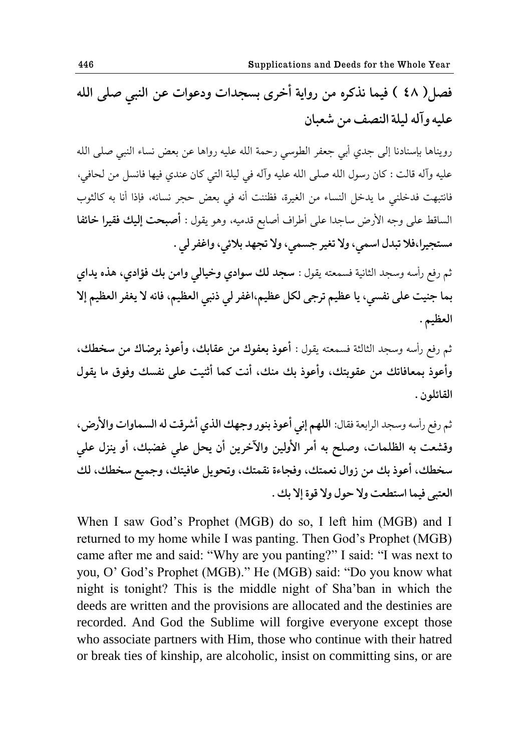فصل( ٤٨ ) فيما نذكره من رواية أخرى بسجدات ودعوات عن النبي صلى الله عليه وآله ليلة النصف من شعبان

رويناها بإسنادنا إلى جدي أبي جعفر الطوسى رحمة الله عليه رواها عن بعض نساء النبي صلى الله عليه وآله قالت : كان رسول الله صلى الله عليه وآله في ليلة التي كان عندي فيها فانسل من لحافي، فانتبهت فدخلني ما يدخل النساء من الغيرة، فظننت أنه في بعض حجر نسائه، فإذا أنا به كالثوب الساقط على وجه الأرض ساجدا على أطراف أصابع قدميه، وهو يقول : أَصبحت **إليك فقيرا خائفا** مستجيرا،فلا تبدل اسمي، ولا تغير جسمي، ولا تجهد بلائي، واغفر لي .

ثم رفع رأسه وسجد الثانية فسمعته يقول : **سجد لك سوادي وخيالي وامن بك فؤادي، هذه يداي** بما جنيت على نفسي، يا عظيم ترجى لكل عظيم،اغفر لي ذنبي العظيم، فانه لا يغفر العظيم إلا العظيم .

ثم رفع رأسه وسجد الثالثة فسمعته يقول : **أعوذ بعفوك من عقابك، وأعوذ برضاك من سخطك،** وأعوذ بمعافاتك من عقوبتك، وأعوذ بك منك، أنت كما أثنيت على نفسك وفوق ما يقول القائلون .

ثم رفع رأسه وسجد الرابعة فقال: اللهم إني أعوذ بنور وجهك الذي أشرقت له السماوات والأرض، وقشعت به الظلمات، وصلح به أمر الأولين والآخرين أن يحل على غضبك، أو ينزل علي سخطك، أعوذ بك من زوال نعمتك، وفجاءة نقمتك، وتحويل عافيتك، وجميع سخطك، لك العتبي فيما استطعت ولا حول ولا قوة إلا بك .

When I saw God"s Prophet (MGB) do so, I left him (MGB) and I returned to my home while I was panting. Then God's Prophet (MGB) came after me and said: "Why are you panting?" I said: "I was next to you, O" God"s Prophet (MGB)." He (MGB) said: "Do you know what night is tonight? This is the middle night of Sha"ban in which the deeds are written and the provisions are allocated and the destinies are recorded. And God the Sublime will forgive everyone except those who associate partners with Him, those who continue with their hatred or break ties of kinship, are alcoholic, insist on committing sins, or are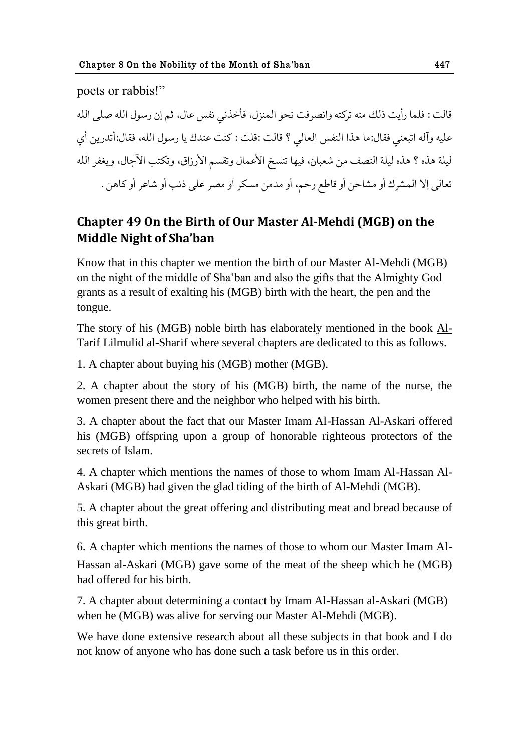poets or rabbis!"

قالت : فلما رأيت ذلك منه تركته وانصرفت نحو المنزل، فأخذني نفس عال، ثم إن رسول الله صلى الله عليه وآله اتبعني فقال:ما هذا النفس العالي ؟ قالت :قلت : كنت عندك يا رسول الله، فقال:أتدرين أي ليلة هذه ؟ هذه ليلة النصف من شعبان، فيها تنسخ الأعمال وتقسم الأرزاق، وتكتب الآجال، ويغفر الله تعالى إلا المشرك أو مشاحن أو قاطع رحمٍ، أو مدمن مسكر أو مصر على ذنب أو شاعر أو كاهن .

# **Chapter 49 On the Birth of Our Master Al-Mehdi (MGB) on the Middle Night of Sha'ban**

Know that in this chapter we mention the birth of our Master Al-Mehdi (MGB) on the night of the middle of Sha"ban and also the gifts that the Almighty God grants as a result of exalting his (MGB) birth with the heart, the pen and the tongue.

The story of his (MGB) noble birth has elaborately mentioned in the book Al-Tarif Lilmulid al-Sharif where several chapters are dedicated to this as follows.

1. A chapter about buying his (MGB) mother (MGB).

2. A chapter about the story of his (MGB) birth, the name of the nurse, the women present there and the neighbor who helped with his birth.

3. A chapter about the fact that our Master Imam Al-Hassan Al-Askari offered his (MGB) offspring upon a group of honorable righteous protectors of the secrets of Islam.

4. A chapter which mentions the names of those to whom Imam Al-Hassan Al-Askari (MGB) had given the glad tiding of the birth of Al-Mehdi (MGB).

5. A chapter about the great offering and distributing meat and bread because of this great birth.

6. A chapter which mentions the names of those to whom our Master Imam Al-Hassan al-Askari (MGB) gave some of the meat of the sheep which he (MGB) had offered for his birth.

7. A chapter about determining a contact by Imam Al-Hassan al-Askari (MGB) when he (MGB) was alive for serving our Master Al-Mehdi (MGB).

We have done extensive research about all these subjects in that book and I do not know of anyone who has done such a task before us in this order.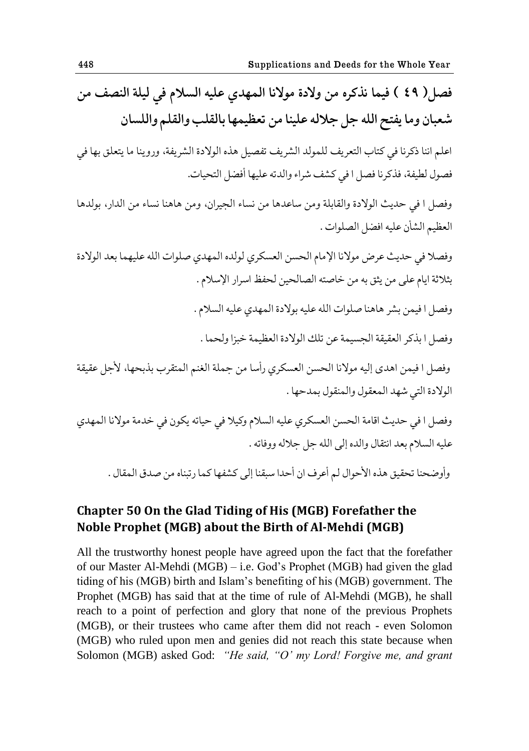فصل ( ٤٩ ) فيما نذكره من ولادة مولانا المهدي عليه السلام في ليلة النصف من شعبان وما يفتح الله جل جلاله علينا من تعظيمها بالقلب والقلم واللسان اعلم اننا ذكرنا في كتاب التعريف للمولد الشريف تفصيل هذه الولادة الشريفة، وروينا ما يتعلق بها في

فصول لطيفة، فذكرنا فصل ا في كشف شراء والدته عليها أفضل التحيات.

وفصل ا في حديث الولادة والقابلة ومن ساعدها من نساء الجيران، ومن هاهنا نساء من الدار، بولدها العظيم الشأن عليه افضل الصلوات .

وفصلا في حديث عرض مولانا الإمام الحسن العسكري لولده المهدي صلوات الله عليهما بعد الولادة بثلاثة ايام على من يثق به من خاصته الصالحين لحفظ اسرار الإسلام .

وفصل ا فيمن بشر هاهنا صلوات الله عليه بولادة المهدي عليه السلام .

وفصل ا بذكر العقيقة الجسيمة عن تلك الولادة العظيمة خبزا ولحما .

وفصل ا فيمن اهدى إليه مولانا الحسن العسكري رأسا من جملة الغنم المتقرب بذبحها، لأجل عقيقة الولادة التي شهد المعقول والمنقول بمدحها .

وفصل ا في حديث اقامة الحسن العسكري عليه السلام وكيلا في حياته يكون في خدمة مولانا المهدي عليه السلام بعد انتقال والده إلى الله جل جلاله ووفاته .

وأوضحنا تحقيق هذه الأحوال لم أعرف ان أحدا سبقنا إلى كشفها كما رتبناه من صدق المقال .

### **Chapter 50 On the Glad Tiding of His (MGB) Forefather the Noble Prophet (MGB) about the Birth of Al-Mehdi (MGB)**

All the trustworthy honest people have agreed upon the fact that the forefather of our Master Al-Mehdi (MGB) – i.e. God"s Prophet (MGB) had given the glad tiding of his (MGB) birth and Islam"s benefiting of his (MGB) government. The Prophet (MGB) has said that at the time of rule of Al-Mehdi (MGB), he shall reach to a point of perfection and glory that none of the previous Prophets (MGB), or their trustees who came after them did not reach - even Solomon (MGB) who ruled upon men and genies did not reach this state because when Solomon (MGB) asked God: *"He said, "O" my Lord! Forgive me, and grant*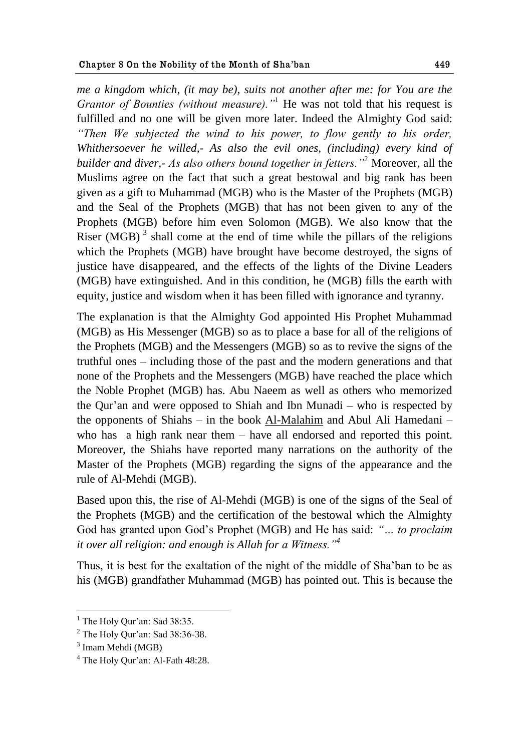*me a kingdom which, (it may be), suits not another after me: for You are the Grantor of Bounties (without measure).*<sup>"1</sup> He was not told that his request is fulfilled and no one will be given more later. Indeed the Almighty God said: *"Then We subjected the wind to his power, to flow gently to his order, Whithersoever he willed,- As also the evil ones, (including) every kind of builder and diver,- As also others bound together in fetters."*<sup>2</sup> Moreover, all the Muslims agree on the fact that such a great bestowal and big rank has been given as a gift to Muhammad (MGB) who is the Master of the Prophets (MGB) and the Seal of the Prophets (MGB) that has not been given to any of the Prophets (MGB) before him even Solomon (MGB). We also know that the Riser (MGB) $<sup>3</sup>$  shall come at the end of time while the pillars of the religions</sup> which the Prophets (MGB) have brought have become destroyed, the signs of justice have disappeared, and the effects of the lights of the Divine Leaders (MGB) have extinguished. And in this condition, he (MGB) fills the earth with equity, justice and wisdom when it has been filled with ignorance and tyranny.

The explanation is that the Almighty God appointed His Prophet Muhammad (MGB) as His Messenger (MGB) so as to place a base for all of the religions of the Prophets (MGB) and the Messengers (MGB) so as to revive the signs of the truthful ones – including those of the past and the modern generations and that none of the Prophets and the Messengers (MGB) have reached the place which the Noble Prophet (MGB) has. Abu Naeem as well as others who memorized the Qur"an and were opposed to Shiah and Ibn Munadi – who is respected by the opponents of Shiahs – in the book Al-Malahim and Abul Ali Hamedani – who has a high rank near them – have all endorsed and reported this point. Moreover, the Shiahs have reported many narrations on the authority of the Master of the Prophets (MGB) regarding the signs of the appearance and the rule of Al-Mehdi (MGB).

Based upon this, the rise of Al-Mehdi (MGB) is one of the signs of the Seal of the Prophets (MGB) and the certification of the bestowal which the Almighty God has granted upon God"s Prophet (MGB) and He has said: *"… to proclaim it over all religion: and enough is Allah for a Witness."<sup>4</sup>*

Thus, it is best for the exaltation of the night of the middle of Sha"ban to be as his (MGB) grandfather Muhammad (MGB) has pointed out. This is because the

<u>.</u>

 $<sup>1</sup>$  The Holy Qur'an: Sad 38:35.</sup>

 $2$  The Holy Our'an: Sad 38:36-38.

<sup>&</sup>lt;sup>3</sup> Imam Mehdi (MGB)

<sup>&</sup>lt;sup>4</sup> The Holy Qur'an: Al-Fath 48:28.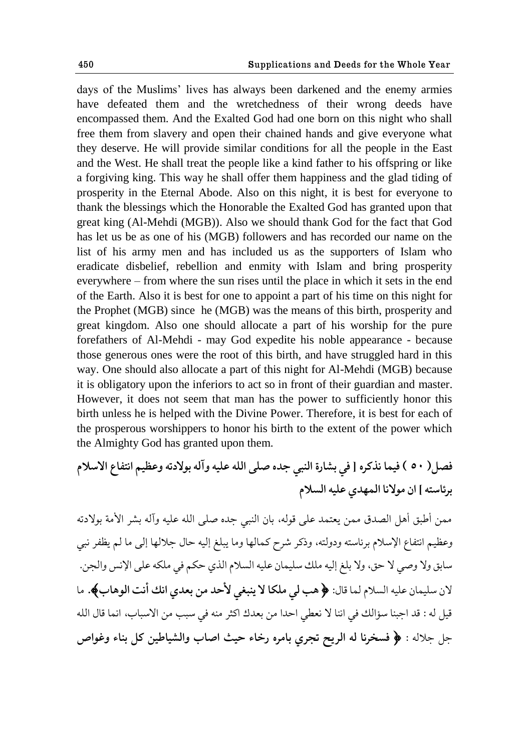days of the Muslims" lives has always been darkened and the enemy armies have defeated them and the wretchedness of their wrong deeds have encompassed them. And the Exalted God had one born on this night who shall free them from slavery and open their chained hands and give everyone what they deserve. He will provide similar conditions for all the people in the East and the West. He shall treat the people like a kind father to his offspring or like a forgiving king. This way he shall offer them happiness and the glad tiding of prosperity in the Eternal Abode. Also on this night, it is best for everyone to thank the blessings which the Honorable the Exalted God has granted upon that great king (Al-Mehdi (MGB)). Also we should thank God for the fact that God has let us be as one of his (MGB) followers and has recorded our name on the list of his army men and has included us as the supporters of Islam who eradicate disbelief, rebellion and enmity with Islam and bring prosperity everywhere – from where the sun rises until the place in which it sets in the end of the Earth. Also it is best for one to appoint a part of his time on this night for the Prophet (MGB) since he (MGB) was the means of this birth, prosperity and great kingdom. Also one should allocate a part of his worship for the pure forefathers of Al-Mehdi - may God expedite his noble appearance - because those generous ones were the root of this birth, and have struggled hard in this way. One should also allocate a part of this night for Al-Mehdi (MGB) because it is obligatory upon the inferiors to act so in front of their guardian and master. However, it does not seem that man has the power to sufficiently honor this birth unless he is helped with the Divine Power. Therefore, it is best for each of the prosperous worshippers to honor his birth to the extent of the power which the Almighty God has granted upon them.

**ّ٨ل) 51 ( ٨يما يفکكه ] ٨ي بٍاقة حلًبي شؿه ِلى حلله ٠ليه وآله بىالؾجه وٝ٠ين حيح٩اٞ حالوالم بكثاوحه [ حو هىاليا حلمهؿي ٠ليه حلىالم** 

ممن أطبق أهل الصدق ممن يعتمد على قوله، بان النبي حِده صلى الله عليه وآله بِشر الأمة بولادته وعظيم انتفاع الإسلام برئاسته ودولته، وذكر شرح كمالها وما يبلغ إليه حال جلالها إلى ما لم يظفر نبي سابق ولا وصي لا حق، ولا بلغ إليه ملك سليمان عليه السلام الذي حكم في ملكه على الإنس والجن. لان سليمان عليه السلام لما قال: ﴿ هب ل<sub>ي</sub> ملكا لا ينبغي لأحد من بعدي انك أنت الوهاب﴾. ما قيل له : قد اجبنا سؤالك في اننا لا نعطي احدًا من بعدك اكثر منه في سبب من الاسباب، انما قال الله جل جلاله : ﴿ فَسخرنا له الريح تجرى بامره رخاء حيث اصاب والشياطين كل بناء وغواص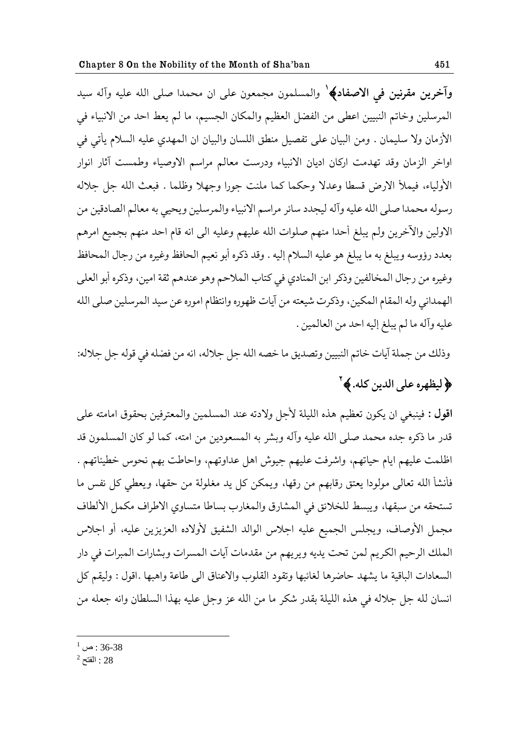**وآخرين مقرنين في الاصفاد﴾' والمسلمون مجمعون على ان محمدا صلى الله عليه وآله سيد** المرسلين وخاتم النبيين اعطى من الفضل العظيم والمكان الجسيم، ما لم يعط احد من الانبياء في الأزمان ولا سليمان . ومن البيان علمي تفصيل منطق اللسان والبيان ان المهدي عليه السلام يأتي في اواخر الزمان وقد تهدمت اركان اديان الانبياء ودرست معالم مراسم الاوصياء وطمست آثار انوار الأولياء، فيملأ الارض قسطا وعدلا وحكما كما ملنت جورا وجهلا وظلما . فبعث الله جل جلاله رسوله محمدا صلى الله عليه وآله ليجدد سائر مراسم الانبياء والمرسلين ويحيى به معالم الصادقين من الاولين والآخرين ولم يبلغ أحدا منهم صلوات الله عليهم وعليه الى انه قام احد منهم بجميع امرهم بعدد رؤوسه ويبلغ به ما يبلغ هو عليه السلام إليه . وقد ذكره أبو نعيم الحافظ وغيره من رجال المحافظ وغيره من رجال المخالفين وذكر ابن المنادي في كتاب الملاحم وهو عندهم ثقة امين، وذكره أبو العلى الهمداني وله المقام المكين، وذكرت شيعته من آيات ظهوره وانتظام اموره عن سيد المرسلين صلى الله عليه وآله ما لم يبلغ إليه احد من العالمين .

وذلك من جملة آيات خاتم النبيين وتصديق ما خصه الله جل جلاله، انه من فضله في قوله جل جلاله:

# **لله على الدين كله. ﴾ `**

اقول : فينبغي ان يكون تعظيم هذه الليلة لأجل ولادته عند المسلمين والمعترفين بحقوق امامته على قدر ما ذكره جده محمد صلى الله عليه وآله وبشر به المسعودين من امته، كما لو كان المسلمون قد اظلمت عليهم ايام حياتهم، واشرفت عليهم جيوش اهل عداوتهم، واحاطت بهم نحوس خطيئاتهم . فأنشأ الله تعالى مولودا يعتق رقابهم من رقها، ويمكن كل يد مغلولة من حقها، ويعطى كل نفس ما تستحقه من سبقها، ويبسط للخلائق في المشارق والمغارب بساطا متساوي الاطراف مكمل الألطاف مجمل الأوصاف، ويجلس الجميع عليه اجلاس الوالد الشفيق لأولاده العزيزين عليه، أو اجلاس الملك الرحيم الكريم لمن تحت يديه ويريهم من مقدمات آيات المسرات وبشارات المبرات في دار السعادات الباقية ما يشهد حاضرها لغائبها وتقود القلوب والاعناق الى طاعة واهبها .اقول : وليقم كل انسان لله جل جلاله في هذه الليلة بقدر شكر ما من الله عز وجل عليه بهذا السلطان وانه جعله من

 $^{1}$  : ص $^{1}$  : 36-38

 $^2$  : الفتح:  $28$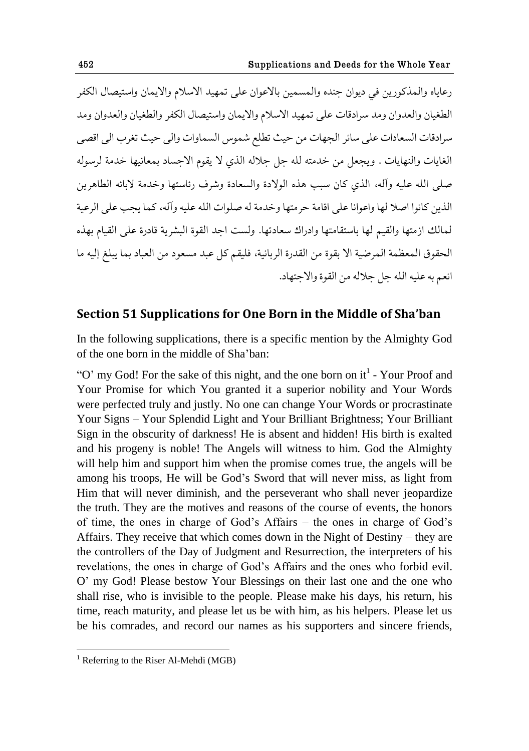رعاياه والمذكورين في ديوان حنده والمسمين بالاعوان على تمهيد الاسلام والايمان واستيصال الكفر الطغيان والعدوان ومد سرادقات على تمهيد الاسلام والايمان واستيصال الكفر والطغيان والعدوان ومد سرادقات السعادات على سائر الجهات من حيث تطلع شموس السماوات والى حيث تغرب الى اقصى الغايات والنهايات . ويجعل من خدمته لله جل جلاله الذي لا يقوم الاجساد بمعانيها خدمة لرسوله صلى الله عليه وآله، الذي كان سبب هذه الولادة والسعادة وشرف رئاستها وخدمة لابائه الطاهرين الذين كانوا اصلا لها واعوانا على اقامة حرمتها وخدمة له صلوات الله عليه وآله، كما يجب على الرعية لمالك ازمتها والقيم لها باستقامتها وإدراك سعادتها. ولست احِد القوة البشرية قادرة على القيام بهذه الحقوق المعظمة المرضية الا بقوة من القدرة الربانية، فليقم كل عبد مسعود من العباد بما يبلغ إليه ما انعم به عليه الله حل حلاله من القوة والاحتهاد.

### **Section 51 Supplications for One Born in the Middle of Sha'ban**

In the following supplications, there is a specific mention by the Almighty God of the one born in the middle of Sha"ban:

"O' my God! For the sake of this night, and the one born on  $it<sup>1</sup>$  - Your Proof and Your Promise for which You granted it a superior nobility and Your Words were perfected truly and justly. No one can change Your Words or procrastinate Your Signs – Your Splendid Light and Your Brilliant Brightness; Your Brilliant Sign in the obscurity of darkness! He is absent and hidden! His birth is exalted and his progeny is noble! The Angels will witness to him. God the Almighty will help him and support him when the promise comes true, the angels will be among his troops, He will be God"s Sword that will never miss, as light from Him that will never diminish, and the perseverant who shall never jeopardize the truth. They are the motives and reasons of the course of events, the honors of time, the ones in charge of God"s Affairs – the ones in charge of God"s Affairs. They receive that which comes down in the Night of Destiny – they are the controllers of the Day of Judgment and Resurrection, the interpreters of his revelations, the ones in charge of God"s Affairs and the ones who forbid evil. O" my God! Please bestow Your Blessings on their last one and the one who shall rise, who is invisible to the people. Please make his days, his return, his time, reach maturity, and please let us be with him, as his helpers. Please let us be his comrades, and record our names as his supporters and sincere friends,

 $<sup>1</sup>$  Referring to the Riser Al-Mehdi (MGB)</sup>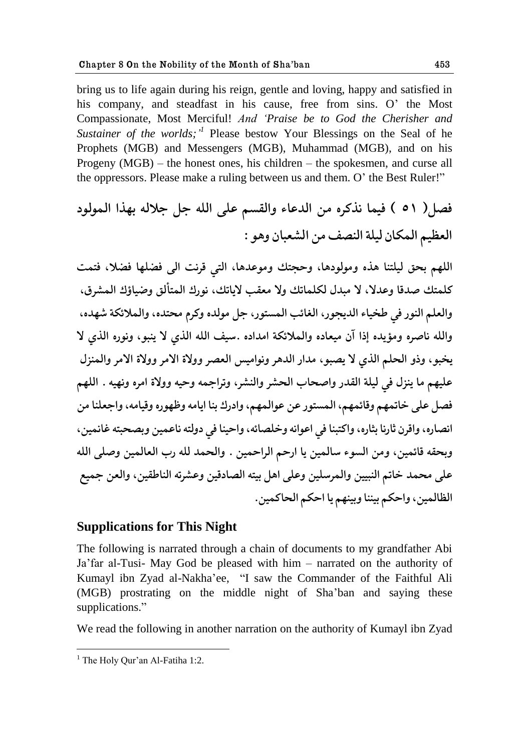bring us to life again during his reign, gentle and loving, happy and satisfied in his company, and steadfast in his cause, free from sins. O' the Most Compassionate, Most Merciful! *And "Praise be to God the Cherisher and*  Sustainer of the worlds;<sup>1</sup> Please bestow Your Blessings on the Seal of he Prophets (MGB) and Messengers (MGB), Muhammad (MGB), and on his Progeny (MGB) – the honest ones, his children – the spokesmen, and curse all the oppressors. Please make a ruling between us and them. O" the Best Ruler!"

**ّ٨ل) 51 ( ٨يما يفکكه هى حلؿ٠اء وحل٭ىن ٠لى حلله شل شالله بهفح حلمىلىؾ حلٝ١ين حلمكاو ليلة حل٧ًّ هى حل١ٍباو وهى :**

اللهم بحق ليلتنا هذه ومولودها، وحجتك وموعدها، التي قرنت ال<sub>ى</sub> فضلها فضلا، فتمت كلمتك صِدقا وعِدلا، لا مبدل لكلماتك ولا معقب لاياتك، نورك المتألق وضياؤك المشرق، والعلم النور في طخياء الديجور، الغائب المستور، جل مولده وكرم محتده، والملائكة شهده، والله ناصره ومؤيده إذا آن ميعاده والملائكة امداده .سيف الله الذي لا ينبو، ونوره الذي لا يخبو، وذو الحلم الذي لا يصبو، مدار الدهر ونواميس العصر وولاة الامر وولاة الامر والمنزل عليهم ما ينزل في ليلة القدر واصحاب الحشر والنشر، وتراجمه وحيه وولاة امره ونهيه . اللهم فصل على خاتمهم وقائمهم، المستور عن عوالمهم، وادرك بنا ايامه وظهوره وقيامه، واجعلنا من انصاره، واقرن ثارنا بثاره، واكتبنا في اعوانه وخلصائه، واحينا في دولته ناعمين وبصحبته غانمين، وبحقه قائمين، ومن السوء سالمين يا ارحم الراحمين . والحمد لله رب العالمين وصلى الله على محمد خاتم النبيين والمرسلين وعلى اهل بيته الصادقين وعشرته الناطقين، والعن جميع الظالمين، واحكم بيننا وبينهم يا احكم الحاكمين.

### **Supplications for This Night**

The following is narrated through a chain of documents to my grandfather Abi Ja"far al-Tusi- May God be pleased with him – narrated on the authority of Kumayl ibn Zyad al-Nakha"ee, "I saw the Commander of the Faithful Ali (MGB) prostrating on the middle night of Sha"ban and saying these supplications."

We read the following in another narration on the authority of Kumayl ibn Zyad

 $<sup>1</sup>$  The Holy Qur'an Al-Fatiha 1:2.</sup>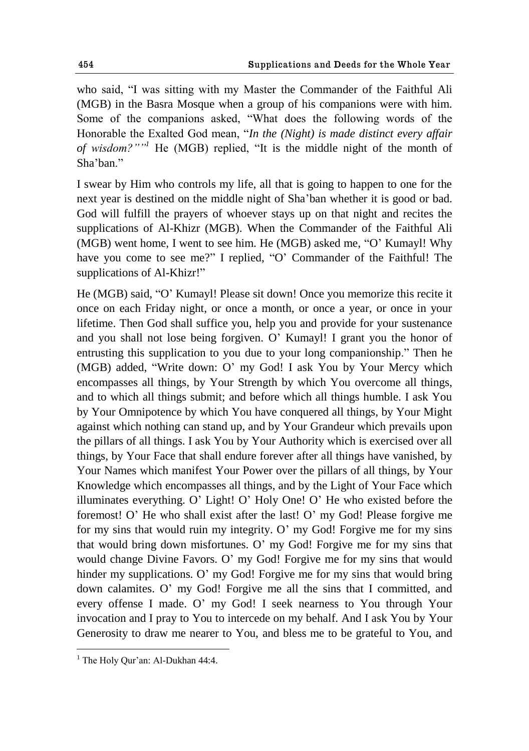who said, "I was sitting with my Master the Commander of the Faithful Ali (MGB) in the Basra Mosque when a group of his companions were with him. Some of the companions asked, "What does the following words of the Honorable the Exalted God mean, "*In the (Night) is made distinct every affair of wisdom?""<sup>1</sup>* He (MGB) replied, "It is the middle night of the month of Sha'ban"

I swear by Him who controls my life, all that is going to happen to one for the next year is destined on the middle night of Sha"ban whether it is good or bad. God will fulfill the prayers of whoever stays up on that night and recites the supplications of Al-Khizr (MGB). When the Commander of the Faithful Ali (MGB) went home, I went to see him. He (MGB) asked me, "O" Kumayl! Why have you come to see me?" I replied, "O' Commander of the Faithful! The supplications of Al-Khizr!"

He (MGB) said, "O" Kumayl! Please sit down! Once you memorize this recite it once on each Friday night, or once a month, or once a year, or once in your lifetime. Then God shall suffice you, help you and provide for your sustenance and you shall not lose being forgiven. O" Kumayl! I grant you the honor of entrusting this supplication to you due to your long companionship." Then he (MGB) added, "Write down: O" my God! I ask You by Your Mercy which encompasses all things, by Your Strength by which You overcome all things, and to which all things submit; and before which all things humble. I ask You by Your Omnipotence by which You have conquered all things, by Your Might against which nothing can stand up, and by Your Grandeur which prevails upon the pillars of all things. I ask You by Your Authority which is exercised over all things, by Your Face that shall endure forever after all things have vanished, by Your Names which manifest Your Power over the pillars of all things, by Your Knowledge which encompasses all things, and by the Light of Your Face which illuminates everything. O" Light! O" Holy One! O" He who existed before the foremost! O" He who shall exist after the last! O" my God! Please forgive me for my sins that would ruin my integrity. O" my God! Forgive me for my sins that would bring down misfortunes. O" my God! Forgive me for my sins that would change Divine Favors. O' my God! Forgive me for my sins that would hinder my supplications. O' my God! Forgive me for my sins that would bring down calamites. O" my God! Forgive me all the sins that I committed, and every offense I made. O" my God! I seek nearness to You through Your invocation and I pray to You to intercede on my behalf. And I ask You by Your Generosity to draw me nearer to You, and bless me to be grateful to You, and

 $<sup>1</sup>$  The Holy Our'an: Al-Dukhan 44:4.</sup>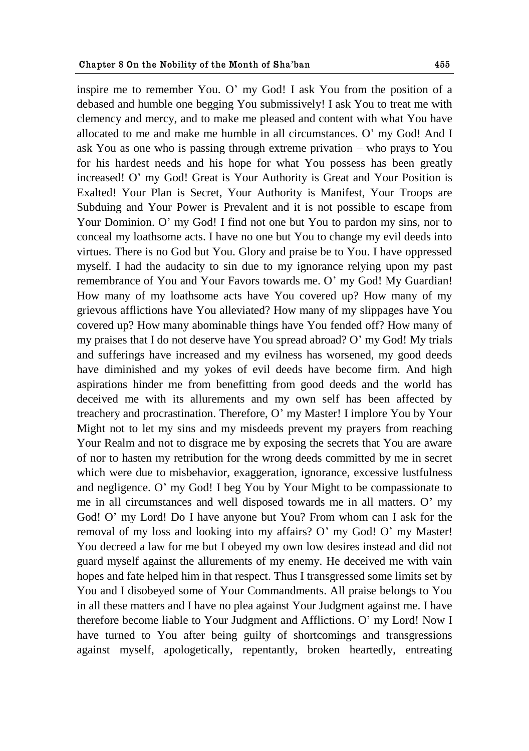inspire me to remember You. O" my God! I ask You from the position of a debased and humble one begging You submissively! I ask You to treat me with clemency and mercy, and to make me pleased and content with what You have allocated to me and make me humble in all circumstances. O" my God! And I ask You as one who is passing through extreme privation – who prays to You for his hardest needs and his hope for what You possess has been greatly increased! O" my God! Great is Your Authority is Great and Your Position is Exalted! Your Plan is Secret, Your Authority is Manifest, Your Troops are Subduing and Your Power is Prevalent and it is not possible to escape from Your Dominion. O" my God! I find not one but You to pardon my sins, nor to conceal my loathsome acts. I have no one but You to change my evil deeds into virtues. There is no God but You. Glory and praise be to You. I have oppressed myself. I had the audacity to sin due to my ignorance relying upon my past remembrance of You and Your Favors towards me. O" my God! My Guardian! How many of my loathsome acts have You covered up? How many of my grievous afflictions have You alleviated? How many of my slippages have You covered up? How many abominable things have You fended off? How many of my praises that I do not deserve have You spread abroad? O" my God! My trials and sufferings have increased and my evilness has worsened, my good deeds have diminished and my yokes of evil deeds have become firm. And high aspirations hinder me from benefitting from good deeds and the world has deceived me with its allurements and my own self has been affected by treachery and procrastination. Therefore, O" my Master! I implore You by Your Might not to let my sins and my misdeeds prevent my prayers from reaching Your Realm and not to disgrace me by exposing the secrets that You are aware of nor to hasten my retribution for the wrong deeds committed by me in secret which were due to misbehavior, exaggeration, ignorance, excessive lustfulness and negligence. O" my God! I beg You by Your Might to be compassionate to me in all circumstances and well disposed towards me in all matters. O" my God! O" my Lord! Do I have anyone but You? From whom can I ask for the removal of my loss and looking into my affairs? O" my God! O" my Master! You decreed a law for me but I obeyed my own low desires instead and did not guard myself against the allurements of my enemy. He deceived me with vain hopes and fate helped him in that respect. Thus I transgressed some limits set by You and I disobeyed some of Your Commandments. All praise belongs to You in all these matters and I have no plea against Your Judgment against me. I have therefore become liable to Your Judgment and Afflictions. O" my Lord! Now I have turned to You after being guilty of shortcomings and transgressions against myself, apologetically, repentantly, broken heartedly, entreating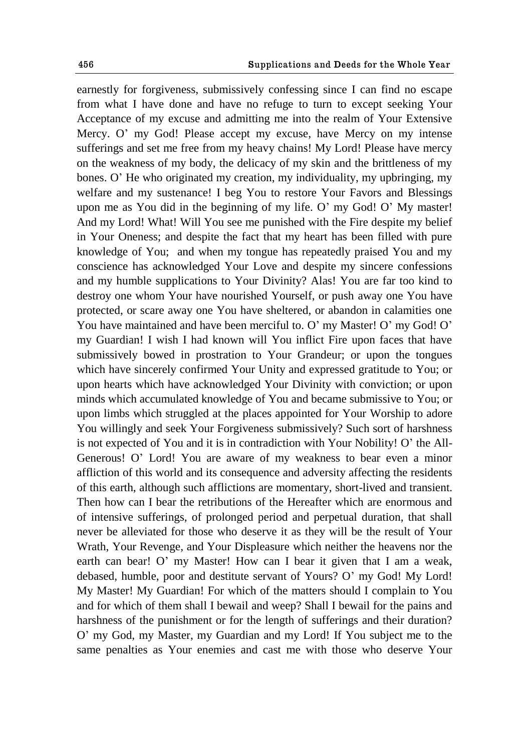earnestly for forgiveness, submissively confessing since I can find no escape from what I have done and have no refuge to turn to except seeking Your Acceptance of my excuse and admitting me into the realm of Your Extensive Mercy. O" my God! Please accept my excuse, have Mercy on my intense sufferings and set me free from my heavy chains! My Lord! Please have mercy on the weakness of my body, the delicacy of my skin and the brittleness of my bones. O" He who originated my creation, my individuality, my upbringing, my welfare and my sustenance! I beg You to restore Your Favors and Blessings upon me as You did in the beginning of my life. O' my God! O' My master! And my Lord! What! Will You see me punished with the Fire despite my belief in Your Oneness; and despite the fact that my heart has been filled with pure knowledge of You; and when my tongue has repeatedly praised You and my conscience has acknowledged Your Love and despite my sincere confessions and my humble supplications to Your Divinity? Alas! You are far too kind to destroy one whom Your have nourished Yourself, or push away one You have protected, or scare away one You have sheltered, or abandon in calamities one You have maintained and have been merciful to. O' my Master! O' my God! O' my Guardian! I wish I had known will You inflict Fire upon faces that have submissively bowed in prostration to Your Grandeur; or upon the tongues which have sincerely confirmed Your Unity and expressed gratitude to You; or upon hearts which have acknowledged Your Divinity with conviction; or upon minds which accumulated knowledge of You and became submissive to You; or upon limbs which struggled at the places appointed for Your Worship to adore You willingly and seek Your Forgiveness submissively? Such sort of harshness is not expected of You and it is in contradiction with Your Nobility! O" the All-Generous! O" Lord! You are aware of my weakness to bear even a minor affliction of this world and its consequence and adversity affecting the residents of this earth, although such afflictions are momentary, short-lived and transient. Then how can I bear the retributions of the Hereafter which are enormous and of intensive sufferings, of prolonged period and perpetual duration, that shall never be alleviated for those who deserve it as they will be the result of Your Wrath, Your Revenge, and Your Displeasure which neither the heavens nor the earth can bear! O' my Master! How can I bear it given that I am a weak, debased, humble, poor and destitute servant of Yours? O" my God! My Lord! My Master! My Guardian! For which of the matters should I complain to You and for which of them shall I bewail and weep? Shall I bewail for the pains and harshness of the punishment or for the length of sufferings and their duration? O" my God, my Master, my Guardian and my Lord! If You subject me to the same penalties as Your enemies and cast me with those who deserve Your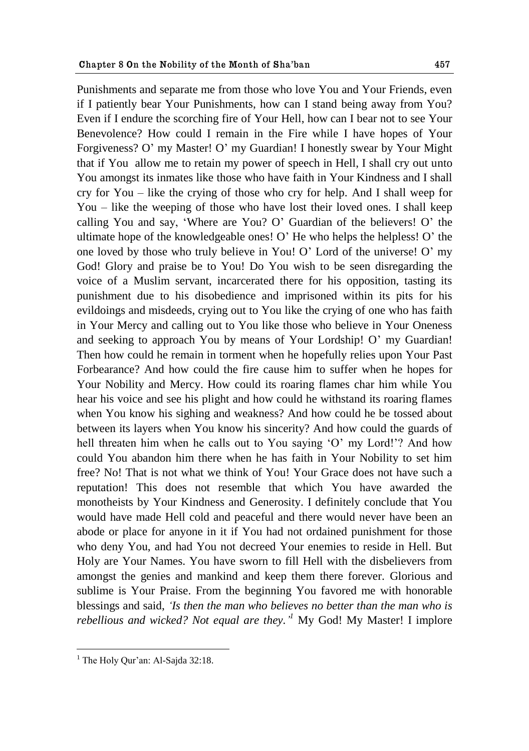Punishments and separate me from those who love You and Your Friends, even if I patiently bear Your Punishments, how can I stand being away from You? Even if I endure the scorching fire of Your Hell, how can I bear not to see Your Benevolence? How could I remain in the Fire while I have hopes of Your Forgiveness? O" my Master! O" my Guardian! I honestly swear by Your Might that if You allow me to retain my power of speech in Hell, I shall cry out unto You amongst its inmates like those who have faith in Your Kindness and I shall cry for You – like the crying of those who cry for help. And I shall weep for You – like the weeping of those who have lost their loved ones. I shall keep calling You and say, "Where are You? O" Guardian of the believers! O" the ultimate hope of the knowledgeable ones! O" He who helps the helpless! O" the one loved by those who truly believe in You! O" Lord of the universe! O" my God! Glory and praise be to You! Do You wish to be seen disregarding the voice of a Muslim servant, incarcerated there for his opposition, tasting its punishment due to his disobedience and imprisoned within its pits for his evildoings and misdeeds, crying out to You like the crying of one who has faith in Your Mercy and calling out to You like those who believe in Your Oneness and seeking to approach You by means of Your Lordship! O" my Guardian! Then how could he remain in torment when he hopefully relies upon Your Past Forbearance? And how could the fire cause him to suffer when he hopes for Your Nobility and Mercy. How could its roaring flames char him while You hear his voice and see his plight and how could he withstand its roaring flames when You know his sighing and weakness? And how could he be tossed about between its layers when You know his sincerity? And how could the guards of hell threaten him when he calls out to You saying 'O' my Lord!'? And how

could You abandon him there when he has faith in Your Nobility to set him free? No! That is not what we think of You! Your Grace does not have such a reputation! This does not resemble that which You have awarded the monotheists by Your Kindness and Generosity. I definitely conclude that You would have made Hell cold and peaceful and there would never have been an abode or place for anyone in it if You had not ordained punishment for those who deny You, and had You not decreed Your enemies to reside in Hell. But Holy are Your Names. You have sworn to fill Hell with the disbelievers from amongst the genies and mankind and keep them there forever. Glorious and sublime is Your Praise. From the beginning You favored me with honorable blessings and said, *"Is then the man who believes no better than the man who is rebellious and wicked? Not equal are they.*<sup>*I*</sup> My God! My Master! I implore

 $<sup>1</sup>$  The Holy Our'an: Al-Sajda 32:18.</sup>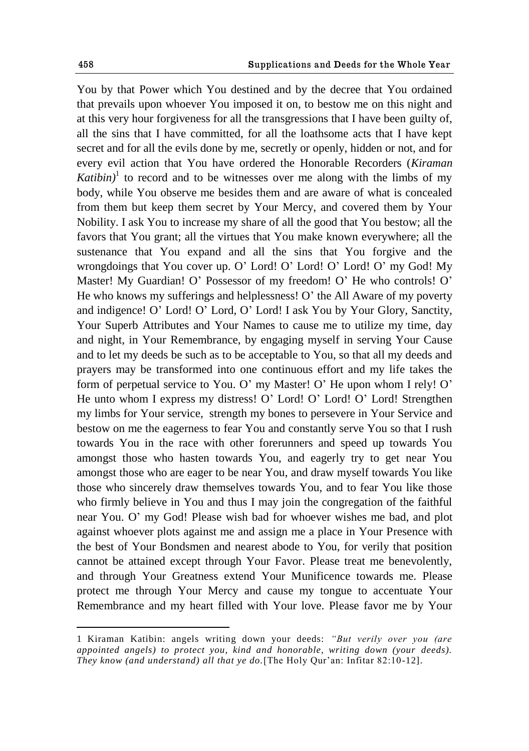You by that Power which You destined and by the decree that You ordained that prevails upon whoever You imposed it on, to bestow me on this night and at this very hour forgiveness for all the transgressions that I have been guilty of, all the sins that I have committed, for all the loathsome acts that I have kept secret and for all the evils done by me, secretly or openly, hidden or not, and for every evil action that You have ordered the Honorable Recorders (*Kiraman*   $Katibin$ <sup>1</sup> to record and to be witnesses over me along with the limbs of my body, while You observe me besides them and are aware of what is concealed from them but keep them secret by Your Mercy, and covered them by Your Nobility. I ask You to increase my share of all the good that You bestow; all the favors that You grant; all the virtues that You make known everywhere; all the sustenance that You expand and all the sins that You forgive and the wrongdoings that You cover up. O" Lord! O" Lord! O" Lord! O" my God! My Master! My Guardian! O' Possessor of my freedom! O' He who controls! O' He who knows my sufferings and helplessness! O" the All Aware of my poverty and indigence! O" Lord! O" Lord, O" Lord! I ask You by Your Glory, Sanctity, Your Superb Attributes and Your Names to cause me to utilize my time, day and night, in Your Remembrance, by engaging myself in serving Your Cause and to let my deeds be such as to be acceptable to You, so that all my deeds and prayers may be transformed into one continuous effort and my life takes the form of perpetual service to You. O" my Master! O" He upon whom I rely! O" He unto whom I express my distress! O" Lord! O" Lord! O" Lord! Strengthen my limbs for Your service, strength my bones to persevere in Your Service and bestow on me the eagerness to fear You and constantly serve You so that I rush towards You in the race with other forerunners and speed up towards You amongst those who hasten towards You, and eagerly try to get near You amongst those who are eager to be near You, and draw myself towards You like those who sincerely draw themselves towards You, and to fear You like those who firmly believe in You and thus I may join the congregation of the faithful near You. O" my God! Please wish bad for whoever wishes me bad, and plot against whoever plots against me and assign me a place in Your Presence with the best of Your Bondsmen and nearest abode to You, for verily that position cannot be attained except through Your Favor. Please treat me benevolently, and through Your Greatness extend Your Munificence towards me. Please protect me through Your Mercy and cause my tongue to accentuate Your Remembrance and my heart filled with Your love. Please favor me by Your

<sup>1</sup> Kiraman Katibin: angels writing down your deeds: *"But verily over you (are appointed angels) to protect you, kind and honorable, writing down (your deeds). They know (and understand) all that ye do.*[The Holy Qur"an: Infitar 82:10-12].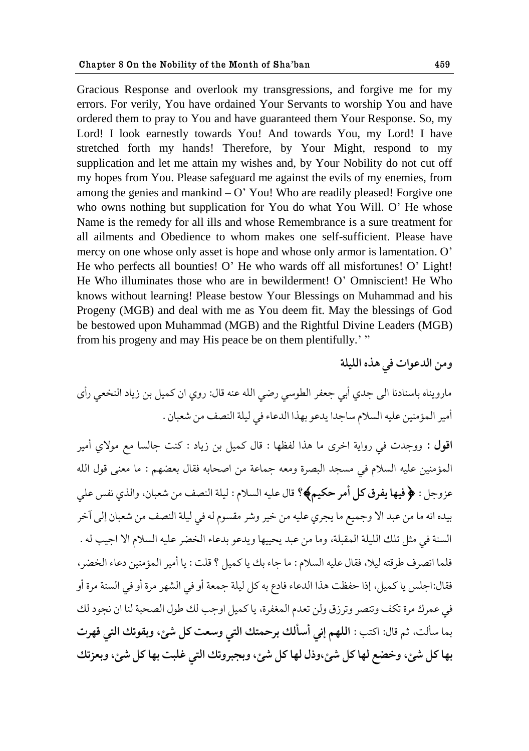Gracious Response and overlook my transgressions, and forgive me for my errors. For verily, You have ordained Your Servants to worship You and have ordered them to pray to You and have guaranteed them Your Response. So, my Lord! I look earnestly towards You! And towards You, my Lord! I have stretched forth my hands! Therefore, by Your Might, respond to my supplication and let me attain my wishes and, by Your Nobility do not cut off my hopes from You. Please safeguard me against the evils of my enemies, from among the genies and mankind  $- O'$  You! Who are readily pleased! Forgive one who owns nothing but supplication for You do what You Will. O" He whose Name is the remedy for all ills and whose Remembrance is a sure treatment for all ailments and Obedience to whom makes one self-sufficient. Please have mercy on one whose only asset is hope and whose only armor is lamentation. O' He who perfects all bounties! O" He who wards off all misfortunes! O" Light! He Who illuminates those who are in bewilderment! O" Omniscient! He Who knows without learning! Please bestow Your Blessings on Muhammad and his Progeny (MGB) and deal with me as You deem fit. May the blessings of God be bestowed upon Muhammad (MGB) and the Rightful Divine Leaders (MGB) from his progeny and may His peace be on them plentifully.'"

مارويناه باسنادنا الى جدي أبي جعفر الطوسي رضي الله عنه قال: روي ان كميل بن زياد النخعي رأى أمير المؤمنين عليه السلام ساجدا يدعو بهذا الدعاء في ليلة النصف من شعبان .

اقول : ووجدت في رواية اخرى ما هذا لفظها : قال كميل بن زياد : كنت جالسا مع مولاي أمير المؤمنين عليه السلام في مسجد البصرة ومعه جماعة من اصحابه فقال بعضهم : ما معنى قول الله عزوجل : ﴿ فيها يفرق كل أمر حكيم﴾؟ قال عليه السلام : ليلة النصف من شعبان، والذي نفس على بيده انه ما من عبد الا وجميع ما يجري عليه من خير وشر مقسوم له في ليلة النصف من شعبان إلى آخر السنة في مثل تلك الليلة المقبلة، وما من عبد يحييها ويدعو بدعاء الخضر عليه السلام الا احيب له . فلما انصرف طرقته ليلا، فقال عليه السلام: ما جاء بك يا كميل ؟ قلت : يا أمير المؤمنين دعاء الخصر، فقال:احلس يا كميل، إذا حفظت هذا الدعاء فادع به كل ليلة جمعة أو في الشهر مرة أو في السنة مرة أو في عمرك مرة تكف وتنصر وترزق ولن تعدم المغفرة، يا كميل اوجب لك طول الصحبة لنا ان نجود لك بما سألت، ثم قال: اكتب : ا**للهم إني أسألك برحمتك التي وسعت كل شئ، وبقوتك التي قهرت** بها کل شي، وخضع لها کل شي،وذل لها کل شي، وبجبروتك التي غلبت بها کل شي، وبعزتك

ومن الدعوات في هذه الليلة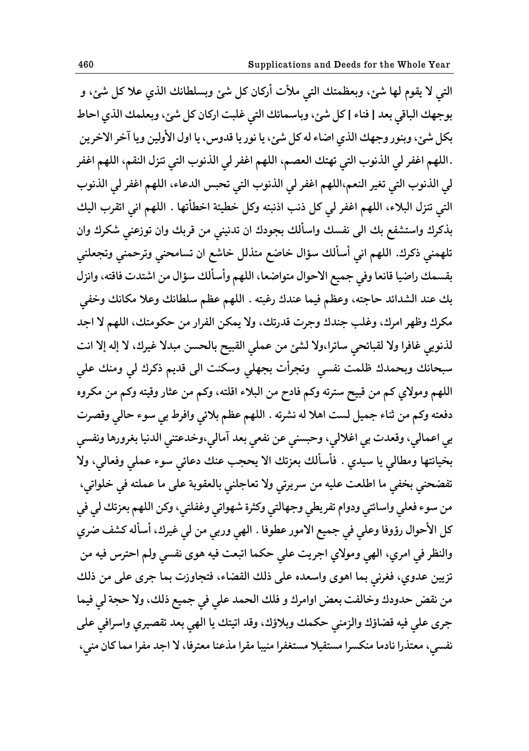التي لا يقوم لها شئ، وبعظمتك التي ملأت أركان كل شئ وبسلطانك الذي علا كل شئ، و بوجهك الباقي بعد [ فناء ] كل شئ، وباسمائك التي غلبت اركان كل شئ، وبعلمك الذي احاط بكل شئ، وبنور وجهك الذي اضاء له كل شئ، یا نور یا قدوس، یا اول الأولين ویا آخر الاخرین .اللهم اغفر لي الذنوب التي تهتك العصم، اللهم اغفر لي الذنوب التي تنزل النقم، اللهم اغفر لي الذنوب التي تغير النعم،اللهم اغفر لي الذنوب التي تحبس الدعاء، اللهم اغفر لي الذنوب التي تنزل البلاء، اللهم اغفر لي كل ذنب اذنبته وكل خطيئة اخطأتها . اللهم اني اتقرب اليك بذكرك واستشفع بك الى نفسك واسألك بجودك ان تدنيني من قربك وان توزعني شكرك وان تلهمني ذكرك. اللهم اني أسألك سؤال خاضع متذلل خاشع ان تسامحني وترحمني وتجعلني بقسمك راضيا قانعا وفي جميع الاحوال متواضعا، اللهم وأسألك سؤال من اشتدت فاقته، وانزل بك عند الشدائد حاجته، وعظم فيما عندك رغبته . اللهم عظم سلطانك وعلا مكانك وخفي مكرك وظهر امرك، وغلب جندك وجرت قدرتك، ولا يمكن الفرار من حكومتك، اللهم لا اجد لذنوبي غافرا ولا لقبائحي ساترا،ولا لشئ من عملي القبيح بالحسن مبدلا غيرك، لا إله إلا انت سبحانك وبحمدك ظلمت نفسي وتجرأت بجهلي وسكنت الي قديم ذكرك لي ومنك علي اللهم ومولاي كم من قبيح سترته وكم فادح من البلاء اقلته، وكم من عثار وقيته وكم من مكروه دفعته وكم من ثناء جميل لست اهلا له نشرته . اللهم عظم بلائي وافرط بي سوء حالي وقصرت بي اعمالي، وقعدت بي اغلالي، وحبسني عن نفعي بعد آمالي،وخدعتني الدنيا بغرورها ونفسي **بؽيايحها وهٙالي یا ويؿي . ٨ؤوؤلٯ ب١مجٯ حال یعصب ً٠ٯ ؾ٠اثي وىء ٠ملي و١٨الي، وال**  تفضحني بخفي ما اطلعت عليه من سريرتي ولا تعاجلني بالعقوبة على ما عملته في خلواتي، من سوء فعلي واسائتي ودوام تفريطي وجهالتي وكثرة شهواتي وغفلتي، وكن اللهم بعزتك لي في كل الأحوال رؤوفا وعلي في جميع الامور عطوفا . الهي وربي من لي غيرك، أسأله كشف ضري والنظر في امري، الهي ومولاي اجريت على حكما اتبعت فيه هوى نفسي ولم احترس فيه من تزيين عدوى، فغرني بما اهوى واسعده على ذلك القضاء، فتجاوزت بما جرى على من ذلك من نقض حدودك وخالفت بعض اوامرك و فلك الحمد على في جميع ذلك، ولا حجة لي فيما جرى على فيه قضاؤك والزمني حكمك وبلاؤك، وقد اتيتك يا الهي بعد تقصيري واسرافي على نفسي، معتذرا نادما منكسرا مستقيلا مستغفرا منيبا مقرا مذعنا معترفا، لا اجد مفرا مما كان مني،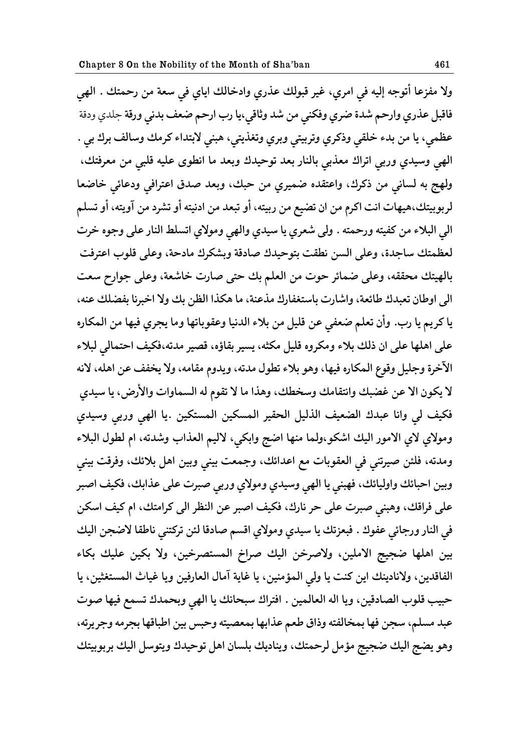ولا مفزعا أتوجه إليه في امرى، غير قبولك عذري وادخالك اياي في سعة من رحمتك . ال<u>هي</u> فاقبل عذري وارحم شدة ضري وفكني من شد وثاقي،يا رب ارحم ضعف بدني ورقة جلدي ودقة عظمي، يا من بدء خلقي وذكري وتربيتي وبري وتغذيتي، هبني لابتداء كرمك وسالف برك بي . الهي وسيدي وربي اتراك معذبي بالنار بعد توحيدك وبعد ما انطوى عليه قلبي من معرفتك، ولهج به لساني من ذكرك، واعتقده ضميري من حبك، وبعد صدق اعترافي ودعائي خاضعا لربوبيتك،هيهات انت اكرم من ان تضيع من ربيته، أو تبعد من ادنيته أو تشرد من آويته، أو تسلم الي البلاء من كفيته ورحمته . ولي شعري يا سيدي والهي ومولاي اتسلط النار على وجوه خرت لعظمتك ساجدة، وعلى السن نطقت بتوحيدك صادقة وبشكرك مادحة، وعلى قلوب اعترفت بالهيتك محققه، وعلى ضمائر حوت من العلم بك حتى صارت خاشعة، وعلى جوارح سعت ال<sub>ّي</sub> اوطان تعبدك طائعة، واشارت باستغفارك مذعنة، ما هكذا الظن بك ولا اخبرنا بفضلك عنه، **یا کك ین یا قب. وأو ج١لن ٩١ٔي ٠ى ٬ليل هى بالء حلؿييا و٠٭ىباجها وها یصكي ٨يها هى حلمكاقه**  على اهلها على ان ذلك بلاء ومكروه قليل مكثه، يسير بقاؤه، قصير مدته،فكيف احتمالي لبلاء الآخرة وجليل وقوع المكاره فيها، وهو بلاء تطول مدته، ويدوم مقامه، ولا يخفف عن اهله، لانه لا يكون الا عن غضبك وانتقامك وسخطك، وهذا ما لا تقوم له السماوات والأرض، يا سيدي فكيف لي وانا عبدك الضعيف الذليل الحقير المسكين المستكين .يا الهي وربي وسيدي ومولاي لاي الامور اليك اشكو،ولما منها اضج وابكي، لاليم العذاب وشدته، ام لطول البلاء ومدته، فلئن صيرتني في العقوبات مع اعدائك، وجمعت بيني وبين اهل بلائك، وفرقت بيني وبين احبائك واوليائك، فهبني يا الهي وسيدي ومولاي وربي صبرت على عذابك، فكيف اصبر على فراقك، وهبني صبرت على حر نارك، فكيف اصبر عن النظر الى كرامتك، ام كيف اسكن في النار ورجائي عفوك . فبعزتك يا سيدي ومولاي اقسم صادقا لئن تركتني ناطقا لاضجن اليك **بيى حهلها ٔصيس حالهليى، والِكؼى حليٯ ِكحغ حلمىحّكؼيى، وال بكيى ٠ليٯ بكاء**  الفاقدين، ولانادينك اين كنت يا ولي المؤمنين، يا غاية آمال العارفين ويا غياث المستغثين، يا حبيب قلوب الصادقين، ويا اله العالمين . افتراك سبحانك يا الهي وبحمدك تسمع فيها صوت عبد مسلم، سجن فها بمخالفته وذاق طعم عذابها بمعصيته وحبس بين اطباقها بجرمه وجريرته، وهو يضج اليك ضجيج مؤمل لرحمتك، ويناديك بلسان اهل توحيدك ويتوسل اليك بربوبيتك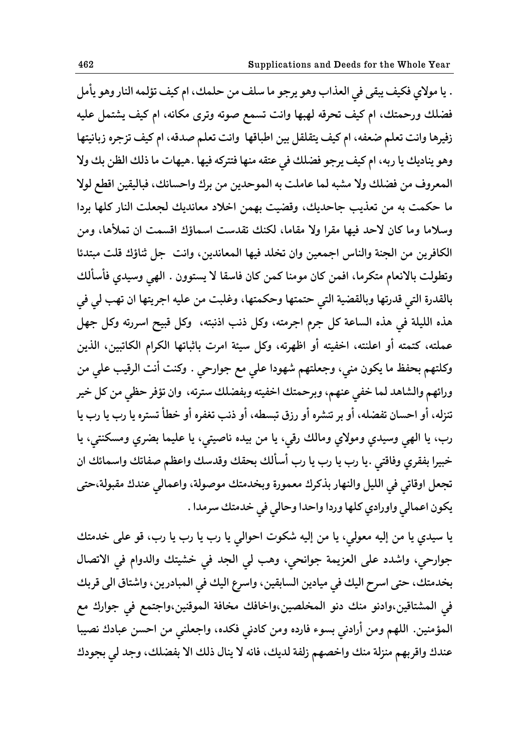. يا مولاي فكيف يبقى في العذاب وهو يرجو ما سلف من حلمك، ام كيف تؤلمه النار وهو يأمل فضلك ورحمتك، ام كيف تحرقه لهبها وانت تسمع صوته وترى مكانه، ام كيف يشتمل عليه زفيرها وانت تعلم ضعفه، ام كيف يتقلقل بين اطباقها وانت تعلم صدقه، ام كيف تزجره زبانيتها وهو يناديك يا ربه، ام كيف يرجو فضلك في عتقه منها فتتركه فيها .هيهات ما ذلك الظن بك ولا المعروف من فضلك ولا مشبه لما عاملت به الموحدين من برك واحسانك، فباليقين اقطع لولا ما حكمت به من تعذيب جاحديك، وقضيت بهمن اخلاد معانديك لجعلت النار كلها بردا وسلاما وما كان لاحد فيها مقرا ولا مقاما، لكنك تقدست اسماؤك اقسمت ان تملأها، ومن الكافرين من الجنة والناس اجمعين وان تخلد فيها المعاندين، وانت جل ثناؤك قلت مبتدئا وتطولت بالانعام متكرما، افمن كان مومنا كمن كان فاسقا لا يستوون . الهي وسيدي فأسألك بالقدرة التي قدرتها وبالقضية التي حتمتها وحكمتها، وغلبت من عليه اجريتها ان تهب لي في هذه الليلة في هذه الساعة كل جرم اجرمته، وكل ذنب اذنبته، وكل قبيح اسررته وكل جهل عملته، كتمته أو اعلنته، اخفيته أو اظهرته، وكل سيئة امرت باثباتها الكرام الكاتبين، الذين وكلتهم بحفظ ما يكون مني، وجعلتهم شهودا على مع جوارحي . وكنت أنت الرقيب على من ورائهم والشاهد لما خفي عنهم، وبرحمتك اخفيته وبفضلك سترته، وان تؤفر حظي من كل خير تنزله، أو احسان تفضله، أو بر تنشره أو رزق تبسطه، أو ذنب تغفره أو خطأ تستره یا رب یا رب یا رب، يا الهي وسيدي ومولاي ومالك رقي، يا من بيده ناصيتي، يا عليما بضري ومسكنتي، يا خبيرا بفقري وفاقتي .يا رب يا رب يا رب أسألك بحقك وقدسك واعظم صفاتك واسمائك ان تجعل اوقاتي في الليل والنهار بذكرك معمورة وبخدمتك موصولة، واعمالي عندك مقبولة،حتى يكون اعمالي واورادي كلها وردا واحدا وحالي في خدمتك سرمدا .

یا سیدی یا من إلیه معولی، یا من إلیه شکوت احوالی یا رب یا رب یا رب، قو علی خدمتك جوارحي، واشدد على العزيمة جوانحي، وهب لي الجد في خشيتك والدوام في الاتصال بخدمتك، حتى اسرح اليك في ميادين السابقين، واسرع اليك في المبادرين، واشتاق الي قربك في المشتاقين،وادنو منك دنو المخلصين،واخافك مخافة الموقنين،واجتمع في جوارك مع المؤمنين. اللهم ومن أرادني بسوء فارده ومن كادني فكده، واجعلني من احسن عبادك نصيبا عندك واقربهم منزلة منك واخصهم زلفة لديك، فانه لا ينال ذلك الا بفضلك، وجد ل*ي* بجودك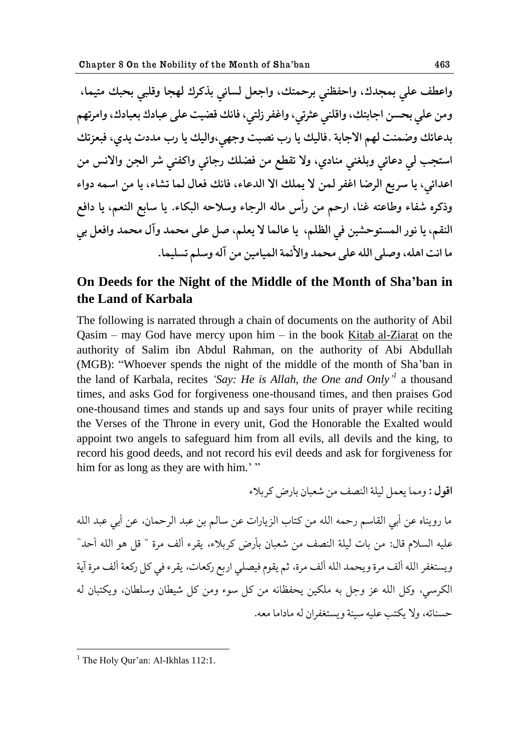**وح٧ٙ٠ ٠لي بمصؿٮ، وحظًٝ٩ي بكظمحٯ، وحش١ل لىايي بفکكٮ لهصا و٬لبي بعبٯ هحيما، وهى ٠لي بعىى حشابحٯ،وح٬لًي ٠ركجي،وح٩٤ك للحي، ٨ايٯ ٕ٬يث ٠لى ٠باؾٮ ب١باؾٮ،وحهكجهن بؿ٠اثٯ ؤمًث لهن حالشابة ٨.اليٯ یا قب يّبث وشهي،وحليٯ یا قب هؿؾت یؿي، ٨ب١مجٯ حوحصب لي ؾ٠اثي وبلً٥ي هًاؾي، وال ج٭ٟٙ هى ٕ٨لٯ قشاثي وحکً٩ي ٌك حلصى وحاليه هى ح٠ؿحثي، یا وك یٟ حلكٔا ح٩٤ك لمى ال یملٯ حال حلؿ٠اء، ٨ايٯ ١٨ال لما جٍاء، یا هى حومه ؾوحء وـکكه ٩ٌاء و٘ا٠حه ً٤ا، حقظن هى قأن هاله حلكشاء ووالظه حلبكاء. یا وابٟ حل١ًن، یا ؾح٨ٟ حلً٭ن، یا يىق حلمىحىظٍيى ٨ي حلٝلن، یا ٠الما ال ی١لن، ِل ٠لى هعمؿ وآل هعمؿ وح١٨ل بي ها حيث حهله،وِلى حلله ٠لى هعمؿ وحألثمة حلمياهيى هى آله وولن جىليما.**

# **On Deeds for the Night of the Middle of the Month of Sha'ban in the Land of Karbala**

The following is narrated through a chain of documents on the authority of Abil Qasim – may God have mercy upon him – in the book Kitab al-Ziarat on the authority of Salim ibn Abdul Rahman, on the authority of Abi Abdullah (MGB): "Whoever spends the night of the middle of the month of Sha"ban in the land of Karbala, recites *"Say: He is Allah, the One and Only" 1* a thousand times, and asks God for forgiveness one-thousand times, and then praises God one-thousand times and stands up and says four units of prayer while reciting the Verses of the Throne in every unit, God the Honorable the Exalted would appoint two angels to safeguard him from all evils, all devils and the king, to record his good deeds, and not record his evil deeds and ask for forgiveness for him for as long as they are with him."

**اقول :** ومما يعمل ليلة النصف من شعبان بارض كه بلاء

ما رويناه عن أبي القاسم رحمه الله من كتاب الزيارات عن سالم بن عبد الرحمان، عن أبي عبد الله عليه السلام قال: من بات ليلة النصف من شعبان بأرض كربلاء، يقرء ألف مرة " قل هو الله أحد" ويستغفر الله ألف مرة ويحمد الله ألف مرة، ثم يقوم فيصلى اربع ركعات، يقرء في كل ركعة ألف مرة آية الكرسي، وكل الله عز وجل به ملكين يحفظانه من كل سوء ومن كل شيطان وسلطان، ويكتبان له حسناته، ولا يكتب عليه سيئة ويستغفران له ماداما معه.

 $<sup>1</sup>$  The Holy Our'an: Al-Ikhlas 112:1.</sup>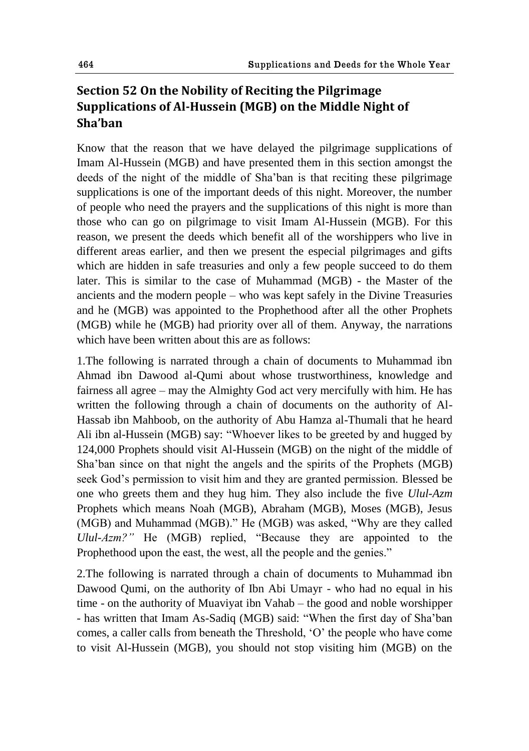# **Section 52 On the Nobility of Reciting the Pilgrimage Supplications of Al-Hussein (MGB) on the Middle Night of Sha'ban**

Know that the reason that we have delayed the pilgrimage supplications of Imam Al-Hussein (MGB) and have presented them in this section amongst the deeds of the night of the middle of Sha"ban is that reciting these pilgrimage supplications is one of the important deeds of this night. Moreover, the number of people who need the prayers and the supplications of this night is more than those who can go on pilgrimage to visit Imam Al-Hussein (MGB). For this reason, we present the deeds which benefit all of the worshippers who live in different areas earlier, and then we present the especial pilgrimages and gifts which are hidden in safe treasuries and only a few people succeed to do them later. This is similar to the case of Muhammad (MGB) - the Master of the ancients and the modern people – who was kept safely in the Divine Treasuries and he (MGB) was appointed to the Prophethood after all the other Prophets (MGB) while he (MGB) had priority over all of them. Anyway, the narrations which have been written about this are as follows:

1.The following is narrated through a chain of documents to Muhammad ibn Ahmad ibn Dawood al-Qumi about whose trustworthiness, knowledge and fairness all agree – may the Almighty God act very mercifully with him. He has written the following through a chain of documents on the authority of Al-Hassab ibn Mahboob, on the authority of Abu Hamza al-Thumali that he heard Ali ibn al-Hussein (MGB) say: "Whoever likes to be greeted by and hugged by 124,000 Prophets should visit Al-Hussein (MGB) on the night of the middle of Sha"ban since on that night the angels and the spirits of the Prophets (MGB) seek God"s permission to visit him and they are granted permission. Blessed be one who greets them and they hug him. They also include the five *Ulul-Azm*  Prophets which means Noah (MGB), Abraham (MGB), Moses (MGB), Jesus (MGB) and Muhammad (MGB)." He (MGB) was asked, "Why are they called *Ulul-Azm?"* He (MGB) replied, "Because they are appointed to the Prophethood upon the east, the west, all the people and the genies."

2.The following is narrated through a chain of documents to Muhammad ibn Dawood Qumi, on the authority of Ibn Abi Umayr - who had no equal in his time - on the authority of Muaviyat ibn Vahab – the good and noble worshipper - has written that Imam As-Sadiq (MGB) said: "When the first day of Sha"ban comes, a caller calls from beneath the Threshold, "O" the people who have come to visit Al-Hussein (MGB), you should not stop visiting him (MGB) on the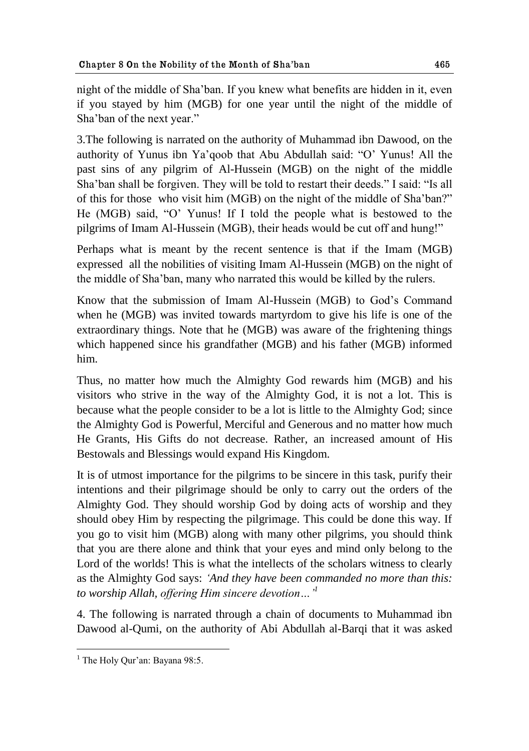night of the middle of Sha"ban. If you knew what benefits are hidden in it, even if you stayed by him (MGB) for one year until the night of the middle of Sha"ban of the next year."

3.The following is narrated on the authority of Muhammad ibn Dawood, on the authority of Yunus ibn Ya"qoob that Abu Abdullah said: "O" Yunus! All the past sins of any pilgrim of Al-Hussein (MGB) on the night of the middle Sha"ban shall be forgiven. They will be told to restart their deeds." I said: "Is all of this for those who visit him (MGB) on the night of the middle of Sha"ban?" He (MGB) said, "O" Yunus! If I told the people what is bestowed to the pilgrims of Imam Al-Hussein (MGB), their heads would be cut off and hung!"

Perhaps what is meant by the recent sentence is that if the Imam (MGB) expressed all the nobilities of visiting Imam Al-Hussein (MGB) on the night of the middle of Sha"ban, many who narrated this would be killed by the rulers.

Know that the submission of Imam Al-Hussein (MGB) to God"s Command when he (MGB) was invited towards martyrdom to give his life is one of the extraordinary things. Note that he (MGB) was aware of the frightening things which happened since his grandfather (MGB) and his father (MGB) informed him.

Thus, no matter how much the Almighty God rewards him (MGB) and his visitors who strive in the way of the Almighty God, it is not a lot. This is because what the people consider to be a lot is little to the Almighty God; since the Almighty God is Powerful, Merciful and Generous and no matter how much He Grants, His Gifts do not decrease. Rather, an increased amount of His Bestowals and Blessings would expand His Kingdom.

It is of utmost importance for the pilgrims to be sincere in this task, purify their intentions and their pilgrimage should be only to carry out the orders of the Almighty God. They should worship God by doing acts of worship and they should obey Him by respecting the pilgrimage. This could be done this way. If you go to visit him (MGB) along with many other pilgrims, you should think that you are there alone and think that your eyes and mind only belong to the Lord of the worlds! This is what the intellects of the scholars witness to clearly as the Almighty God says: *"And they have been commanded no more than this: to worship Allah, offering Him sincere devotion…" 1*

4. The following is narrated through a chain of documents to Muhammad ibn Dawood al-Qumi, on the authority of Abi Abdullah al-Barqi that it was asked

<sup>1</sup>  $<sup>1</sup>$  The Holy Our'an: Bayana 98:5.</sup>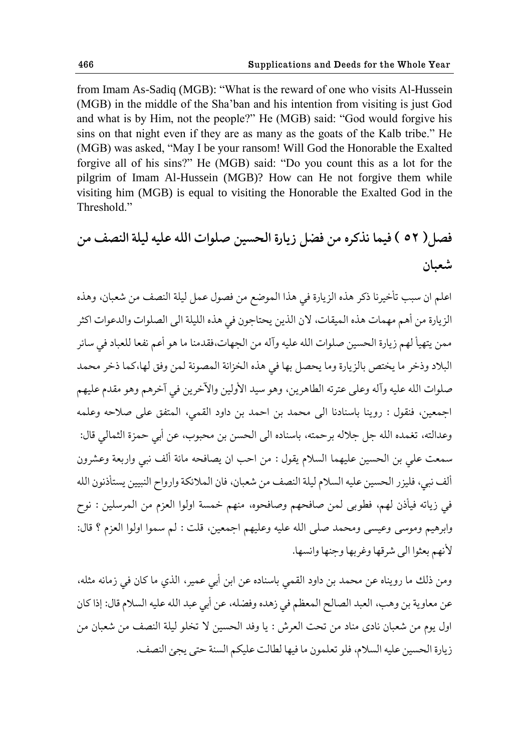from Imam As-Sadiq (MGB): "What is the reward of one who visits Al-Hussein (MGB) in the middle of the Sha"ban and his intention from visiting is just God and what is by Him, not the people?" He (MGB) said: "God would forgive his sins on that night even if they are as many as the goats of the Kalb tribe." He (MGB) was asked, "May I be your ransom! Will God the Honorable the Exalted forgive all of his sins?" He (MGB) said: "Do you count this as a lot for the pilgrim of Imam Al-Hussein (MGB)? How can He not forgive them while visiting him (MGB) is equal to visiting the Honorable the Exalted God in the Threshold."

**ّ٨ل) 52 ( ٨يما يفکكه هى ٕ٨ل ل یاقة حلعىيى ِلىحت حلله ٠ليه ليلة حل٧ًّ هى ١ٌباو**

اعلم ان سبب تأخيرنا ذكر هذه الزيارة في هذا الموضع من فصول عمل ليلة النصف من شعبان، وهذه الزيارة من أهم مهمات هذه الميقات، لان الذين يحتاجون في هذه الليلة الى الصلوات والدعوات اكثر ممن يتهيأ لهم زيارة الحسين صلوات الله عليه وآله من الجهات،فقدمنا ما هو أعم نفعا للعباد في سائر البلاد وذخر ما يختص بالزيارة وما يحصل بها في هذه الخزانة المصونة لمن وفق لها،كما ذخر محمد صلوات الله عليه وآله وعلى عترته الطاهرين، وهو سيد الأولين والآخرين في آخرهم وهو مقدم عليهم اجمعين، فنقول : روينا باسنادنا الى محمد بن احمد بن داود القمي، المتفق على صلاحه وعلمه وعدالته، تغمده الله جل جلاله برحمته، باسناده الى الحسن بن محبوب، عن أبي حمزة الثمالي قال: سمعت على بن الحسين عليهما السلام يقول : من احب ان يصافحه مائة ألف نبي واربعة وعشرون ألف نبي، فليزر الحسين عليه السلام ليلة النصف من شعبان، فان الملائكة وارواح النبيين يستأذنون الله في زياته فيأذن لهم، فطوبي لمن صافحهم وصافحوه، منهم خمسة اولوا العزم من المرسلين : نوح وابرهيم وموسى وعيسى ومحمد صلى الله عليه وعليهم اجمعين، قلت : لم سموا اولوا العزم ؟ قال: لأنهم بعثوا الى شرقها وغربها وجنها وانسها.

ومن ذلك ما رويناه عن محمد بن داود القمي باسناده عن ابن أبي عمير، الذي ما كان في زمانه مثله، عن معاوية بن وهب، العبد الصالح المعظم في زهده وفضله، عن أبي عبد الله عليه السلام قال: إذا كان اول يوم من شعبان نادى مناد من تحت العرش : يا وفد الحسين لا تخلو ليلة النصف من شعبان من زيارة الحسين عليه السلام، فلو تعلمون ما فيها لطالت عليكم السنة حتى يجئ النصف.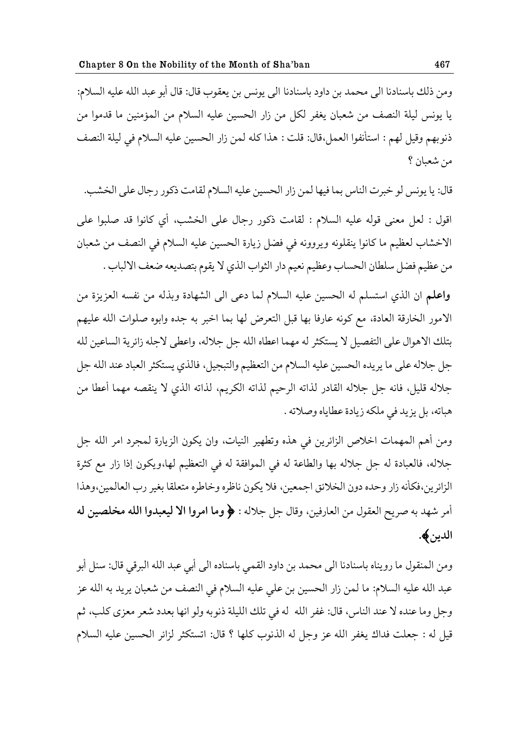ومن ذلك باسنادنا الى محمد بن داود باسنادنا الى يونس بن يعقوب قال: قال أبو عبد الله عليه السلام: يا يونس ليلة النصف من شعبان يغفر لكل من زار الحسين عليه السلام من المؤمنين ما قدموا من ذنوبهم وقيل لهم : استأنفوا العمل،قال: قلت : هذا كله لمن زار الحسين عليه السلام في ليلة النصف من شعبان ؟

قال: يا يونس لو خبرت الناس بما فيها لمن زار الحسين عليه السلام لقامت ذكور رجال على الخشب.

اقول : لعل معنى قوله عليه السلام : لقامت ذكور رجال على الخشب، أي كانوا قد صلبوا على الاخشاب لعظيم ما كانوا ينقلونه ويروونه في فضل زيارة الحسين عليه السلام في النصف من شعبان من عظيم فضل سلطان الحساب وعظيم نعيم دار الثواب الذي لا يقوم بتصديعه ضعف الالباب .

واعلم ان الذي استسلم له الحسين عليه السلام لما دعى الى الشهادة وبذله من نفسه العزيزة من الامور الخارقة العادة، مع كونه عارفا بها قبل التعرض لها بما اخبر به جده وابوه صلوات الله عليهم بتلك الاهوال على التفصيل لا يستكثر له مهما اعطاه الله جل جلاله، واعطى لاجله زائرية الساعين لله جل جلاله على ما يريده الحسين عليه السلام من التعظيم والتبجيل، فالذي يستكثر العباد عند الله جل جلاله قليل، فانه جل جلاله القادر لذاته الرحيم لذاته الكريم، لذاته الذي لا ينقصه مهما أعطا من هباته، بل يزيد في ملكه زيادة عطاياه وصلاته .

ومن أهم المهمات اخلاص الزائرين في هذه وتطهير النيات، وان يكون الزيارة لمجرد امر الله جل جلاله، فالعبادة له جل جلاله بها والطاعة له في الموافقة له في التعظيم لها،ويكون إذا زار مع كثرة الزائرين،فكأنه زار وحده دون الخلائق اجمعين، فلا يكون ناظره وخاطره متعلقا بغير رب العالمين،وهذا أمر شهد به صريح العقول من العارفين، وقال جل جلاله : ﴿ وَما امروا الا ليعبدوا الله مخلصين له الدين**﴾.** 

ومن المنقول ما رويناه باسنادنا الى محمد بن داود القمى باسناده الى أبي عبد الله البرقي قال: سئل أبو عبد الله عليه السلام: ما لمن زار الحسين بن على عليه السلام في النصف من شعبان يريد به الله عز وجل وما عنده لا عند الناس، قال: غفر الله له في تلك الليلة ذنوبه ولو انها بعدد شعر معزى كلب، ثم قيل له : جعلت فداك يغفر الله عز وجل له الذنوب كلها ؟ قال: اتستكثر لزائر الحسين عليه السلام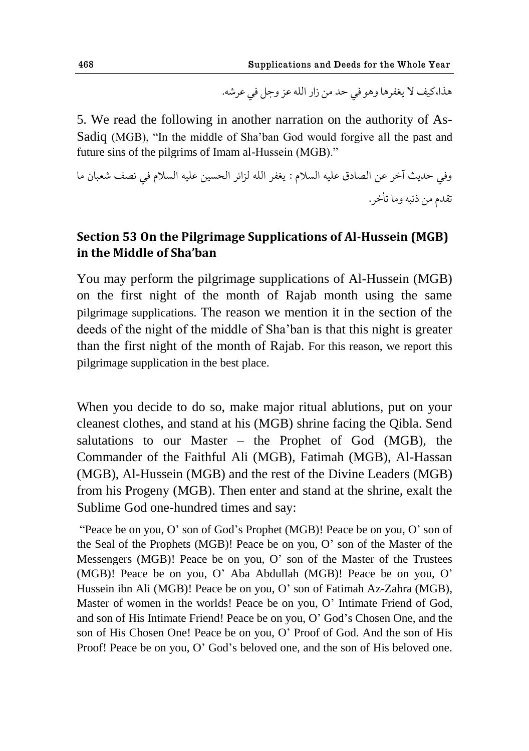هذا،كيف لا يغفرها وهو في حد من زار الله عز وحل في عرشه.

5. We read the following in another narration on the authority of As-Sadiq (MGB), "In the middle of Sha"ban God would forgive all the past and future sins of the pilgrims of Imam al-Hussein (MGB)."

وفي حديث آخر عن الصادق عليه السلام : يغفر الله لزائر الحسين عليه السلام في نصف شعبان ما تقدم من ذنبه وما تأخر .

# **Section 53 On the Pilgrimage Supplications of Al-Hussein (MGB) in the Middle of Sha'ban**

You may perform the pilgrimage supplications of Al-Hussein (MGB) on the first night of the month of Rajab month using the same pilgrimage supplications. The reason we mention it in the section of the deeds of the night of the middle of Sha"ban is that this night is greater than the first night of the month of Rajab. For this reason, we report this pilgrimage supplication in the best place.

When you decide to do so, make major ritual ablutions, put on your cleanest clothes, and stand at his (MGB) shrine facing the Qibla. Send salutations to our Master – the Prophet of God (MGB), the Commander of the Faithful Ali (MGB), Fatimah (MGB), Al-Hassan (MGB), Al-Hussein (MGB) and the rest of the Divine Leaders (MGB) from his Progeny (MGB). Then enter and stand at the shrine, exalt the Sublime God one-hundred times and say:

"Peace be on you, O" son of God"s Prophet (MGB)! Peace be on you, O" son of the Seal of the Prophets (MGB)! Peace be on you, O" son of the Master of the Messengers (MGB)! Peace be on you, O" son of the Master of the Trustees (MGB)! Peace be on you, O" Aba Abdullah (MGB)! Peace be on you, O" Hussein ibn Ali (MGB)! Peace be on you, O" son of Fatimah Az-Zahra (MGB), Master of women in the worlds! Peace be on you, O' Intimate Friend of God, and son of His Intimate Friend! Peace be on you, O" God"s Chosen One, and the son of His Chosen One! Peace be on you, O" Proof of God. And the son of His Proof! Peace be on you, O" God"s beloved one, and the son of His beloved one.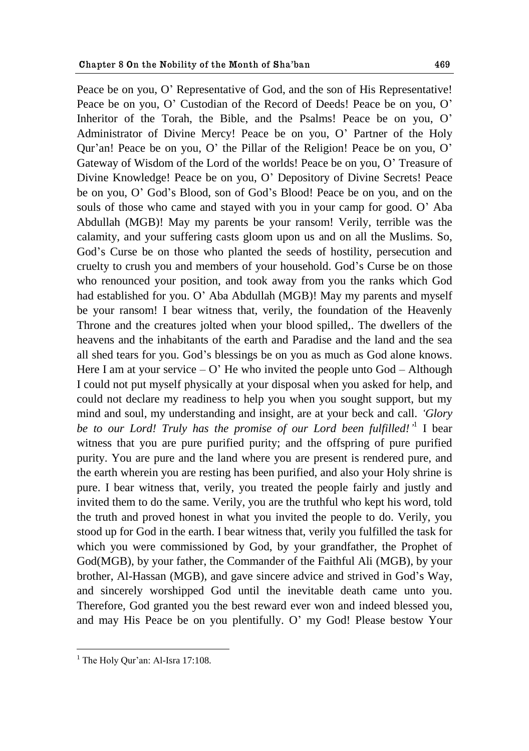Peace be on you, O' Representative of God, and the son of His Representative! Peace be on you, O" Custodian of the Record of Deeds! Peace be on you, O" Inheritor of the Torah, the Bible, and the Psalms! Peace be on you, O' Administrator of Divine Mercy! Peace be on you, O" Partner of the Holy Qur"an! Peace be on you, O" the Pillar of the Religion! Peace be on you, O" Gateway of Wisdom of the Lord of the worlds! Peace be on you, O" Treasure of Divine Knowledge! Peace be on you, O" Depository of Divine Secrets! Peace be on you, O" God"s Blood, son of God"s Blood! Peace be on you, and on the souls of those who came and stayed with you in your camp for good. O" Aba Abdullah (MGB)! May my parents be your ransom! Verily, terrible was the calamity, and your suffering casts gloom upon us and on all the Muslims. So, God"s Curse be on those who planted the seeds of hostility, persecution and cruelty to crush you and members of your household. God"s Curse be on those who renounced your position, and took away from you the ranks which God had established for you. O" Aba Abdullah (MGB)! May my parents and myself be your ransom! I bear witness that, verily, the foundation of the Heavenly Throne and the creatures jolted when your blood spilled,. The dwellers of the heavens and the inhabitants of the earth and Paradise and the land and the sea all shed tears for you. God"s blessings be on you as much as God alone knows. Here I am at your service  $- O'$  He who invited the people unto God  $-$  Although I could not put myself physically at your disposal when you asked for help, and could not declare my readiness to help you when you sought support, but my mind and soul, my understanding and insight, are at your beck and call. *"Glory*  be to our Lord! Truly has the promise of our Lord been fulfilled!<sup>,1</sup> I bear witness that you are pure purified purity; and the offspring of pure purified purity. You are pure and the land where you are present is rendered pure, and the earth wherein you are resting has been purified, and also your Holy shrine is pure. I bear witness that, verily, you treated the people fairly and justly and invited them to do the same. Verily, you are the truthful who kept his word, told the truth and proved honest in what you invited the people to do. Verily, you stood up for God in the earth. I bear witness that, verily you fulfilled the task for which you were commissioned by God, by your grandfather, the Prophet of God(MGB), by your father, the Commander of the Faithful Ali (MGB), by your brother, Al-Hassan (MGB), and gave sincere advice and strived in God"s Way, and sincerely worshipped God until the inevitable death came unto you. Therefore, God granted you the best reward ever won and indeed blessed you, and may His Peace be on you plentifully. O" my God! Please bestow Your

 $<sup>1</sup>$  The Holy Our'an: Al-Isra 17:108.</sup>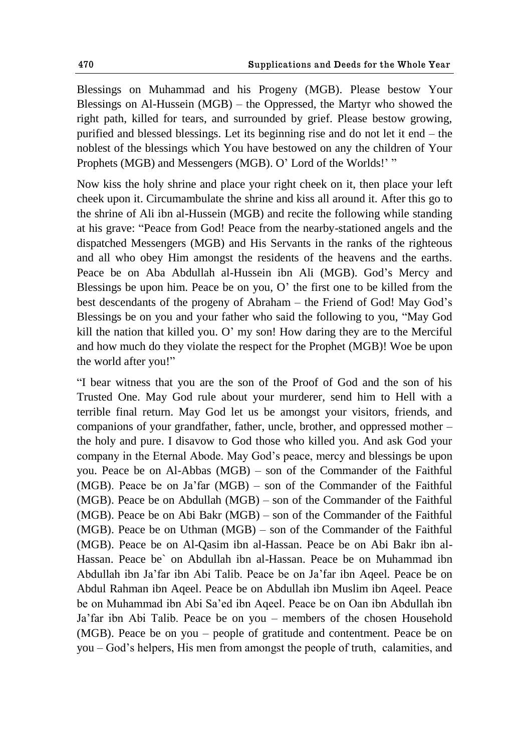Blessings on Muhammad and his Progeny (MGB). Please bestow Your Blessings on Al-Hussein (MGB) – the Oppressed, the Martyr who showed the right path, killed for tears, and surrounded by grief. Please bestow growing, purified and blessed blessings. Let its beginning rise and do not let it end – the noblest of the blessings which You have bestowed on any the children of Your Prophets (MGB) and Messengers (MGB). O'Lord of the Worlds!' "

Now kiss the holy shrine and place your right cheek on it, then place your left cheek upon it. Circumambulate the shrine and kiss all around it. After this go to the shrine of Ali ibn al-Hussein (MGB) and recite the following while standing at his grave: "Peace from God! Peace from the nearby-stationed angels and the dispatched Messengers (MGB) and His Servants in the ranks of the righteous and all who obey Him amongst the residents of the heavens and the earths. Peace be on Aba Abdullah al-Hussein ibn Ali (MGB). God's Mercy and Blessings be upon him. Peace be on you,  $O'$  the first one to be killed from the best descendants of the progeny of Abraham – the Friend of God! May God"s Blessings be on you and your father who said the following to you, "May God kill the nation that killed you. O" my son! How daring they are to the Merciful and how much do they violate the respect for the Prophet (MGB)! Woe be upon the world after you!"

"I bear witness that you are the son of the Proof of God and the son of his Trusted One. May God rule about your murderer, send him to Hell with a terrible final return. May God let us be amongst your visitors, friends, and companions of your grandfather, father, uncle, brother, and oppressed mother – the holy and pure. I disavow to God those who killed you. And ask God your company in the Eternal Abode. May God"s peace, mercy and blessings be upon you. Peace be on Al-Abbas (MGB) – son of the Commander of the Faithful (MGB). Peace be on Ja"far (MGB) – son of the Commander of the Faithful (MGB). Peace be on Abdullah (MGB) – son of the Commander of the Faithful (MGB). Peace be on Abi Bakr (MGB) – son of the Commander of the Faithful (MGB). Peace be on Uthman (MGB) – son of the Commander of the Faithful (MGB). Peace be on Al-Qasim ibn al-Hassan. Peace be on Abi Bakr ibn al-Hassan. Peace be` on Abdullah ibn al-Hassan. Peace be on Muhammad ibn Abdullah ibn Ja"far ibn Abi Talib. Peace be on Ja"far ibn Aqeel. Peace be on Abdul Rahman ibn Aqeel. Peace be on Abdullah ibn Muslim ibn Aqeel. Peace be on Muhammad ibn Abi Sa"ed ibn Aqeel. Peace be on Oan ibn Abdullah ibn Ja"far ibn Abi Talib. Peace be on you – members of the chosen Household (MGB). Peace be on you – people of gratitude and contentment. Peace be on you – God"s helpers, His men from amongst the people of truth, calamities, and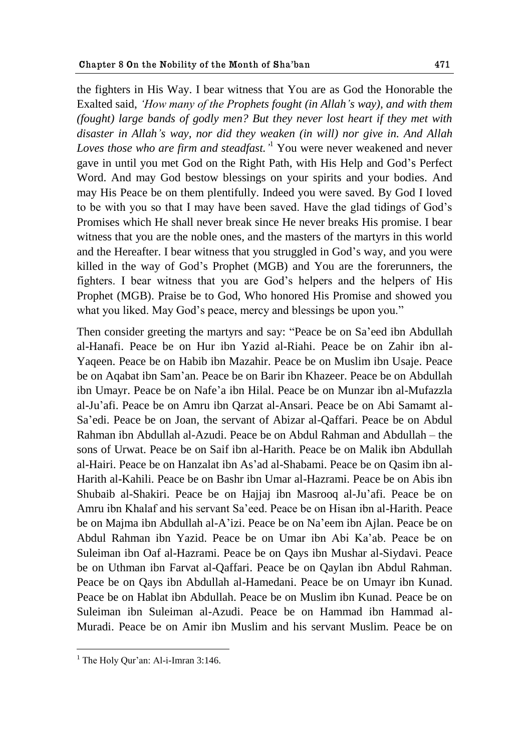the fighters in His Way. I bear witness that You are as God the Honorable the Exalted said, *"How many of the Prophets fought (in Allah"s way), and with them (fought) large bands of godly men? But they never lost heart if they met with disaster in Allah"s way, nor did they weaken (in will) nor give in. And Allah Loves those who are firm and steadfast."* <sup>1</sup> You were never weakened and never gave in until you met God on the Right Path, with His Help and God"s Perfect Word. And may God bestow blessings on your spirits and your bodies. And may His Peace be on them plentifully. Indeed you were saved. By God I loved to be with you so that I may have been saved. Have the glad tidings of God"s Promises which He shall never break since He never breaks His promise. I bear witness that you are the noble ones, and the masters of the martyrs in this world and the Hereafter. I bear witness that you struggled in God"s way, and you were killed in the way of God"s Prophet (MGB) and You are the forerunners, the fighters. I bear witness that you are God"s helpers and the helpers of His Prophet (MGB). Praise be to God, Who honored His Promise and showed you what you liked. May God's peace, mercy and blessings be upon you."

Then consider greeting the martyrs and say: "Peace be on Sa"eed ibn Abdullah al-Hanafi. Peace be on Hur ibn Yazid al-Riahi. Peace be on Zahir ibn al-Yaqeen. Peace be on Habib ibn Mazahir. Peace be on Muslim ibn Usaje. Peace be on Aqabat ibn Sam"an. Peace be on Barir ibn Khazeer. Peace be on Abdullah ibn Umayr. Peace be on Nafe"a ibn Hilal. Peace be on Munzar ibn al-Mufazzla al-Ju"afi. Peace be on Amru ibn Qarzat al-Ansari. Peace be on Abi Samamt al-Sa"edi. Peace be on Joan, the servant of Abizar al-Qaffari. Peace be on Abdul Rahman ibn Abdullah al-Azudi. Peace be on Abdul Rahman and Abdullah – the sons of Urwat. Peace be on Saif ibn al-Harith. Peace be on Malik ibn Abdullah al-Hairi. Peace be on Hanzalat ibn As"ad al-Shabami. Peace be on Qasim ibn al-Harith al-Kahili. Peace be on Bashr ibn Umar al-Hazrami. Peace be on Abis ibn Shubaib al-Shakiri. Peace be on Hajjaj ibn Masrooq al-Ju"afi. Peace be on Amru ibn Khalaf and his servant Sa"eed. Peace be on Hisan ibn al-Harith. Peace be on Majma ibn Abdullah al-A"izi. Peace be on Na"eem ibn Ajlan. Peace be on Abdul Rahman ibn Yazid. Peace be on Umar ibn Abi Ka"ab. Peace be on Suleiman ibn Oaf al-Hazrami. Peace be on Qays ibn Mushar al-Siydavi. Peace be on Uthman ibn Farvat al-Qaffari. Peace be on Qaylan ibn Abdul Rahman. Peace be on Qays ibn Abdullah al-Hamedani. Peace be on Umayr ibn Kunad. Peace be on Hablat ibn Abdullah. Peace be on Muslim ibn Kunad. Peace be on Suleiman ibn Suleiman al-Azudi. Peace be on Hammad ibn Hammad al-Muradi. Peace be on Amir ibn Muslim and his servant Muslim. Peace be on

 $<sup>1</sup>$  The Holy Our'an: Al-i-Imran 3:146.</sup>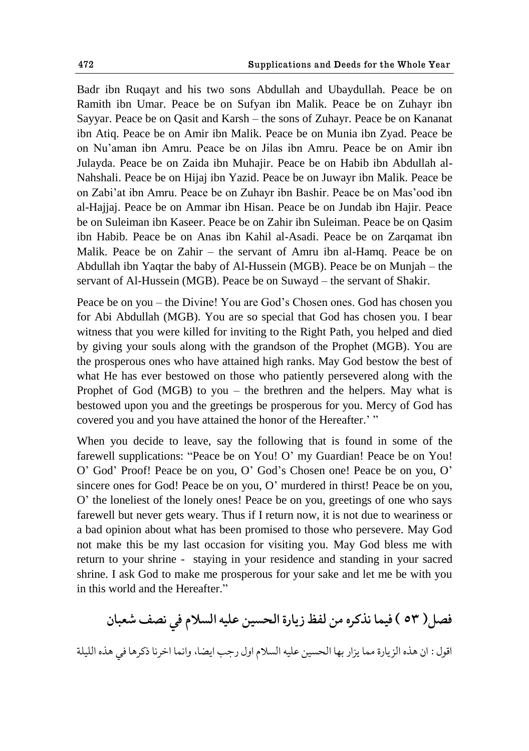Badr ibn Ruqayt and his two sons Abdullah and Ubaydullah. Peace be on Ramith ibn Umar. Peace be on Sufyan ibn Malik. Peace be on Zuhayr ibn Sayyar. Peace be on Qasit and Karsh – the sons of Zuhayr. Peace be on Kananat ibn Atiq. Peace be on Amir ibn Malik. Peace be on Munia ibn Zyad. Peace be on Nu"aman ibn Amru. Peace be on Jilas ibn Amru. Peace be on Amir ibn Julayda. Peace be on Zaida ibn Muhajir. Peace be on Habib ibn Abdullah al-Nahshali. Peace be on Hijaj ibn Yazid. Peace be on Juwayr ibn Malik. Peace be on Zabi"at ibn Amru. Peace be on Zuhayr ibn Bashir. Peace be on Mas"ood ibn al-Hajjaj. Peace be on Ammar ibn Hisan. Peace be on Jundab ibn Hajir. Peace be on Suleiman ibn Kaseer. Peace be on Zahir ibn Suleiman. Peace be on Qasim ibn Habib. Peace be on Anas ibn Kahil al-Asadi. Peace be on Zarqamat ibn Malik. Peace be on Zahir – the servant of Amru ibn al-Hamq. Peace be on Abdullah ibn Yaqtar the baby of Al-Hussein (MGB). Peace be on Munjah – the servant of Al-Hussein (MGB). Peace be on Suwayd – the servant of Shakir.

Peace be on you – the Divine! You are God"s Chosen ones. God has chosen you for Abi Abdullah (MGB). You are so special that God has chosen you. I bear witness that you were killed for inviting to the Right Path, you helped and died by giving your souls along with the grandson of the Prophet (MGB). You are the prosperous ones who have attained high ranks. May God bestow the best of what He has ever bestowed on those who patiently persevered along with the Prophet of God (MGB) to you – the brethren and the helpers. May what is bestowed upon you and the greetings be prosperous for you. Mercy of God has covered you and you have attained the honor of the Hereafter."

When you decide to leave, say the following that is found in some of the farewell supplications: "Peace be on You! O" my Guardian! Peace be on You! O" God" Proof! Peace be on you, O" God"s Chosen one! Peace be on you, O" sincere ones for God! Peace be on you, O" murdered in thirst! Peace be on you, O" the loneliest of the lonely ones! Peace be on you, greetings of one who says farewell but never gets weary. Thus if I return now, it is not due to weariness or a bad opinion about what has been promised to those who persevere. May God not make this be my last occasion for visiting you. May God bless me with return to your shrine - staying in your residence and standing in your sacred shrine. I ask God to make me prosperous for your sake and let me be with you in this world and the Hereafter."

فصل( ٥٣ ) فيما نذكره من لفظ زيارة الحسين عليه السلام في نصف شعبان اقول : ان هذه الزيارة مما يزار بها الحسين عليه السلام اول رجب ايضا، وانما اخرنا ذكرها في هذه الليلة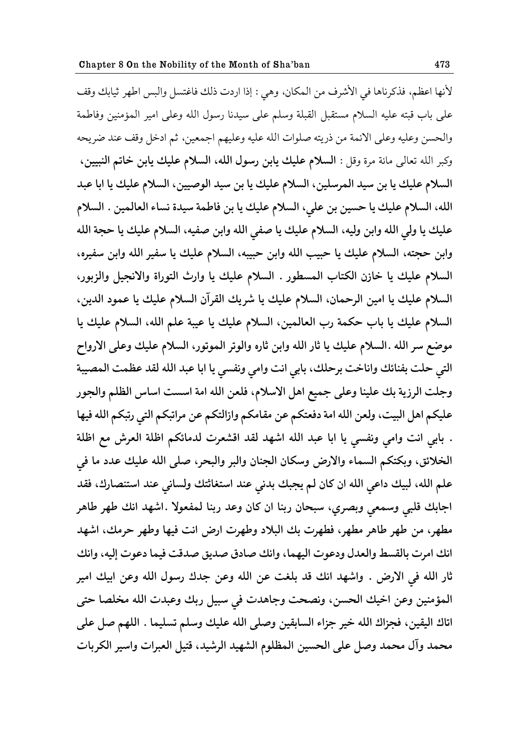لأنها اعظم، فذكرناها في الأشرف من المكان، وهي : إذا اردت ذلك فاغتسل والبس اطهر ثيابك وقف على باب قبته عليه السلام مستقبل القبلة وسلم على سيدنا رسول الله وعلى امير المؤمنين وفاطمة والحسن وعليه وعلى الائمة من ذريته صلوات الله عليه وعليهم اجمعين، ثم ادخل وقف عند ضريحه وكبر الله تعالى مائة مرة وقل : **السلام عليك يابن رسول الله، السلام عليك يابن خاتم النبيين،** السلام عليك يا بن سي*د* المرسلين، السلام عليك يا بن سيد الوصيين، السلام عليك يا ابا عبد الله، السلام عليك يا حسين بن على، السلام عليك يا بن فاطمة سيدة نساء العالمين . السلام عليك يا ولي الله وابن وليه، السلام عليك يا صفي الله وابن صفيه، السلام عليك يا حجة الله وابن حجته، السلام عليك يا حبيب الله وابن حبيبه، السلام عليك يا سفير الله وابن سفيره، السلام عليك يا خازن الكتاب المسطور . السلام عليك يا وارث التوراة والانجيل والزبور، السلام عليك يا امين الرحمان، السلام عليك يا شريك القرآن السلام عليك يا عمود الدين، السلام عليك يا باب حكمة رب العالمين، السلام عليك يا عيبة علم الله، السلام عليك يا موضع سر الله .السلام عليك يا ثار الله وابن ثاره والوتر الموتور، السلام عليك وعلى الارواح التي حلت بفنائك واناخت برحلك، بابي انت وامي ونفسي يا ابا عبد الله لقد عظمت المصيبة وجلت الرزية بك علينا وعلى جميع اهل الاسلام، فلعن الله امة اسست اساس الظلم والجور عليكم اهل البيت، ولعن الله امة دفعتكم عن مقامكم وازالتكم عن مراتبكم التي رتبكم الله فيها . بابي انت وامي ونفسي يا ابا عبد الله اشهد لقد اقشعرت لدمائكم اظلة العرش مع اظلة الخلائق، وبكتكم السماء والارض وسكان الجنان والبر والبحر، صلى الله عليك عدد ما في علم الله، لبيك داعي الله ان كان لم يجبك بدني عند استغاثتك ولساني عند استنصارك، فقد اجابك قلبي وسمعي وبصري، سبحان ربنا ان كان وعد ربنا لمفعولا .اشهد انك طهر طاهر مطهر، من طهر طاهر مطهر، فطهرت بك البلاد وطهرت ارض انت فيها وطهر حرمك، اشهد انك امرت بالقسط والعدل ودعوت اليهما، وانك صادق صديق صدقت فيما دعوت إليه، وانك ثار الله في الارض . واشهد انك قد بلغت عن الله وعن جدك رسول الله وعن ابيك امير المؤمنين وعن اخيك الحسن، ونصحت وجاهدت في سبيل ربك وعبدت الله مخلصا حتى اتاك اليقين، فجزاك الله خير جزاء السابقين وصلى الله عليك وسلم تسليما . اللهم صل على محمد وآل محمد وصل على الحسين المظلوم الشهيد الرشيد، قتيل العبرات واسير الكربات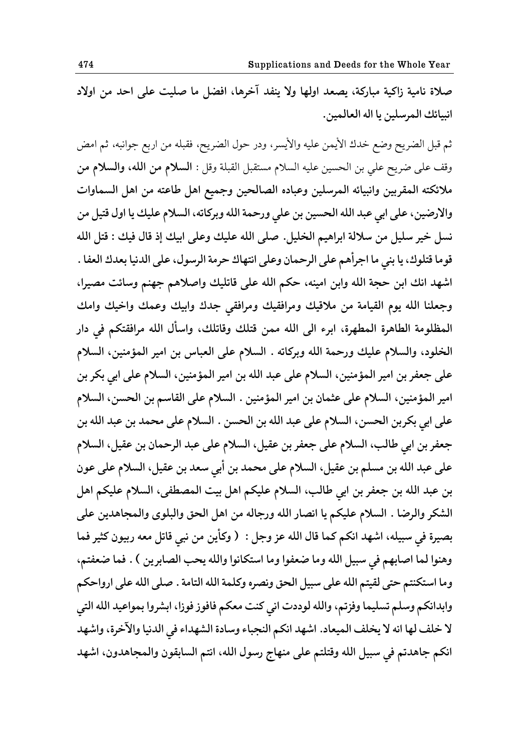صلاة نامية زاكية مباركة، يصعد اولها ولا ينفد آخرها، افضل ما صليت على احد من اولاد انبيائك المرسلين يا اله العالمين.

ثم قبل الضريح وضع خدك الأيمن عليه والأيسر، ودر حول الضريح، فقبله من اربع جوانبه، ثم امض وقف على ضريح على بن الحسين عليه السلام مستقبل القبلة وقل : **السلام من الله، والسلام من** ملائكته المقربين وانبيائه المرسلين وعباده الصالحين وجميع اهل طاعته من اهل السماوات والارضين، على ابي عبد الله الحسين بن علي ورحمة الله وبركاته، السلام عليك يا اول قتيل من نسل خير سليل من سلالة ابراهيم الخليل. صلى الله عليك وعلى ابيك إذ قال فيك : قتل الله قوما قتلوك، يا بني ما اجرأهم على الرحمان وعلى انتهاك حرمة الرسول، على الدنيا بعدك العفا . اشهد انك ابن حجة الله وابن امينه، حكم الله على قاتليك واصلاهم جهنم وسائت مصيرا، وجعلنا الله يوم القيامة من ملاقيك ومرافقيك ومرافقى جدك وابيك وعمك واخيك وامك المظلومة الطاهرة المطهرة، ابرء الى الله ممن قتلك وقاتلك، واسأل الله مرافقتكم في دار الخلود، والسلام عليك ورحمة الله وبركاته . السلام على العباس بن امير المؤمنين، السلام على جعفر بن امير المؤمنين، السلام على عبد الله بن امير المؤمنين، السلام على ابي بكر بن امير المؤمنين، السلام على عثمان بن امير المؤمنين . السلام على القاسم بن الحسن، السلام على ابي بكربن الحسن، السلام على عبد الله بن الحسن . السلام على محمد بن عبد الله بن جعفر بن ابي طالب، السلام على جعفر بن عقيل، السلام على عبد الرحمان بن عقيل، السلام على عبد الله بن مسلم بن عقيل، السلام على محمد بن أبي سعد بن عقيل، السلام على عون بن عبد الله بن جعفر بن ابي طالب، السلام عليكم اهل بيت المصطفى، السلام عليكم اهل الشكر والرضا . السلام عليكم يا انصار الله ورجاله من اهل الحق والبلوى والمجاهدين على **بّيكة ٨ي وبيله، حٌهؿ حيكن کما ٬ال حلله ٠م وشل : ) وکؤیى هى يبي ٬اجل ه١ه قبيىو کريك ٨ما**  وهنوا لما اصابهم في سبيل الله وما ضعفوا وما استكانوا والله يحب الصابرين ) . فما ضعفتم، وما استكنتم حتى لقيتم الله على سبيل الحق ونصره وكلمة الله التامة . صلى الله على ارواحكم وابدانكم وسلم تسليما وفزتم، والله لوددت انى كنت معكم فافوز فوزا، ابشروا بمواعيد الله التي لا خلف لها انه لا يخلف الميعاد. اشهد انكم النجباء وسادة الشهداء في الدنيا والآخرة، واشهد انكم جاهدتم في سبيل الله وقتلتم على منهاج رسول الله، انتم السابقون والمجاهدون، اشهد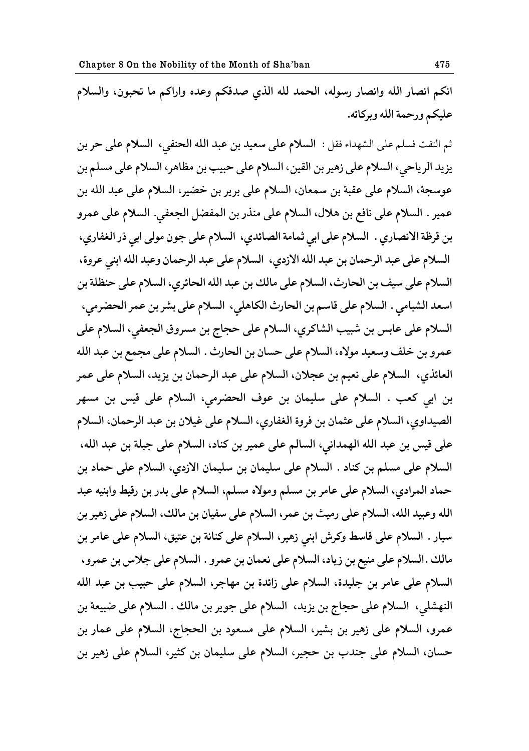انكم انصار الله وانصار رسوله، الحمد لله الذي صدقكم وعده واراكم ما تحبون، والسلام **٠ليكن وقظمة حلله وبكکاجه.** 

ثم التفت فسلم على الشهداء فقل : **السلام على سعيد بن عبد الله الحن**في، **السلام على حر بن** يزيد الرياحي، السلام على زهير بن القين، السلام على حبيب بن مظاهر، السلام على مسلم بن عوسجة، السلام على عقبة بن سمعان، السلام على برير بن خضير، السلام على عبد الله بن عمير . السلام على نافع بن هلال، السلام على منذر بن المفضل الجعفي. السلام على عمرو بن قرظة الانصاري . السلام على ابي ثمامة الصائدي، السلام على جون مولى ابي ذر الغفاري، السلام على عبد الرحمان بن عبد الله الازدي، السلام على عبد الرحمان وعبد الله ابني عروة، السلام على سيف بن الحارث، السلام على مالك بن عبد الله الحائري، السلام على حنظلة بن اسعد الشبامي . السلام على قاسم بن الحارث الكاهلي، السلام على بشر بن عمر الحضرمي، السلام على عابس بن شبيب الشاكري، السلام على حجاج بن مسروق الجعفي، السلام على عمرو بن خلف وسعيد مولاه، السلام على حسان بن الحارث . السلام على مجمع بن عبد الله العائذي، السلام على نعيم بن عجلان، السلام على عبد الرحمان بن يزيد، السلام على عمر بن ابي كعب . السلام على سليمان بن عوف الحضرمي، السلام على قيس بن مسهر الصيداوي، السلام على عثمان بن فروة الغفاري، السلام على غيلان بن عبد الرحمان، السلام على قيس بن عبد الله الهمداني، السالم على عمير بن كناد، السلام على جبلة بن عبد الله، السلام على مسلم بن كناد . السلام على سليمان بن سليمان الازدي، السلام على حماد بن حماد المرادي، السلام على عامر بن مسلم ومولاه مسلم، السلام على بدر بن رقيط وابنيه عبد الله وعبيد الله، السلام على رميث بن عمر، السلام على سفيان بن مالك، السلام على زهير بن سيار . السلام على قاسط وكرش ابنى زهير، السلام على كنانة بن عتيق، السلام على عامر بن مالك .السلام على منيع بن زياد، السلام على نعمان بن عمرو . السلام على جلاس بن عمرو، السلام على عامر بن جليدة، السلام على زائدة بن مهاجر، السلام على حبيب بن عبد الله النهشلي، السلام على حجاج بن يزيد، السلام على جوير بن مالك . السلام على ضبيعة بن عمرو، السلام على زهير بن بشير، السلام على مسعود بن الحجاج، السلام على عمار بن حسان، السلام على جندب بن حجير، السلام على سليمان بن كثير، السلام على زهير بن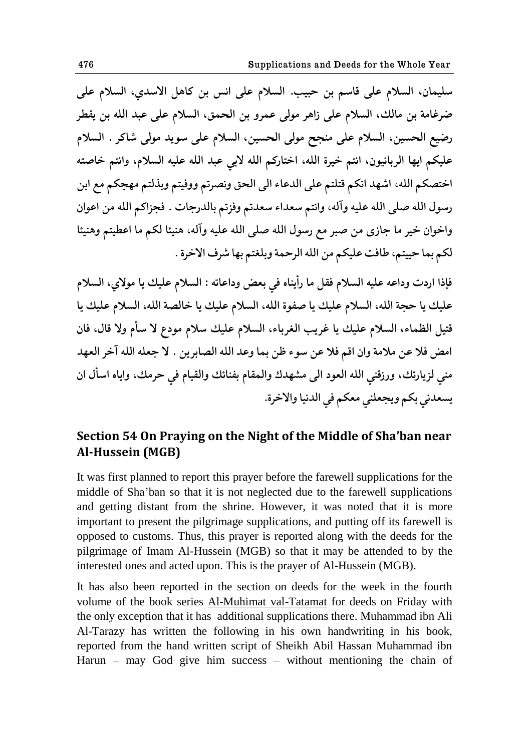سليمان، السلام على قاسم بن حبيب. السلام على انس بن كاهل الاسدي، السلام على **ٔك٤اهة بى هالٯ، حلىالم ٠لى لحهك هىلى ٠مكو بى حلعم،٫ حلىالم ٠لى ٠بؿ حلله بى ی٭ٙك**  رضيع الحسين، السلام على منجح مولى الحسين، السلام على سويد مولى شاكر . السلام عليكم ايها الربانيون، انتم خيرة الله، اختاركم الله لاب*ي عبد الله عليه السلام*، وانتم خاصته اختصكم الله، اشهد انكم قتلتم على الدعاء الى الحق ونصرتم ووفيتم وبذلتم مهجكم مع ابن رسول الله صلى الله عليه وآله، وانتم سعداء سعدتم وفزتم بالدرجات . فجزاكم الله من اعوان واخوان خير ما جازى من صبر مع رسول الله صلى الله عليه وآله، هنيئا لكم ما اعطيتم وهنيئا لكم بما حييتم، طافت عليكم من الله الرحمة وبلغتم بها شرف الاخرة .

فإذا اردت وداعه عليه السلام فقل ما رأيناه في بعض وداعاته : السلام عليك يا مولاي، السلام عليك يا حجة الله، السلام عليك يا صفوة الله، السلام عليك يا خالصة الله، السلام عليك يا قتيل الظماء، السلام عليك يا غريب الغرباء، السلام عليك سلام مودع لا سأم ولا قال، فان امض فلا عن ملامة وان اقم فلا عن سوء ظن بما وعد الله الصابرين . لا جعله الله آخر العهد منى لزيارتك، ورزقني الله العود الى مشهدك والمقام بفنائك والقيام في حرمك، واياه اسأل ان يسعدني بكم ويجعلني معكم في الدنيا والاخرة.

# **Section 54 On Praying on the Night of the Middle of Sha'ban near Al-Hussein (MGB)**

It was first planned to report this prayer before the farewell supplications for the middle of Sha"ban so that it is not neglected due to the farewell supplications and getting distant from the shrine. However, it was noted that it is more important to present the pilgrimage supplications, and putting off its farewell is opposed to customs. Thus, this prayer is reported along with the deeds for the pilgrimage of Imam Al-Hussein (MGB) so that it may be attended to by the interested ones and acted upon. This is the prayer of Al-Hussein (MGB).

It has also been reported in the section on deeds for the week in the fourth volume of the book series Al-Muhimat val-Tatamat for deeds on Friday with the only exception that it has additional supplications there. Muhammad ibn Ali Al-Tarazy has written the following in his own handwriting in his book, reported from the hand written script of Sheikh Abil Hassan Muhammad ibn Harun – may God give him success – without mentioning the chain of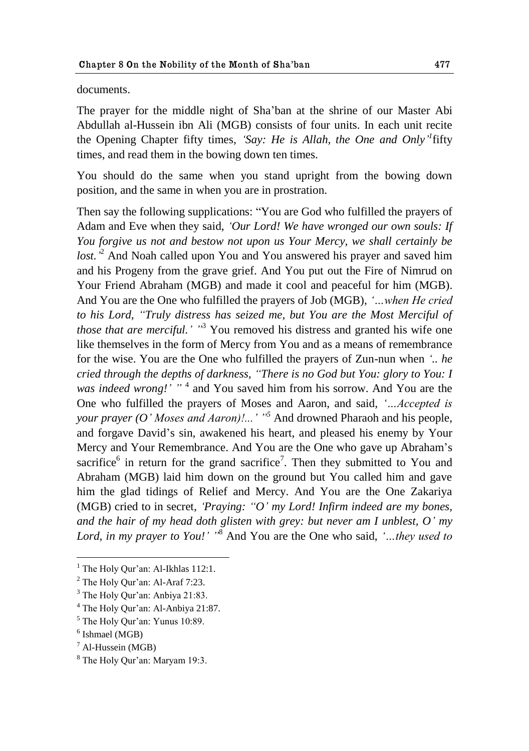#### documents.

The prayer for the middle night of Sha"ban at the shrine of our Master Abi Abdullah al-Hussein ibn Ali (MGB) consists of four units. In each unit recite the Opening Chapter fifty times, *"Say: He is Allah, the One and Only" 1* fifty times, and read them in the bowing down ten times.

You should do the same when you stand upright from the bowing down position, and the same in when you are in prostration.

Then say the following supplications: "You are God who fulfilled the prayers of Adam and Eve when they said, *"Our Lord! We have wronged our own souls: If You forgive us not and bestow not upon us Your Mercy, we shall certainly be*  lost.<sup>2</sup> And Noah called upon You and You answered his prayer and saved him and his Progeny from the grave grief. And You put out the Fire of Nimrud on Your Friend Abraham (MGB) and made it cool and peaceful for him (MGB). And You are the One who fulfilled the prayers of Job (MGB), *"…when He cried to his Lord, "Truly distress has seized me, but You are the Most Merciful of those that are merciful.'* "<sup>3</sup> You removed his distress and granted his wife one like themselves in the form of Mercy from You and as a means of remembrance for the wise. You are the One who fulfilled the prayers of Zun-nun when *".. he cried through the depths of darkness, "There is no God but You: glory to You: I*  was indeed wrong!' "<sup>4</sup> and You saved him from his sorrow. And You are the One who fulfilled the prayers of Moses and Aaron, and said, *"…Accepted is your prayer (O" Moses and Aaron)!..." "<sup>5</sup>* And drowned Pharaoh and his people, and forgave David"s sin, awakened his heart, and pleased his enemy by Your Mercy and Your Remembrance. And You are the One who gave up Abraham"s sacrifice $6$  in return for the grand sacrifice<sup>7</sup>. Then they submitted to You and Abraham (MGB) laid him down on the ground but You called him and gave him the glad tidings of Relief and Mercy. And You are the One Zakariya (MGB) cried to in secret, *"Praying: "O" my Lord! Infirm indeed are my bones, and the hair of my head doth glisten with grey: but never am I unblest, O" my Lord, in my prayer to You!" "*<sup>8</sup> And You are the One who said, *"…they used to* 

<u>.</u>

 $<sup>1</sup>$  The Holy Qur'an: Al-Ikhlas 112:1.</sup>

<sup>&</sup>lt;sup>2</sup> The Holy Qur'an: Al-Araf 7:23.

 $3$  The Holy Qur'an: Anbiya 21:83.

<sup>4</sup> The Holy Qur"an: Al-Anbiya 21:87.

<sup>5</sup> The Holy Qur"an: Yunus 10:89.

<sup>6</sup> Ishmael (MGB)

 $<sup>7</sup>$  Al-Hussein (MGB)</sup>

<sup>&</sup>lt;sup>8</sup> The Holy Our'an: Maryam 19:3.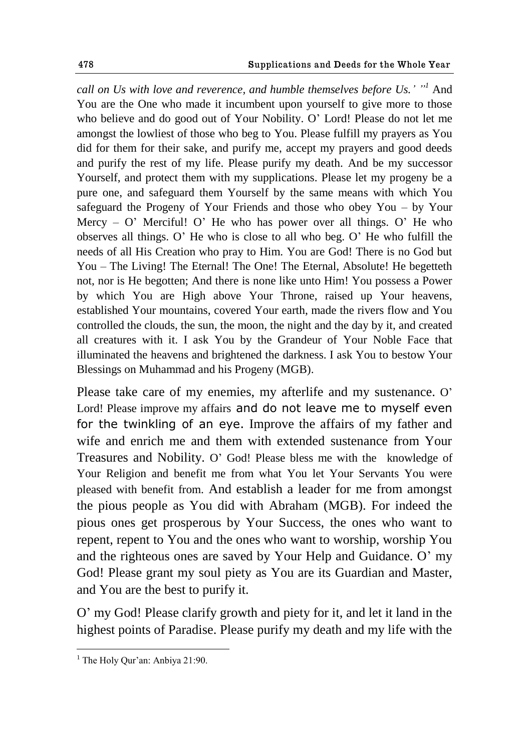*call on Us with love and reverence, and humble themselves before Us." "<sup>1</sup>* And You are the One who made it incumbent upon yourself to give more to those who believe and do good out of Your Nobility. O" Lord! Please do not let me amongst the lowliest of those who beg to You. Please fulfill my prayers as You did for them for their sake, and purify me, accept my prayers and good deeds and purify the rest of my life. Please purify my death. And be my successor Yourself, and protect them with my supplications. Please let my progeny be a pure one, and safeguard them Yourself by the same means with which You safeguard the Progeny of Your Friends and those who obey You – by Your Mercy –  $O'$  Merciful!  $O'$  He who has power over all things.  $O'$  He who observes all things. O" He who is close to all who beg. O" He who fulfill the needs of all His Creation who pray to Him. You are God! There is no God but You – The Living! The Eternal! The One! The Eternal, Absolute! He begetteth not, nor is He begotten; And there is none like unto Him! You possess a Power by which You are High above Your Throne, raised up Your heavens, established Your mountains, covered Your earth, made the rivers flow and You controlled the clouds, the sun, the moon, the night and the day by it, and created all creatures with it. I ask You by the Grandeur of Your Noble Face that illuminated the heavens and brightened the darkness. I ask You to bestow Your Blessings on Muhammad and his Progeny (MGB).

Please take care of my enemies, my afterlife and my sustenance. O' Lord! Please improve my affairs and do not leave me to myself even for the twinkling of an eye. Improve the affairs of my father and wife and enrich me and them with extended sustenance from Your Treasures and Nobility. O" God! Please bless me with the knowledge of Your Religion and benefit me from what You let Your Servants You were pleased with benefit from. And establish a leader for me from amongst the pious people as You did with Abraham (MGB). For indeed the pious ones get prosperous by Your Success, the ones who want to repent, repent to You and the ones who want to worship, worship You and the righteous ones are saved by Your Help and Guidance. O" my God! Please grant my soul piety as You are its Guardian and Master, and You are the best to purify it.

O" my God! Please clarify growth and piety for it, and let it land in the highest points of Paradise. Please purify my death and my life with the

<sup>&</sup>lt;sup>1</sup> The Holy Qur'an: Anbiya 21:90.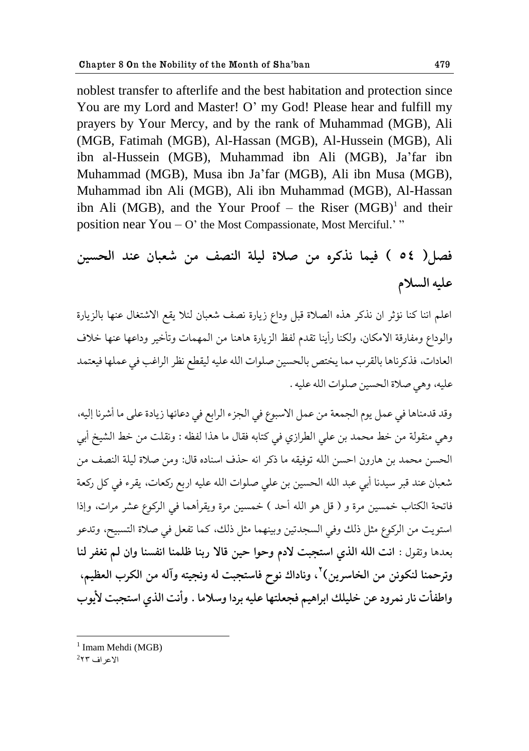noblest transfer to afterlife and the best habitation and protection since You are my Lord and Master! O' my God! Please hear and fulfill my prayers by Your Mercy, and by the rank of Muhammad (MGB), Ali (MGB, Fatimah (MGB), Al-Hassan (MGB), Al-Hussein (MGB), Ali ibn al-Hussein (MGB), Muhammad ibn Ali (MGB), Ja"far ibn Muhammad (MGB), Musa ibn Ja"far (MGB), Ali ibn Musa (MGB), Muhammad ibn Ali (MGB), Ali ibn Muhammad (MGB), Al-Hassan ibn Ali (MGB), and the Your Proof  $-$  the Riser (MGB)<sup>1</sup> and their position near  $You - O'$  the Most Compassionate, Most Merciful."

# فصل( ٥٤ ) فيما نذكره من صلاة ليلة النصف من شعبان عند الحسين **٠ليه حلىالم**

اعلم اننا كنا نؤثر ان نذكر هذه الصلاة قبل وداع زيارة نصف شعبان لئلا يقع الاشتغال عنها بالزيارة والوداع ومفارقة الامكان، ولكنا رأينا تقدم لفظ الزيارة هاهنا من المهمات وتأخير وداعها عنها خلاف العادات، فذكر ناها بالقرب مما يختص بالحسين صلوات الله عليه ليقطع نظر الراغب في عملها فيعتمد عليه، وهي صلاة الحسين صلوات الله عليه .

وقد قدمناها في عمل يوم الجمعة من عمل الاسبوع في الجزء الرابع في دعائها زيادة على ما أشرنا إليه، وهي منقولة من خط محمد بن على الطرازي في كتابه فقال ما هذا لفظه : ونقلت من خط الشيخ أبي الحسن محمد بن هارون احسن الله توفيقه ما ذكر انه حذف اسناده قال: ومن صلاة ليلة النصف من شعبان عند قبر سيدنا أبي عبد الله الحسين بن على صلوات الله عليه اربع ركعات، يقرء في كل ركعة فاتحة الكتاب خمسين مرة و ( قل هو الله أحد ) خمسين مرة ويقرأهما في الركوع عشر مرات، وإذا استويت من الركوع مثل ذلك وفي السجدتين وبينهما مثل ذلك، كما تفعل في صلاة التسبيح، وتدعو بعدها وتقول : انت الله الذى استجبت لادم وحوا حين قالا ربنا ظلمنا انفسنا وان لم تغفر لنا وترحمنا لنكونن من الخاسرين<sup>) ت</sup>ا وناداك نوح فاستجبت له ونجيته وآله من الكرب العظيم، واطفأت نار نمرود عن خليلك ابراهيم فجعلتها عليه بردا وسلاما . وأنت الذي استجبت لأيوب

<sup>&</sup>lt;sup>1</sup> Imam Mehdi (MGB)

 $^2$ الاعراف  $^2$ ۲۲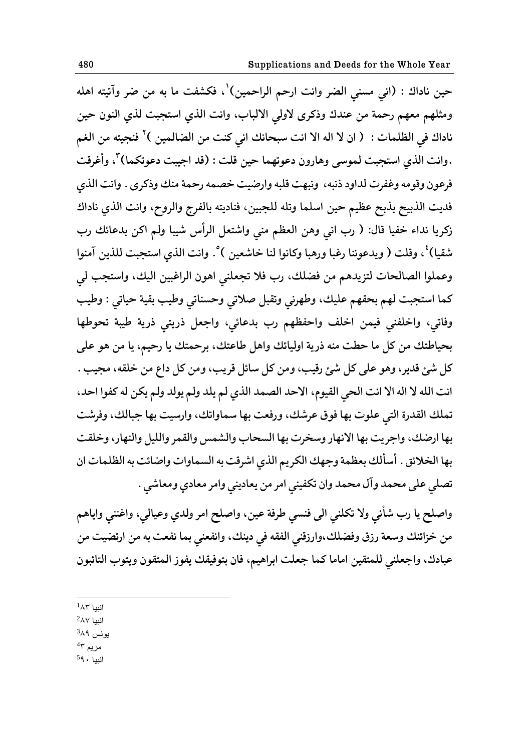حين ناداك : (اني مسني الضر وانت ارحم الراحمين)<sup>י</sup>، فكشفت ما به من ضر وآتيته اهله ومثلهم معهم رحمة من عندك وذكرى لاولي الالباب، وانت الذي استجبت لذي النون حين ناداك في الظلمات : ( ان لا اله الا انت سبحانك اني كنت من الضالمين )<sup>۲</sup> فنجيته من الغم .وانت الذي استجبت لموسى وهارون دعوتهما حين قلت : (قد اجيبت دعوتكما)<sup>٣</sup>، وأغرقت فرعون وقومه وغفرت لداود ذنبه، ونبهت قلبه وارضيت خصمه رحمة منك وذكرى . وانت الذي فديت الذبيح بذبح عظيم حين اسلما وتله للجبين، فناديته بالفرج والروح، وانت الذي ناداك زكريا نداء خفيا قال: ( رب ان<sub>ى</sub> وهن العظم منى واشتعل الرأس شيبا ولم اكن بدعائك رب شقيا)<sup>؛</sup>، وقلت ( ويدعوننا رغبا ورهبا وكانوا لنا خاشعين )°. وانت الذي استجبت للذين آمنوا وعملوا الصالحات لتزيدهم من فضلك، رب فلا تجعلني اهون الراغبين اليك، واستجب لي كما استجبت لهم بحقهم عليك، وطهرني وتقبل صلاتي وحسناتي وطيب بقية حياتي : وطيب وفاتي، واخلفنى فيمن اخلف واحفظهم رب بدعائي، واجعل ذريتي ذرية طيبة تحوطها بحياطتك من كل ما حطت منه ذرية اوليائك واهل طاعتك، برحمتك يا رحيم، يا من هو على کل شئ قدير، وهو على کل شئ رقيب، ومن کل سائل قريب، ومن کل داع من خلقه، مجيب . انت الله لا اله الا انت الحي القيوم، الاحد الصمد الذي لم يلد ولم يولد ولم يكن له كفوا احد، تملك القدرة التي علوت بها فوق عرشك، ورفعت بها سماواتك، وارسيت بها جبالك، وفرشت بها ارضك، واجريت بها الانهار وسخرت بها السحاب والشمس والقمر والليل والنهار، وخلقت بها الخلائق . أسألك بعظمة وجهك الكريم الذي اشرقت به السماوات واضائت به الظلمات ان تصلى على محمد وآل محمد وان تكفينى امر من يعاديني وامر معادي ومعاشي .

واصلح یا رب شأني ولا تكلني الي فنسي طرفة عين، واصلح امر ولدي وعيالي، واغنني واياهم من خزائنك وسعة رزق وفضلك،وارزقني الفقه في دينك، وانفعني بما نفعت به من ارتضيت من عبادك، واجعلني للمتقين اماما كما جعلت ابراهيم، فان بتوفيقك يفوز المتقون ويتوب التائبون

<u>.</u>  $^1$ انبيا  $^1$ 

 $^2$ انبيا  $^2$ 

يونس <sup>3</sup>۸۹

مريم <sup>4</sup>۳

انبيا 59۰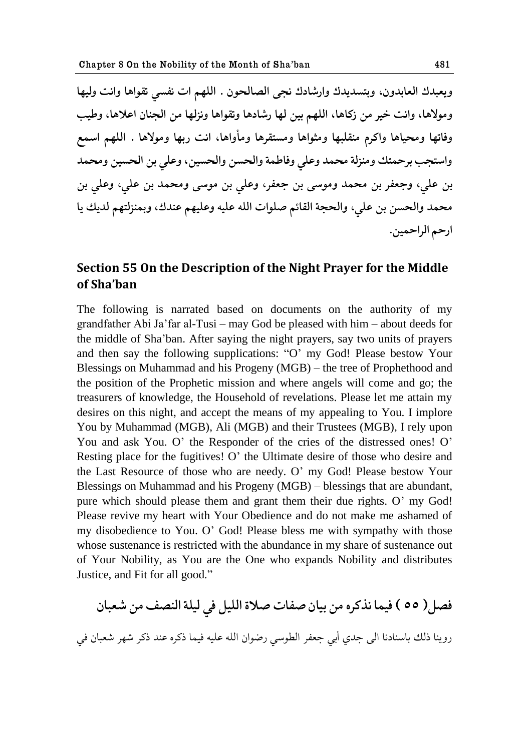ويعبدك العابدون، وبتسديدك وارشادك نجى الصالحون . اللهم ات نفسى تقواها وانت وليها ومولاها، وانت خير من زكاها، اللهم بين لها رشادها وتقواها ونزلها من الجنان اعلاها، وطيب وفاتها ومحياها واكرم منقلبها ومثواها ومستقرها ومأواها، انت ربها ومولاها . اللهم اسمع واستجب برحمتك ومنزلة محمد وعلى وفاطمة والحسن والحسين، وعلى بن الحسين ومحمد بن علي، وجعفر بن محمد وموسى بن جعفر، وعلى بن موسى ومحمد بن علي، وعلى بن محمد والحسن بن علي، والحجة القائم صلوات الله عليه وعليهم عندك، وبمنزلتهم لديك يا ارحم الراحمين.

# **Section 55 On the Description of the Night Prayer for the Middle of Sha'ban**

The following is narrated based on documents on the authority of my grandfather Abi Ja"far al-Tusi – may God be pleased with him – about deeds for the middle of Sha"ban. After saying the night prayers, say two units of prayers and then say the following supplications: "O" my God! Please bestow Your Blessings on Muhammad and his Progeny (MGB) – the tree of Prophethood and the position of the Prophetic mission and where angels will come and go; the treasurers of knowledge, the Household of revelations. Please let me attain my desires on this night, and accept the means of my appealing to You. I implore You by Muhammad (MGB), Ali (MGB) and their Trustees (MGB), I rely upon You and ask You. O' the Responder of the cries of the distressed ones! O' Resting place for the fugitives! O' the Ultimate desire of those who desire and the Last Resource of those who are needy. O" my God! Please bestow Your Blessings on Muhammad and his Progeny (MGB) – blessings that are abundant, pure which should please them and grant them their due rights. O' my God! Please revive my heart with Your Obedience and do not make me ashamed of my disobedience to You. O" God! Please bless me with sympathy with those whose sustenance is restricted with the abundance in my share of sustenance out of Your Nobility, as You are the One who expands Nobility and distributes Justice, and Fit for all good."

فصل( ٥٥ ) فيما نذكره من بيان صفات صلاة الليل في ليلة النصف من شعبان روينا ذلك باسنادنا الى جدى أبي جعفر الطوسي رضوان الله عليه فيما ذكره عند ذكر شهر شعبان في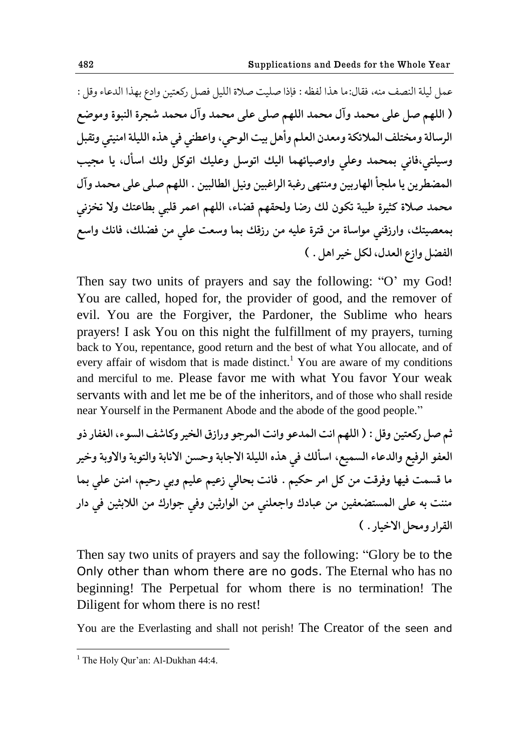عمل ليلة النصف منه، فقال:ما هذا لفظه : فإذا صليت صلاة الليل فصل ركعتين وإدع بهذا الدعاء وقل : ( اللهم صل على محمد وآل محمد اللهم صلى على محمد وآل محمد شجرة النبوة وموضع الرسالة ومختلف الملائكة ومعدن العلم وأهل بيت الوحي، واعطني في هذه الليلة امنيتي وتقبل وسيلتي،فاني بمحمد وعل<sub>ّى</sub> واوصيائهما اليك اتوسل وعليك اتوكل ولك اسأل، يا مجيب المضطرين يا ملجأ الهاربين ومنتهى رغبة الراغبين ونيل الطالبين . اللهم صلى على محمد وآل محمد صلاة كثيرة طيبة تكون لك رضا ولحقهم قضاء، اللهم اعمر قلبي بطاعتك ولا تخزني بمعصيتك، وارزقنى مواساة من قترة عليه من رزقك بما وسعت على من فضلك، فانك واسع الفضل وازع العدل، لكل خير اهل . )

Then say two units of prayers and say the following: "O' my God! You are called, hoped for, the provider of good, and the remover of evil. You are the Forgiver, the Pardoner, the Sublime who hears prayers! I ask You on this night the fulfillment of my prayers, turning back to You, repentance, good return and the best of what You allocate, and of every affair of wisdom that is made distinct.<sup>1</sup> You are aware of my conditions and merciful to me. Please favor me with what You favor Your weak servants with and let me be of the inheritors, and of those who shall reside near Yourself in the Permanent Abode and the abode of the good people."

**ذن ِل قک١حيى و٬ل : ) حللهن حيث حلمؿ٠ى وحيث حلمكشى وقحل٪ حلؽيك وکا٧ٌ حلىىء، حل٩٥اق ـو**  العفو الرفيع والدعاء السميع، اسألك في هذه الليلة الاجابة وحسن الانابة والتوبة والاوبة وخير ما قسمت فيها وفرقت من كل امر حكيم . فانت بحالي زعيم عليم وبي رحيم، امنن علي بما مننت به على المستضعفين من عبادك واجعلنى من الوارثين وفي جوارك من اللابثين في دار القرار ومحل الاخيار . )

Then say two units of prayers and say the following: "Glory be to the Only other than whom there are no gods. The Eternal who has no beginning! The Perpetual for whom there is no termination! The Diligent for whom there is no rest!

You are the Everlasting and shall not perish! The Creator of the seen and

 $<sup>1</sup>$  The Holy Qur'an: Al-Dukhan 44:4.</sup>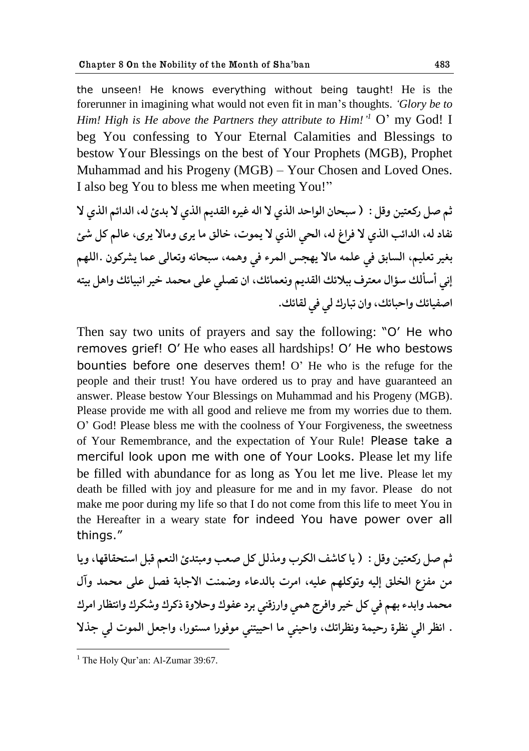the unseen! He knows everything without being taught! He is the forerunner in imagining what would not even fit in man"s thoughts. *"Glory be to Him! High is He above the Partners they attribute to Him!*<sup>1</sup> O' my God! I beg You confessing to Your Eternal Calamities and Blessings to bestow Your Blessings on the best of Your Prophets (MGB), Prophet Muhammad and his Progeny (MGB) – Your Chosen and Loved Ones. I also beg You to bless me when meeting You!"

**ذن ِل قک١حيى و٬ل : ) وبعاو حلىحظؿ حلفي ال حله ٤يكه حل٭ؿین حلفي ال بؿة له، حلؿحثن حلفي ال**  نفاد له، الدائب الذي لا فراغ له، الحي الذي لا يموت، خالق ما يرى ومالا يرى، عالم كل شئ بغير تعليم، السابق في علمه مالا يهجس المرء في وهمه، سبحانه وتعالى عما يشركون .اللهم إني أسألك سؤال معترف ببلائك القديم ونعمائك، ان تصلي على محمد خير انبيائك واهل بيته اصفيائك واحبائك، وان تبارك لي في لقائك.

Then say two units of prayers and say the following: "O" He who removes grief! O" He who eases all hardships! O" He who bestows bounties before one deserves them! O" He who is the refuge for the people and their trust! You have ordered us to pray and have guaranteed an answer. Please bestow Your Blessings on Muhammad and his Progeny (MGB). Please provide me with all good and relieve me from my worries due to them. O" God! Please bless me with the coolness of Your Forgiveness, the sweetness of Your Remembrance, and the expectation of Your Rule! Please take a merciful look upon me with one of Your Looks. Please let my life be filled with abundance for as long as You let me live. Please let my death be filled with joy and pleasure for me and in my favor. Please do not make me poor during my life so that I do not come from this life to meet You in the Hereafter in a weary state for indeed You have power over all things."

**ذن ِل قک١حيى و٬ل : ) یا کا٧ٌ حلككب وهفلل کل ١ِب وهبحؿة حل١ًن ٬بل حوحع٭ا٬ها، ویا**  من مفزع الخلق إليه وتوكلهم عليه، امرت بالدعاء وضمنت الاجابة فصل على محمد وآل محمد وابدء بهم في كل خير وافرج همي وارزقني برد عفوك وحلاوة ذكرك وشكرك وانتظار امرك . انظر الى نظرة رحيمة ونظراتك، واحينى ما احييتنى موفورا مستورا، واجعل الموت لي جذلا

 $<sup>1</sup>$  The Holy Qur'an: Al-Zumar 39:67.</sup>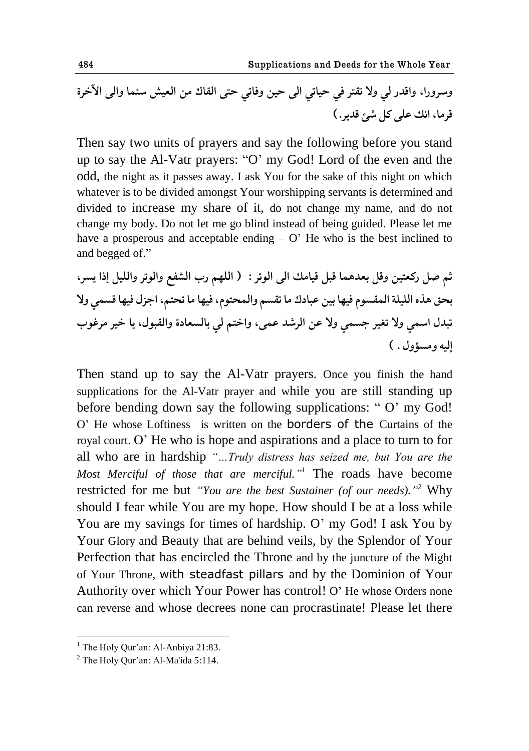**ووكوقح، وح٬ؿق لي وال ج٭حك ٨ي ظياجي حلى ظيى و٨اجي ظحى حل٭اٮ هى حل١يً وجما وحلى حآلؼكة ٬كها، حيٯ ٠لى کل ٌت ٬ؿیك.(**

Then say two units of prayers and say the following before you stand up to say the Al-Vatr prayers: "O" my God! Lord of the even and the odd, the night as it passes away. I ask You for the sake of this night on which whatever is to be divided amongst Your worshipping servants is determined and divided to increase my share of it, do not change my name, and do not change my body. Do not let me go blind instead of being guided. Please let me have a prosperous and acceptable ending  $- O'$  He who is the best inclined to and begged of."

**ذن ِل قک١حيى و٬ل ب١ؿهما ٬بل ٬ياهٯ حلى حلىجك : ) حللهن قب حل٩ٍٟ وحلىجك وحلليل اـح یىك، بع٫ هفه حلليلة حلم٭ىىم ٨يها بيى ٠باؾٮ ها ج٭ىن وحلمعحىم، ٨يها ها جعحن، حشمل ٨يها ٬ىمي وال جبؿل حومي وال ج٥يك شىمي وال ٠ى حلكٌؿ ٠مى، وحؼحن لي بالى١اؾة وحل٭بىل، یا ؼيك هك٤ىب اليه وهىئول . (**

Then stand up to say the Al-Vatr prayers. Once you finish the hand supplications for the Al-Vatr prayer and while you are still standing up before bending down say the following supplications: "O' my God! O" He whose Loftiness is written on the borders of the Curtains of the royal court. O" He who is hope and aspirations and a place to turn to for all who are in hardship *"…Truly distress has seized me, but You are the Most Merciful of those that are merciful." <sup>1</sup>* The roads have become restricted for me but *"You are the best Sustainer (of our needs).*"<sup>2</sup> Why should I fear while You are my hope. How should I be at a loss while You are my savings for times of hardship. O' my God! I ask You by Your Glory and Beauty that are behind veils, by the Splendor of Your Perfection that has encircled the Throne and by the juncture of the Might of Your Throne, with steadfast pillars and by the Dominion of Your Authority over which Your Power has control! O" He whose Orders none can reverse and whose decrees none can procrastinate! Please let there

 $<sup>1</sup>$  The Holy Qur'an: Al-Anbiya 21:83.</sup>

 $2$  The Holy Our'an: Al-Ma'ida 5:114.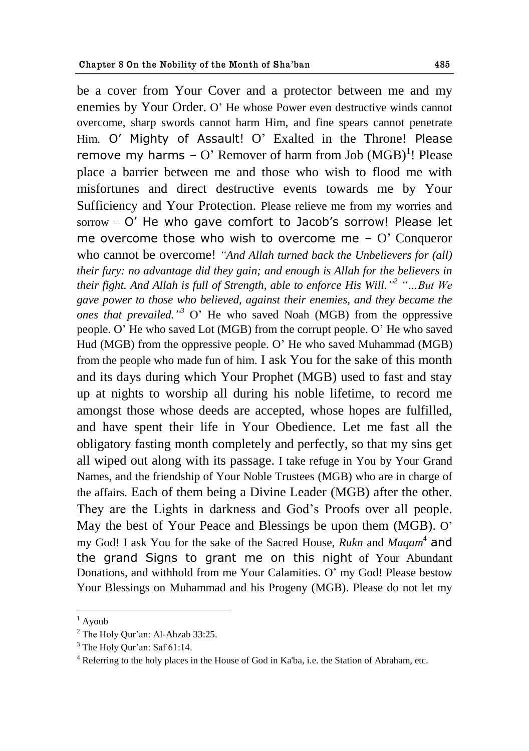be a cover from Your Cover and a protector between me and my enemies by Your Order. O" He whose Power even destructive winds cannot overcome, sharp swords cannot harm Him, and fine spears cannot penetrate Him. O' Mighty of Assault! O' Exalted in the Throne! Please remove my harms  $-$  O' Remover of harm from Job  $(MGB)^1$ ! Please place a barrier between me and those who wish to flood me with misfortunes and direct destructive events towards me by Your Sufficiency and Your Protection. Please relieve me from my worries and sorrow – O' He who gave comfort to Jacob's sorrow! Please let me overcome those who wish to overcome me –  $O'$  Conqueror who cannot be overcome! *"And Allah turned back the Unbelievers for (all) their fury: no advantage did they gain; and enough is Allah for the believers in their fight. And Allah is full of Strength, able to enforce His Will." 2 "…But We gave power to those who believed, against their enemies, and they became the ones that prevailed." <sup>3</sup>* O" He who saved Noah (MGB) from the oppressive people. O" He who saved Lot (MGB) from the corrupt people. O" He who saved Hud (MGB) from the oppressive people. O" He who saved Muhammad (MGB) from the people who made fun of him. I ask You for the sake of this month and its days during which Your Prophet (MGB) used to fast and stay up at nights to worship all during his noble lifetime, to record me amongst those whose deeds are accepted, whose hopes are fulfilled, and have spent their life in Your Obedience. Let me fast all the obligatory fasting month completely and perfectly, so that my sins get all wiped out along with its passage. I take refuge in You by Your Grand Names, and the friendship of Your Noble Trustees (MGB) who are in charge of the affairs. Each of them being a Divine Leader (MGB) after the other. They are the Lights in darkness and God"s Proofs over all people. May the best of Your Peace and Blessings be upon them (MGB). O' my God! I ask You for the sake of the Sacred House, *Rukn* and *Maqam*<sup>4</sup> and the grand Signs to grant me on this night of Your Abundant Donations, and withhold from me Your Calamities. O" my God! Please bestow Your Blessings on Muhammad and his Progeny (MGB). Please do not let my

<u>.</u>

 $1$  Ayoub

 $<sup>2</sup>$  The Holy Qur'an: Al-Ahzab 33:25.</sup>

 $3$  The Holy Qur'an: Saf 61:14.

<sup>4</sup> Referring to the holy places in the House of God in Ka'ba, i.e. the Station of Abraham, etc.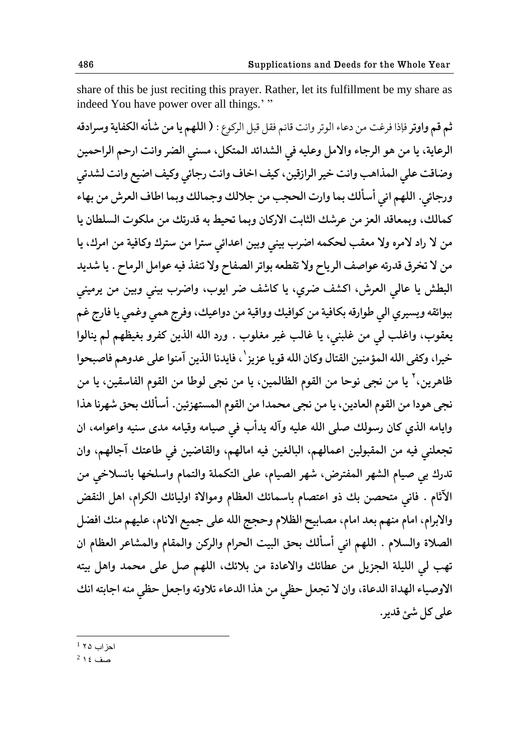share of this be just reciting this prayer. Rather, let its fulfillment be my share as indeed You have power over all things."

**ذن ٬ن وحوجك** ٨بـح ٨ك٤ث هى ؾ٠اء حلىجك وحيث ٬اثن ٨٭ل ٬بل حلككىٞ : **) حللهن یا هى ٌؤيه حلك٩ایة ووكحؾ٬ه**  الرعاية، يا من هو الرجاء والامل وعليه في الشدائد المتكل، مسنى الضر وانت ارحم الراحمين وضاقت على المذاهب وانت خير الرازقين، كيف اخاف وانت رجائي وكيف اضيع وانت لشدتي ورجائي. اللهم اني أسألك بما وارت الحجب من جلالك وجمالك وبما اطاف العرش من بهاء كمالك، وبمعاقد العز من عرشك الثابت الاركان وبما تحيط به قدرتك من ملكوت السلطان يا هن لا راد لامره ولا معقب لحكمه اضرب بيني وبين اعدائي سترا من سترك وكافية من امرك، يا من لا تخرق قدرته عواصف الرياح ولا تقطعه بواتر الصفاح ولا تنفذ فيه عوامل الرماح . يا شديد البطش يا عالي العرش، اكشف ضرى، يا كاشف ضر ايوب، واضرب بيني وبين من يرميني ببوائقه ويسيري ال<sub>ع</sub> طوارقه بكافية من كوافيك وواقية من دواعيك، وفرج همي وغمي يا فارج غم يعقوب، واغلب لي من غلبني، يا غالب غير مغلوب . ورد الله الذين كفرو بغيظهم لم ينالوا خيرا، وكفى الله المؤمنين القتال وكان الله قويا عزيز<sup>י</sup>، فايدنا الذين آمنوا على عدوهم فاصبحوا ظاهرين،<sup>٢</sup> يا من نجى نوحا من القوم الظالمين، يا من نجى لوطا من القوم الفاسقين، يا من نجى هودا من القوم العادين، يا من نجى محمدا من القوم المستهزئين. أسألك بحق شهرنا هذا وايامه الذي كان رسولك صلى الله عليه وآله يدأب في صيامه وقيامه مدى سنيه واعوامه، ان تجعلني فيه من المقبولين اعمالهم، البالغين فيه امالهم، والقاضين في طاعتك آجالهم، وان تدرك بي صيام الشهر المفترض، شهر الصيام، على التكملة والتمام واسلخها بانسلاخي من الآثام . فاني متحصن بك ذو اعتصام باسمائك العظام وموالاة اوليائك الكرام، اهل النقض والابرام، امام منهم بعد امام، مصابيح الظلام وحجج الله على جميع الانام، عليهم منك افضل الصلاة والسلام . اللهم انى أسألك بحق البيت الحرام والركن والمقام والمشاعر العظام ان تهب لي الليلة الجزيل من عطائك والاعادة من بلائك، اللهم صل على محمد واهل بيته الاوصياء الهداة الدعاة، وان لا تجعل حظى من هذا الدعاء تلاوته واجعل حظى منه اجابته انك عل<sub>ى</sub> کل شئ قدير.

احز اب ۲۵ <sup>1</sup>

1

 $^2$  صف ١٤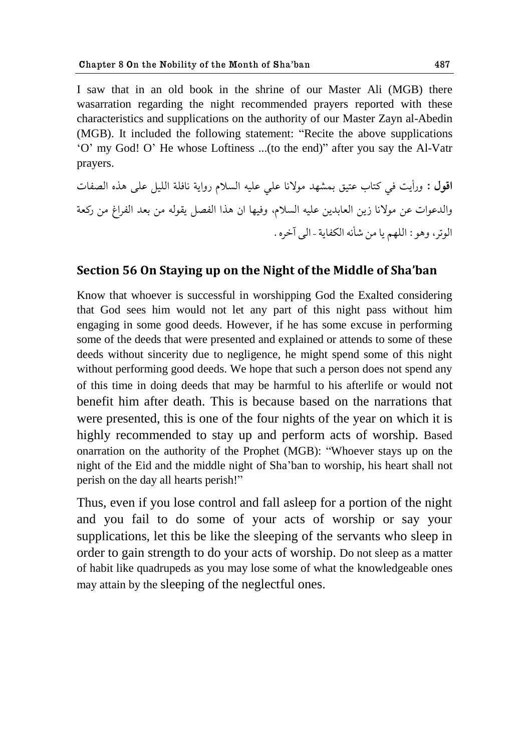I saw that in an old book in the shrine of our Master Ali (MGB) there wasarration regarding the night recommended prayers reported with these characteristics and supplications on the authority of our Master Zayn al-Abedin (MGB). It included the following statement: "Recite the above supplications "O" my God! O" He whose Loftiness ...(to the end)" after you say the Al-Vatr prayers.

اقول : ورأيت في كتاب عتيق بمشهد مولانا على عليه السلام رواية نافلة الليل على هذه الصفات والدعوات عن مولانا زين العابدين عليه السلام، وفيها ان هذا الفصل يقوله من بعد الفراغ من ركعة الوتر، وهو : اللهم يا من شأنه الكفاية - الى آخره .

### **Section 56 On Staying up on the Night of the Middle of Sha'ban**

Know that whoever is successful in worshipping God the Exalted considering that God sees him would not let any part of this night pass without him engaging in some good deeds. However, if he has some excuse in performing some of the deeds that were presented and explained or attends to some of these deeds without sincerity due to negligence, he might spend some of this night without performing good deeds. We hope that such a person does not spend any of this time in doing deeds that may be harmful to his afterlife or would not benefit him after death. This is because based on the narrations that were presented, this is one of the four nights of the year on which it is highly recommended to stay up and perform acts of worship. Based onarration on the authority of the Prophet (MGB): "Whoever stays up on the night of the Eid and the middle night of Sha"ban to worship, his heart shall not perish on the day all hearts perish!"

Thus, even if you lose control and fall asleep for a portion of the night and you fail to do some of your acts of worship or say your supplications, let this be like the sleeping of the servants who sleep in order to gain strength to do your acts of worship. Do not sleep as a matter of habit like quadrupeds as you may lose some of what the knowledgeable ones may attain by the sleeping of the neglectful ones.